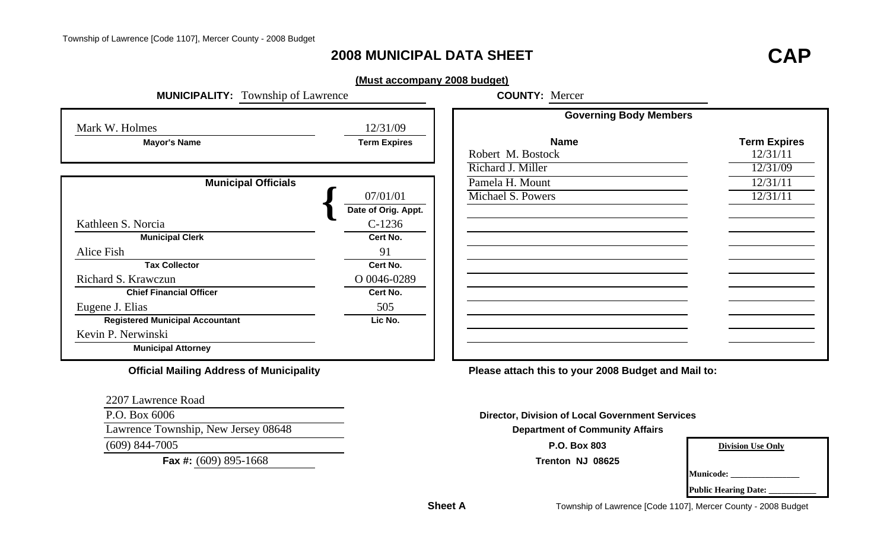## **2008 MUNICIPAL DATA SHEET**

# **CAP**

#### **(Must accompany 2008 budget)**

| <b>MUNICIPALITY:</b> Township of Lawrence       |                     | <b>COUNTY: Mercer</b>                                  |                          |
|-------------------------------------------------|---------------------|--------------------------------------------------------|--------------------------|
|                                                 |                     | <b>Governing Body Members</b>                          |                          |
| Mark W. Holmes                                  | 12/31/09            |                                                        |                          |
| <b>Mayor's Name</b>                             | <b>Term Expires</b> | <b>Name</b>                                            | <b>Term Expires</b>      |
|                                                 |                     | Robert M. Bostock                                      | 12/31/11                 |
|                                                 |                     | Richard J. Miller                                      | 12/31/09                 |
| <b>Municipal Officials</b>                      |                     | Pamela H. Mount                                        | 12/31/11                 |
|                                                 | 07/01/01            | Michael S. Powers                                      | 12/31/11                 |
|                                                 | Date of Orig. Appt. |                                                        |                          |
| Kathleen S. Norcia                              | $C-1236$            |                                                        |                          |
| <b>Municipal Clerk</b>                          | Cert No.            |                                                        |                          |
| Alice Fish                                      | 91                  |                                                        |                          |
| <b>Tax Collector</b>                            | Cert No.            |                                                        |                          |
| Richard S. Krawczun                             | O 0046-0289         |                                                        |                          |
| <b>Chief Financial Officer</b>                  | Cert No.            |                                                        |                          |
| Eugene J. Elias                                 | 505                 |                                                        |                          |
| <b>Registered Municipal Accountant</b>          | Lic No.             |                                                        |                          |
| Kevin P. Nerwinski                              |                     |                                                        |                          |
| <b>Municipal Attorney</b>                       |                     |                                                        |                          |
| <b>Official Mailing Address of Municipality</b> |                     | Please attach this to your 2008 Budget and Mail to:    |                          |
| 2207 Lawrence Road                              |                     |                                                        |                          |
| P.O. Box 6006                                   |                     | <b>Director, Division of Local Government Services</b> |                          |
| Lawrence Township, New Jersey 08648             |                     | <b>Department of Community Affairs</b>                 |                          |
| $(609)$ 844-7005                                |                     | P.O. Box 803                                           | <b>Division Use Only</b> |

**Fax #:** (609) 895-1668 **Trenton NJ 08625**

**Municode: \_\_\_\_\_\_\_\_\_\_\_\_\_\_\_\_**

| <b>Public Hearing Date:</b> |  |
|-----------------------------|--|
|-----------------------------|--|

**Sheet A**

Township of Lawrence [Code 1107], Mercer County - 2008 Budget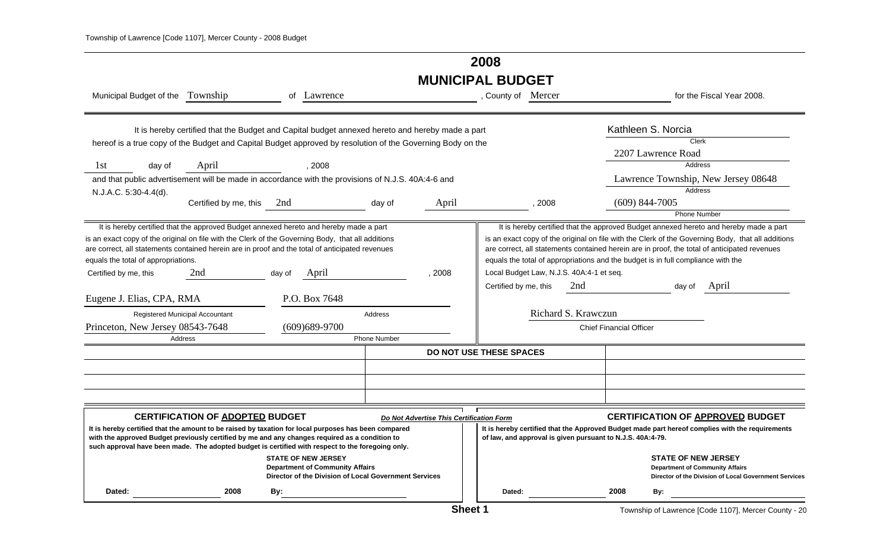## **2008 MUNICIPAL BUDGET**

| Municipal Budget of the Township                                                                                                                                                                                                                                                                                                                                                                                                                                                                                                                                                                              | of Lawrence                                                                                                                   | , County of Mercer                       | for the Fiscal Year 2008.                                                                                                                                                                                                                                                                                                                                                      |
|---------------------------------------------------------------------------------------------------------------------------------------------------------------------------------------------------------------------------------------------------------------------------------------------------------------------------------------------------------------------------------------------------------------------------------------------------------------------------------------------------------------------------------------------------------------------------------------------------------------|-------------------------------------------------------------------------------------------------------------------------------|------------------------------------------|--------------------------------------------------------------------------------------------------------------------------------------------------------------------------------------------------------------------------------------------------------------------------------------------------------------------------------------------------------------------------------|
| hereof is a true copy of the Budget and Capital Budget approved by resolution of the Governing Body on the                                                                                                                                                                                                                                                                                                                                                                                                                                                                                                    | It is hereby certified that the Budget and Capital budget annexed hereto and hereby made a part                               |                                          | Kathleen S. Norcia<br>Clerk                                                                                                                                                                                                                                                                                                                                                    |
|                                                                                                                                                                                                                                                                                                                                                                                                                                                                                                                                                                                                               |                                                                                                                               |                                          | 2207 Lawrence Road                                                                                                                                                                                                                                                                                                                                                             |
| April<br>1st<br>day of                                                                                                                                                                                                                                                                                                                                                                                                                                                                                                                                                                                        | , 2008                                                                                                                        |                                          | <b>Address</b>                                                                                                                                                                                                                                                                                                                                                                 |
| and that public advertisement will be made in accordance with the provisions of N.J.S. 40A:4-6 and                                                                                                                                                                                                                                                                                                                                                                                                                                                                                                            |                                                                                                                               |                                          | Lawrence Township, New Jersey 08648                                                                                                                                                                                                                                                                                                                                            |
| N.J.A.C. 5:30-4.4(d).                                                                                                                                                                                                                                                                                                                                                                                                                                                                                                                                                                                         |                                                                                                                               |                                          | Address                                                                                                                                                                                                                                                                                                                                                                        |
| Certified by me, this 2nd                                                                                                                                                                                                                                                                                                                                                                                                                                                                                                                                                                                     | April<br>day of                                                                                                               | , 2008                                   | $(609)$ 844-7005                                                                                                                                                                                                                                                                                                                                                               |
|                                                                                                                                                                                                                                                                                                                                                                                                                                                                                                                                                                                                               |                                                                                                                               |                                          | <b>Phone Number</b>                                                                                                                                                                                                                                                                                                                                                            |
| It is hereby certified that the approved Budget annexed hereto and hereby made a part<br>is an exact copy of the original on file with the Clerk of the Governing Body, that all additions<br>are correct, all statements contained herein are in proof and the total of anticipated revenues<br>equals the total of appropriations.<br>Certified by me, this<br>2nd<br>day of                                                                                                                                                                                                                                | , 2008<br>April                                                                                                               | Local Budget Law, N.J.S. 40A:4-1 et seq. | It is hereby certified that the approved Budget annexed hereto and hereby made a part<br>is an exact copy of the original on file with the Clerk of the Governing Body, that all additions<br>are correct, all statements contained herein are in proof, the total of anticipated revenues<br>equals the total of appropriations and the budget is in full compliance with the |
| Eugene J. Elias, CPA, RMA                                                                                                                                                                                                                                                                                                                                                                                                                                                                                                                                                                                     | P.O. Box 7648                                                                                                                 | Certified by me, this<br>2nd             | April<br>day of                                                                                                                                                                                                                                                                                                                                                                |
| Registered Municipal Accountant                                                                                                                                                                                                                                                                                                                                                                                                                                                                                                                                                                               | Address                                                                                                                       | Richard S. Krawczun                      |                                                                                                                                                                                                                                                                                                                                                                                |
| Princeton, New Jersey 08543-7648<br>$(609)689-9700$<br><b>Chief Financial Officer</b>                                                                                                                                                                                                                                                                                                                                                                                                                                                                                                                         |                                                                                                                               |                                          |                                                                                                                                                                                                                                                                                                                                                                                |
| Address                                                                                                                                                                                                                                                                                                                                                                                                                                                                                                                                                                                                       | <b>Phone Number</b>                                                                                                           |                                          |                                                                                                                                                                                                                                                                                                                                                                                |
|                                                                                                                                                                                                                                                                                                                                                                                                                                                                                                                                                                                                               |                                                                                                                               | <b>DO NOT USE THESE SPACES</b>           |                                                                                                                                                                                                                                                                                                                                                                                |
|                                                                                                                                                                                                                                                                                                                                                                                                                                                                                                                                                                                                               |                                                                                                                               |                                          |                                                                                                                                                                                                                                                                                                                                                                                |
|                                                                                                                                                                                                                                                                                                                                                                                                                                                                                                                                                                                                               |                                                                                                                               |                                          |                                                                                                                                                                                                                                                                                                                                                                                |
|                                                                                                                                                                                                                                                                                                                                                                                                                                                                                                                                                                                                               |                                                                                                                               |                                          |                                                                                                                                                                                                                                                                                                                                                                                |
| <b>CERTIFICATION OF APPROVED BUDGET</b><br><b>CERTIFICATION OF ADOPTED BUDGET</b><br>Do Not Advertise This Certification Form<br>It is hereby certified that the amount to be raised by taxation for local purposes has been compared<br>It is hereby certified that the Approved Budget made part hereof complies with the requirements<br>with the approved Budget previously certified by me and any changes required as a condition to<br>of law, and approval is given pursuant to N.J.S. 40A:4-79.<br>such approval have been made. The adopted budget is certified with respect to the foregoing only. |                                                                                                                               |                                          |                                                                                                                                                                                                                                                                                                                                                                                |
|                                                                                                                                                                                                                                                                                                                                                                                                                                                                                                                                                                                                               | <b>STATE OF NEW JERSEY</b><br><b>Department of Community Affairs</b><br>Director of the Division of Local Government Services |                                          | <b>STATE OF NEW JERSEY</b><br><b>Department of Community Affairs</b><br>Director of the Division of Local Government Services                                                                                                                                                                                                                                                  |
| 2008<br>Dated:<br>By:                                                                                                                                                                                                                                                                                                                                                                                                                                                                                                                                                                                         |                                                                                                                               | Dated:                                   | 2008<br>By:                                                                                                                                                                                                                                                                                                                                                                    |

Township of Lawrence [Code 1107], Mercer County - 20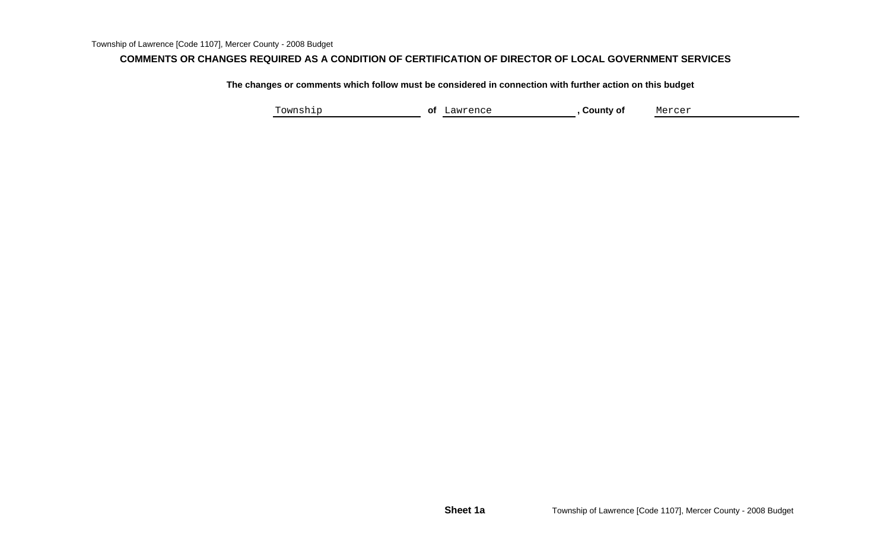#### **COMMENTS OR CHANGES REQUIRED AS A CONDITION OF CERTIFICATION OF DIRECTOR OF LOCAL GOVERNMENT SERVICES**

**The changes or comments which follow must be considered in connection with further action on this budget**

Township **of** Lawrence **, County of** Mercer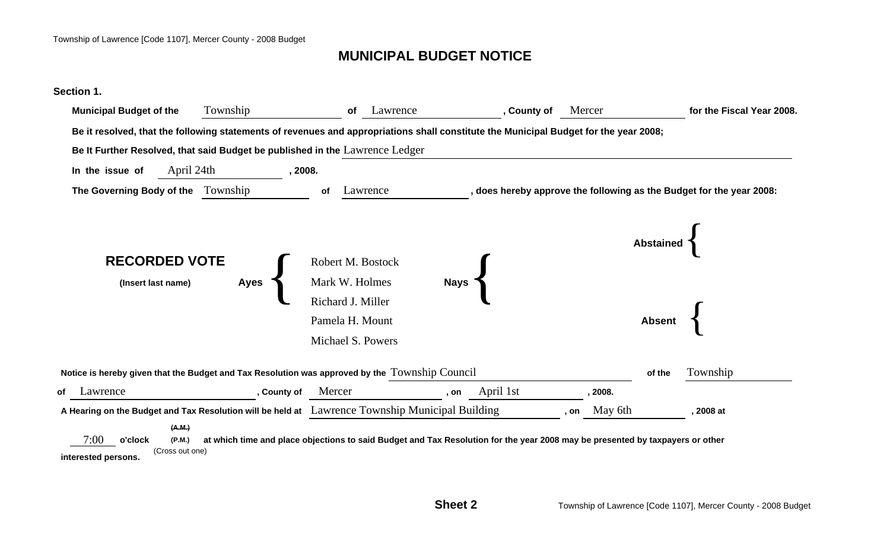## **MUNICIPAL BUDGET NOTICE**

#### **Section 1.**

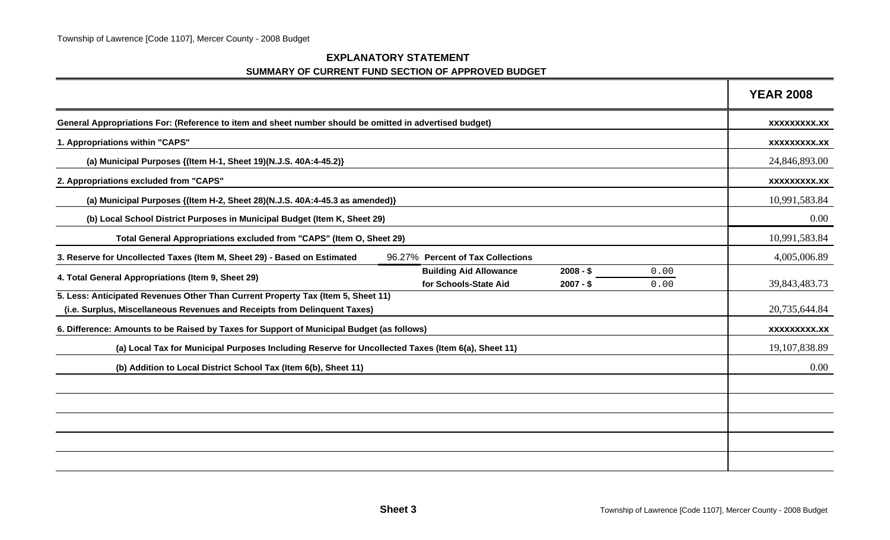| <b>EXPLANATORY STATEMENT</b>                       |  |  |  |
|----------------------------------------------------|--|--|--|
| SUMMARY OF CURRENT FUND SECTION OF APPROVED BUDGET |  |  |  |

|                                                                                                                                                               |              | <b>YEAR 2008</b>    |
|---------------------------------------------------------------------------------------------------------------------------------------------------------------|--------------|---------------------|
| General Appropriations For: (Reference to item and sheet number should be omitted in advertised budget)                                                       |              | XXXXXXXXX.XX        |
| 1. Appropriations within "CAPS"                                                                                                                               |              | <b>XXXXXXXXX.XX</b> |
| (a) Municipal Purposes {(Item H-1, Sheet 19)(N.J.S. 40A:4-45.2)}                                                                                              |              | 24,846,893.00       |
| 2. Appropriations excluded from "CAPS"                                                                                                                        |              | XXXXXXXXX.XX        |
| (a) Municipal Purposes {(Item H-2, Sheet 28)(N.J.S. 40A:4-45.3 as amended)}                                                                                   |              | 10,991,583.84       |
| (b) Local School District Purposes in Municipal Budget (Item K, Sheet 29)                                                                                     |              | 0.00                |
| Total General Appropriations excluded from "CAPS" (Item O, Sheet 29)                                                                                          |              | 10,991,583.84       |
| 96.27% Percent of Tax Collections<br>3. Reserve for Uncollected Taxes (Item M, Sheet 29) - Based on Estimated                                                 |              | 4,005,006.89        |
| <b>Building Aid Allowance</b><br>$2008 - $$<br>4. Total General Appropriations (Item 9, Sheet 29)<br>for Schools-State Aid<br>$2007 - $$                      | 0.00<br>0.00 | 39,843,483.73       |
| 5. Less: Anticipated Revenues Other Than Current Property Tax (Item 5, Sheet 11)<br>(i.e. Surplus, Miscellaneous Revenues and Receipts from Delinquent Taxes) |              | 20,735,644.84       |
| 6. Difference: Amounts to be Raised by Taxes for Support of Municipal Budget (as follows)                                                                     |              | <b>XXXXXXXXX.XX</b> |
| (a) Local Tax for Municipal Purposes Including Reserve for Uncollected Taxes (Item 6(a), Sheet 11)                                                            |              | 19,107,838.89       |
| (b) Addition to Local District School Tax (Item 6(b), Sheet 11)                                                                                               |              | 0.00                |
|                                                                                                                                                               |              |                     |
|                                                                                                                                                               |              |                     |
|                                                                                                                                                               |              |                     |
|                                                                                                                                                               |              |                     |
|                                                                                                                                                               |              |                     |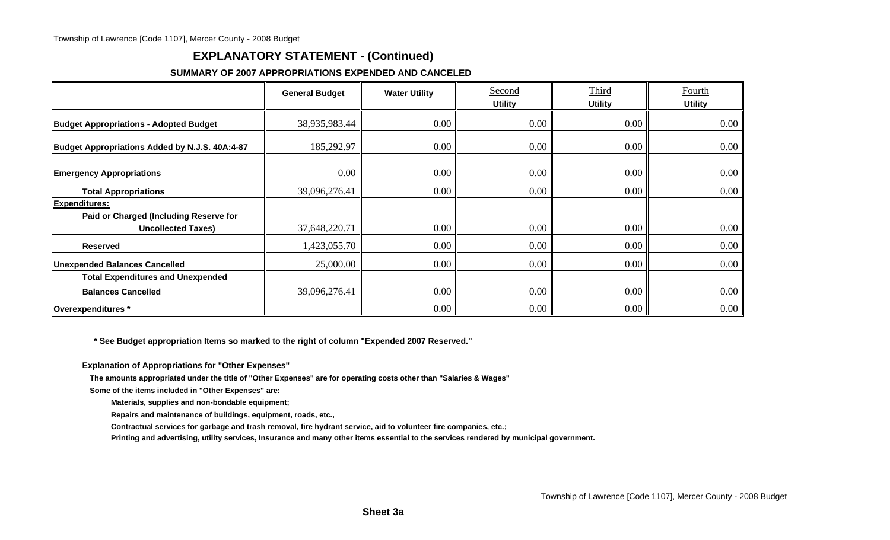## **EXPLANATORY STATEMENT - (Continued)**

#### **SUMMARY OF 2007 APPROPRIATIONS EXPENDED AND CANCELED**

|                                                                                             | <b>General Budget</b> | <b>Water Utility</b> | Second<br><b>Utility</b> | Third<br><b>Utility</b> | Fourth<br><b>Utility</b> |
|---------------------------------------------------------------------------------------------|-----------------------|----------------------|--------------------------|-------------------------|--------------------------|
| <b>Budget Appropriations - Adopted Budget</b>                                               | 38,935,983.44         | $0.00\degree$        | 0.00                     | $0.00\,$                | 0.00                     |
| Budget Appropriations Added by N.J.S. 40A:4-87                                              | 185,292.97            | $0.00\degree$        | 0.00                     | $0.00\,$                | $0.00\,$                 |
| <b>Emergency Appropriations</b>                                                             | $0.00\,$              | $0.00\degree$        | 0.00                     | 0.00                    | 0.00                     |
| <b>Total Appropriations</b>                                                                 | 39,096,276.41         | $0.00\degree$        | 0.00                     | $0.00\,$                | 0.00                     |
| <b>Expenditures:</b><br>Paid or Charged (Including Reserve for<br><b>Uncollected Taxes)</b> | 37,648,220.71         | 0.00                 | 0.00                     | 0.00                    | $0.00\,$                 |
| <b>Reserved</b>                                                                             | 1,423,055.70          | $0.00\degree$        | 0.00                     | $0.00\,$                | $0.00\,$                 |
| <b>Unexpended Balances Cancelled</b>                                                        | 25,000.00             | $0.00\degree$        | 0.00                     | 0.00                    | $0.00\,$                 |
| <b>Total Expenditures and Unexpended</b>                                                    |                       |                      |                          |                         |                          |
| <b>Balances Cancelled</b>                                                                   | 39,096,276.41         | 0.00                 | 0.00                     | 0.00                    | 0.00                     |
| Overexpenditures *                                                                          |                       | $0.00\degree$        | 0.00                     | 0.00                    | 0.00                     |

 **\* See Budget appropriation Items so marked to the right of column "Expended 2007 Reserved."**

**Explanation of Appropriations for "Other Expenses"**

**The amounts appropriated under the title of "Other Expenses" are for operating costs other than "Salaries & Wages"**

**Some of the items included in "Other Expenses" are:**

**Materials, supplies and non-bondable equipment;**

**Repairs and maintenance of buildings, equipment, roads, etc.,**

**Contractual services for garbage and trash removal, fire hydrant service, aid to volunteer fire companies, etc.;**

**Printing and advertising, utility services, Insurance and many other items essential to the services rendered by municipal government.**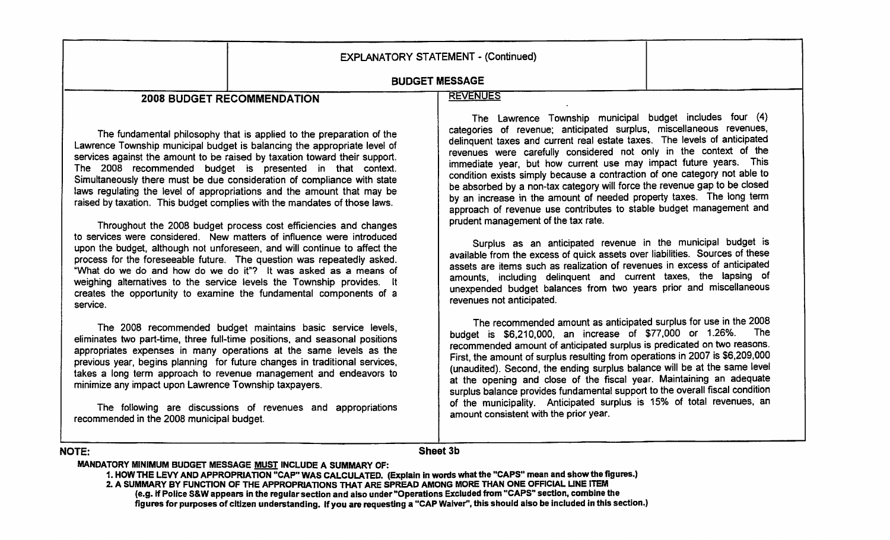|                                                                                                    |                                                                                                                                                                                                                                                                                                                                                                                                                                                                                                                                                                                                                                                                                                                                                                                                                                                                                                                                                                                                                                                     | <b>EXPLANATORY STATEMENT - (Continued)</b>                                                                                                                                                                                                                                                                                                                                                                                                                                                                                                                                                                                                                                                                                                                                                                                                                                                                                                                                                                                                                                                               |
|----------------------------------------------------------------------------------------------------|-----------------------------------------------------------------------------------------------------------------------------------------------------------------------------------------------------------------------------------------------------------------------------------------------------------------------------------------------------------------------------------------------------------------------------------------------------------------------------------------------------------------------------------------------------------------------------------------------------------------------------------------------------------------------------------------------------------------------------------------------------------------------------------------------------------------------------------------------------------------------------------------------------------------------------------------------------------------------------------------------------------------------------------------------------|----------------------------------------------------------------------------------------------------------------------------------------------------------------------------------------------------------------------------------------------------------------------------------------------------------------------------------------------------------------------------------------------------------------------------------------------------------------------------------------------------------------------------------------------------------------------------------------------------------------------------------------------------------------------------------------------------------------------------------------------------------------------------------------------------------------------------------------------------------------------------------------------------------------------------------------------------------------------------------------------------------------------------------------------------------------------------------------------------------|
| <b>BUDGET MESSAGE</b>                                                                              |                                                                                                                                                                                                                                                                                                                                                                                                                                                                                                                                                                                                                                                                                                                                                                                                                                                                                                                                                                                                                                                     |                                                                                                                                                                                                                                                                                                                                                                                                                                                                                                                                                                                                                                                                                                                                                                                                                                                                                                                                                                                                                                                                                                          |
|                                                                                                    | <b>2008 BUDGET RECOMMENDATION</b>                                                                                                                                                                                                                                                                                                                                                                                                                                                                                                                                                                                                                                                                                                                                                                                                                                                                                                                                                                                                                   | <b>REVENUES</b>                                                                                                                                                                                                                                                                                                                                                                                                                                                                                                                                                                                                                                                                                                                                                                                                                                                                                                                                                                                                                                                                                          |
| service.                                                                                           | The fundamental philosophy that is applied to the preparation of the<br>Lawrence Township municipal budget is balancing the appropriate level of<br>services against the amount to be raised by taxation toward their support.<br>The 2008 recommended budget is presented in that context.<br>Simultaneously there must be due consideration of compliance with state<br>laws regulating the level of appropriations and the amount that may be<br>raised by taxation. This budget complies with the mandates of those laws.<br>Throughout the 2008 budget process cost efficiencies and changes<br>to services were considered. New matters of influence were introduced<br>upon the budget, although not unforeseen, and will continue to affect the<br>process for the foreseeable future. The question was repeatedly asked.<br>"What do we do and how do we do it"? It was asked as a means of<br>weighing alternatives to the service levels the Township provides. It<br>creates the opportunity to examine the fundamental components of a | The Lawrence Township municipal budget includes four (4)<br>categories of revenue; anticipated surplus, miscellaneous revenues,<br>delinquent taxes and current real estate taxes. The levels of anticipated<br>revenues were carefully considered not only in the context of the<br>immediate year, but how current use may impact future years. This<br>condition exists simply because a contraction of one category not able to<br>be absorbed by a non-tax category will force the revenue gap to be closed<br>by an increase in the amount of needed property taxes. The long term<br>approach of revenue use contributes to stable budget management and<br>prudent management of the tax rate.<br>Surplus as an anticipated revenue in the municipal budget is<br>available from the excess of quick assets over liabilities. Sources of these<br>assets are items such as realization of revenues in excess of anticipated<br>amounts, including delinquent and current taxes, the lapsing of<br>unexpended budget balances from two years prior and miscellaneous<br>revenues not anticipated. |
| minimize any impact upon Lawrence Township taxpayers.<br>recommended in the 2008 municipal budget. | The 2008 recommended budget maintains basic service levels,<br>eliminates two part-time, three full-time positions, and seasonal positions<br>appropriates expenses in many operations at the same levels as the<br>previous year, begins planning for future changes in traditional services,<br>takes a long term approach to revenue management and endeavors to<br>The following are discussions of revenues and appropriations                                                                                                                                                                                                                                                                                                                                                                                                                                                                                                                                                                                                                 | The recommended amount as anticipated surplus for use in the 2008<br>The<br>budget is \$6,210,000, an increase of \$77,000 or 1.26%.<br>recommended amount of anticipated surplus is predicated on two reasons.<br>First, the amount of surplus resulting from operations in 2007 is \$6,209,000<br>(unaudited). Second, the ending surplus balance will be at the same level<br>at the opening and close of the fiscal year. Maintaining an adequate<br>surplus balance provides fundamental support to the overall fiscal condition<br>of the municipality. Anticipated surplus is 15% of total revenues, an<br>amount consistent with the prior year.                                                                                                                                                                                                                                                                                                                                                                                                                                                 |
| <b>NOTE:</b>                                                                                       |                                                                                                                                                                                                                                                                                                                                                                                                                                                                                                                                                                                                                                                                                                                                                                                                                                                                                                                                                                                                                                                     | Sheet 3b                                                                                                                                                                                                                                                                                                                                                                                                                                                                                                                                                                                                                                                                                                                                                                                                                                                                                                                                                                                                                                                                                                 |

#### MANDATORY MINIMUM BUDGET MESSAGE MUST INCLUDE A SUMMARY OF:

1. HOW THE LEVY AND APPROPRIATION "CAP" WAS CALCULATED. (Explain in words what the "CAPS" mean and show the figures.)<br>2. A SUMMARY BY FUNCTION OF THE APPROPRIATIONS THAT ARE SPREAD AMONG MORE THAN ONE OFFICIAL LINE ITEM example. If Police S&W appears in the regular section and also under "Operations Excluded from "CAPS" section, combine the<br>figures for purposes of citizen understanding. If you are requesting a "CAP Waiver", this should al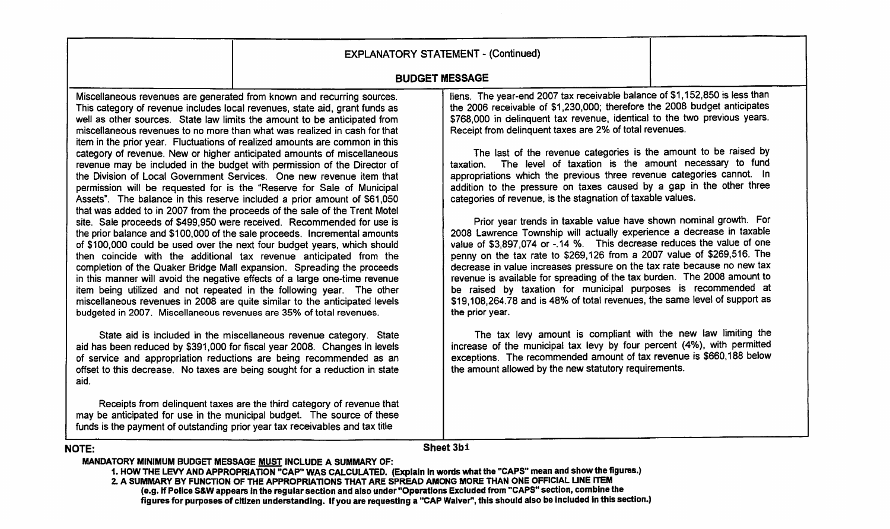|                                                                             | <b>EXPLANATORY STATEMENT - (Continued)</b>                                                                                                                                                                                                                                                                                                                                                                                                                                                                                                                                                                                                                                                                                                                                                                                                                                                                                                                                                                                                                                                                                                                                                                                                                                                                                                                                                                                                                                                                                                                                                                                                                                                                                                                                                                                                                                                                                                                                                                                             |                                                                                                                                                                                                                                                                                                                                                                                                                                                                                                                                                                                                                                                                                                                                                                                                                                                                                                                                                                                                                                                                                                                                                                                                                                                                                                                                                                                                                                                                                                                                                                      |  |
|-----------------------------------------------------------------------------|----------------------------------------------------------------------------------------------------------------------------------------------------------------------------------------------------------------------------------------------------------------------------------------------------------------------------------------------------------------------------------------------------------------------------------------------------------------------------------------------------------------------------------------------------------------------------------------------------------------------------------------------------------------------------------------------------------------------------------------------------------------------------------------------------------------------------------------------------------------------------------------------------------------------------------------------------------------------------------------------------------------------------------------------------------------------------------------------------------------------------------------------------------------------------------------------------------------------------------------------------------------------------------------------------------------------------------------------------------------------------------------------------------------------------------------------------------------------------------------------------------------------------------------------------------------------------------------------------------------------------------------------------------------------------------------------------------------------------------------------------------------------------------------------------------------------------------------------------------------------------------------------------------------------------------------------------------------------------------------------------------------------------------------|----------------------------------------------------------------------------------------------------------------------------------------------------------------------------------------------------------------------------------------------------------------------------------------------------------------------------------------------------------------------------------------------------------------------------------------------------------------------------------------------------------------------------------------------------------------------------------------------------------------------------------------------------------------------------------------------------------------------------------------------------------------------------------------------------------------------------------------------------------------------------------------------------------------------------------------------------------------------------------------------------------------------------------------------------------------------------------------------------------------------------------------------------------------------------------------------------------------------------------------------------------------------------------------------------------------------------------------------------------------------------------------------------------------------------------------------------------------------------------------------------------------------------------------------------------------------|--|
|                                                                             |                                                                                                                                                                                                                                                                                                                                                                                                                                                                                                                                                                                                                                                                                                                                                                                                                                                                                                                                                                                                                                                                                                                                                                                                                                                                                                                                                                                                                                                                                                                                                                                                                                                                                                                                                                                                                                                                                                                                                                                                                                        | <b>BUDGET MESSAGE</b>                                                                                                                                                                                                                                                                                                                                                                                                                                                                                                                                                                                                                                                                                                                                                                                                                                                                                                                                                                                                                                                                                                                                                                                                                                                                                                                                                                                                                                                                                                                                                |  |
| budgeted in 2007. Miscellaneous revenues are 35% of total revenues.<br>aid. | Miscellaneous revenues are generated from known and recurring sources.<br>This category of revenue includes local revenues, state aid, grant funds as<br>well as other sources. State law limits the amount to be anticipated from<br>miscellaneous revenues to no more than what was realized in cash for that<br>item in the prior year. Fluctuations of realized amounts are common in this<br>category of revenue. New or higher anticipated amounts of miscellaneous<br>revenue may be included in the budget with permission of the Director of<br>the Division of Local Government Services. One new revenue item that<br>permission will be requested for is the "Reserve for Sale of Municipal<br>Assets". The balance in this reserve included a prior amount of \$61,050<br>that was added to in 2007 from the proceeds of the sale of the Trent Motel<br>site. Sale proceeds of \$499,950 were received. Recommended for use is<br>the prior balance and \$100,000 of the sale proceeds. Incremental amounts<br>of \$100,000 could be used over the next four budget years, which should<br>then coincide with the additional tax revenue anticipated from the<br>completion of the Quaker Bridge Mall expansion. Spreading the proceeds<br>in this manner will avoid the negative effects of a large one-time revenue<br>item being utilized and not repeated in the following year. The other<br>miscellaneous revenues in 2008 are quite similar to the anticipated levels<br>State aid is included in the miscellaneous revenue category. State<br>aid has been reduced by \$391,000 for fiscal year 2008. Changes in levels<br>of service and appropriation reductions are being recommended as an<br>offset to this decrease. No taxes are being sought for a reduction in state<br>Receipts from delinquent taxes are the third category of revenue that<br>may be anticipated for use in the municipal budget. The source of these<br>funds is the payment of outstanding prior year tax receivables and tax title | liens. The year-end 2007 tax receivable balance of \$1,152,850 is less than<br>the 2006 receivable of \$1,230,000; therefore the 2008 budget anticipates<br>\$768,000 in delinquent tax revenue, identical to the two previous years.<br>Receipt from delinquent taxes are 2% of total revenues.<br>The last of the revenue categories is the amount to be raised by<br>The level of taxation is the amount necessary to fund<br>taxation.<br>appropriations which the previous three revenue categories cannot. In<br>addition to the pressure on taxes caused by a gap in the other three<br>categories of revenue, is the stagnation of taxable values.<br>Prior year trends in taxable value have shown nominal growth. For<br>2008 Lawrence Township will actually experience a decrease in taxable<br>value of \$3,897,074 or -.14 %. This decrease reduces the value of one<br>penny on the tax rate to \$269,126 from a 2007 value of \$269,516. The<br>decrease in value increases pressure on the tax rate because no new tax<br>revenue is available for spreading of the tax burden. The 2008 amount to<br>be raised by taxation for municipal purposes is recommended at<br>\$19,108,264.78 and is 48% of total revenues, the same level of support as<br>the prior year.<br>The tax levy amount is compliant with the new law limiting the<br>increase of the municipal tax levy by four percent (4%), with permitted<br>exceptions. The recommended amount of tax revenue is \$660,188 below<br>the amount allowed by the new statutory requirements. |  |

#### NOTE:

Sheet 3bi

MANDATORY MINIMUM BUDGET MESSAGE MUST INCLUDE A SUMMARY OF: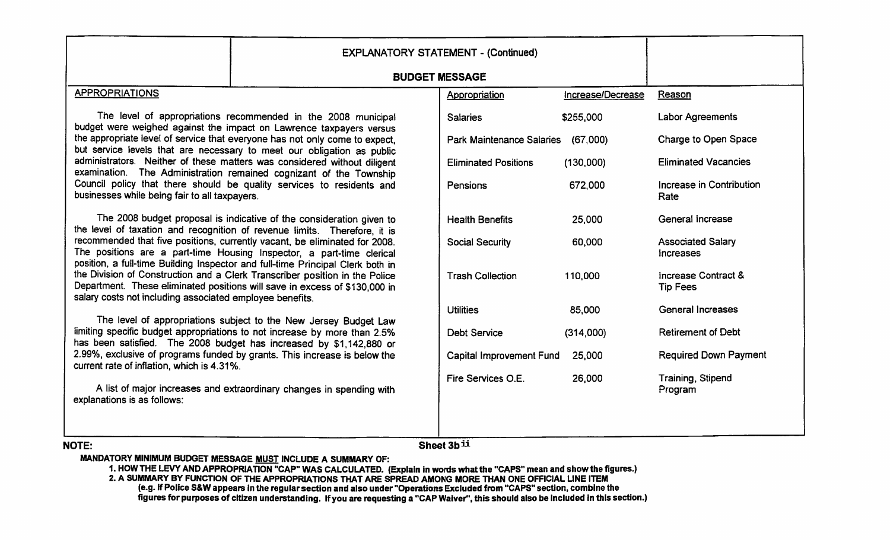|                                                          |                                                                                                                                                                                                                                       | <b>EXPLANATORY STATEMENT - (Continued)</b> |                   |                                              |
|----------------------------------------------------------|---------------------------------------------------------------------------------------------------------------------------------------------------------------------------------------------------------------------------------------|--------------------------------------------|-------------------|----------------------------------------------|
| <b>BUDGET MESSAGE</b>                                    |                                                                                                                                                                                                                                       |                                            |                   |                                              |
| <b>APPROPRIATIONS</b>                                    |                                                                                                                                                                                                                                       | Appropriation                              | Increase/Decrease | Reason                                       |
|                                                          | The level of appropriations recommended in the 2008 municipal<br>budget were weighed against the impact on Lawrence taxpayers versus                                                                                                  | <b>Salaries</b>                            | \$255,000         | Labor Agreements                             |
|                                                          | the appropriate level of service that everyone has not only come to expect,<br>but service levels that are necessary to meet our obligation as public                                                                                 | <b>Park Maintenance Salaries</b>           | (67,000)          | Charge to Open Space                         |
|                                                          | administrators. Neither of these matters was considered without diligent<br>examination. The Administration remained cognizant of the Township                                                                                        | <b>Eliminated Positions</b>                | (130,000)         | <b>Eliminated Vacancies</b>                  |
| businesses while being fair to all taxpayers.            | Council policy that there should be quality services to residents and                                                                                                                                                                 | Pensions                                   | 672,000           | Increase in Contribution<br>Rate             |
|                                                          | The 2008 budget proposal is indicative of the consideration given to<br>the level of taxation and recognition of revenue limits. Therefore, it is                                                                                     | <b>Health Benefits</b>                     | 25,000            | General increase                             |
|                                                          | recommended that five positions, currently vacant, be eliminated for 2008.<br>The positions are a part-time Housing Inspector, a part-time clerical<br>position, a full-time Building Inspector and full-time Principal Clerk both in | <b>Social Security</b>                     | 60,000            | <b>Associated Salary</b><br><b>Increases</b> |
| salary costs not including associated employee benefits. | the Division of Construction and a Clerk Transcriber position in the Police<br>Department. These eliminated positions will save in excess of \$130,000 in                                                                             | <b>Trash Collection</b>                    | 110,000           | Increase Contract &<br><b>Tip Fees</b>       |
|                                                          |                                                                                                                                                                                                                                       | <b>Utilities</b>                           | 85,000            | <b>General Increases</b>                     |
|                                                          | The level of appropriations subject to the New Jersey Budget Law<br>limiting specific budget appropriations to not increase by more than 2.5%<br>has been satisfied. The 2008 budget has increased by \$1,142,880 or                  | Debt Service                               | (314,000)         | <b>Retirement of Debt</b>                    |
| current rate of inflation, which is 4.31%.               | 2.99%, exclusive of programs funded by grants. This increase is below the                                                                                                                                                             | <b>Capital Improvement Fund</b>            | 25,000            | <b>Required Down Payment</b>                 |
| explanations is as follows:                              | A list of major increases and extraordinary changes in spending with                                                                                                                                                                  | Fire Services O.E.                         | 26,000            | Training, Stipend<br>Program                 |
| <b>NOTE:</b>                                             |                                                                                                                                                                                                                                       | Sheet 3b <sub>ii</sub>                     |                   |                                              |

MANDATORY MINIMUM BUDGET MESSAGE MUST INCLUDE A SUMMARY OF: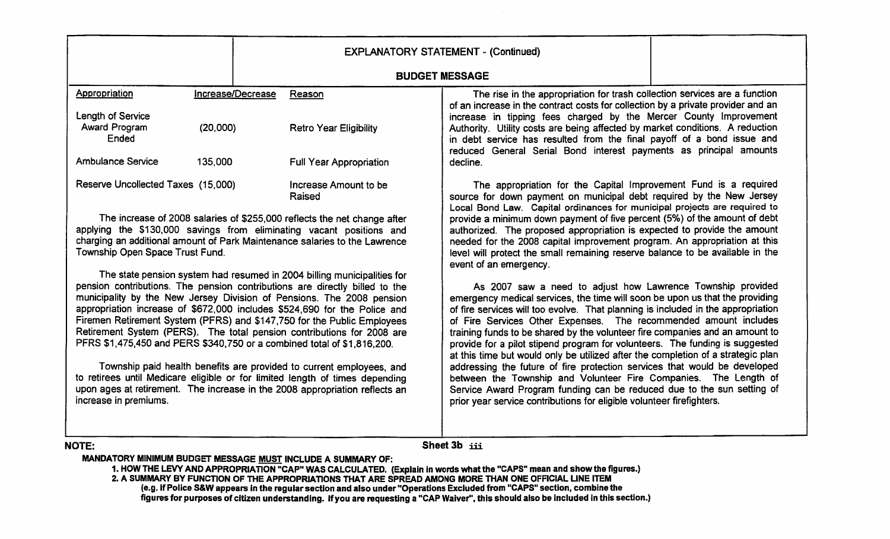|                                                                                                                                                                                                                                                                                                                                                                                                                                                                                                                                                                                                                                                                                                                                                                                                              |                                | <b>EXPLANATORY STATEMENT - (Continued)</b>                                                                                                                                                                                                                                                                                                                                                                                                                                                                                                                                                                                                                                                                                                                                                                                                                  |  |
|--------------------------------------------------------------------------------------------------------------------------------------------------------------------------------------------------------------------------------------------------------------------------------------------------------------------------------------------------------------------------------------------------------------------------------------------------------------------------------------------------------------------------------------------------------------------------------------------------------------------------------------------------------------------------------------------------------------------------------------------------------------------------------------------------------------|--------------------------------|-------------------------------------------------------------------------------------------------------------------------------------------------------------------------------------------------------------------------------------------------------------------------------------------------------------------------------------------------------------------------------------------------------------------------------------------------------------------------------------------------------------------------------------------------------------------------------------------------------------------------------------------------------------------------------------------------------------------------------------------------------------------------------------------------------------------------------------------------------------|--|
| <b>BUDGET MESSAGE</b>                                                                                                                                                                                                                                                                                                                                                                                                                                                                                                                                                                                                                                                                                                                                                                                        |                                |                                                                                                                                                                                                                                                                                                                                                                                                                                                                                                                                                                                                                                                                                                                                                                                                                                                             |  |
| Appropriation                                                                                                                                                                                                                                                                                                                                                                                                                                                                                                                                                                                                                                                                                                                                                                                                | Increase/Decrease<br>Reason    | The rise in the appropriation for trash collection services are a function                                                                                                                                                                                                                                                                                                                                                                                                                                                                                                                                                                                                                                                                                                                                                                                  |  |
| Length of Service<br>Award Program<br>(20,000)<br>Ended                                                                                                                                                                                                                                                                                                                                                                                                                                                                                                                                                                                                                                                                                                                                                      | <b>Retro Year Eligibility</b>  | of an increase in the contract costs for collection by a private provider and an<br>increase in tipping fees charged by the Mercer County Improvement<br>Authority. Utility costs are being affected by market conditions. A reduction<br>in debt service has resulted from the final payoff of a bond issue and<br>reduced General Serial Bond interest payments as principal amounts                                                                                                                                                                                                                                                                                                                                                                                                                                                                      |  |
| <b>Ambulance Service</b><br>135,000                                                                                                                                                                                                                                                                                                                                                                                                                                                                                                                                                                                                                                                                                                                                                                          | <b>Full Year Appropriation</b> | decline.                                                                                                                                                                                                                                                                                                                                                                                                                                                                                                                                                                                                                                                                                                                                                                                                                                                    |  |
| Reserve Uncollected Taxes (15,000)<br>Increase Amount to be<br>Raised                                                                                                                                                                                                                                                                                                                                                                                                                                                                                                                                                                                                                                                                                                                                        |                                | The appropriation for the Capital Improvement Fund is a required<br>source for down payment on municipal debt required by the New Jersey<br>Local Bond Law. Capital ordinances for municipal projects are required to                                                                                                                                                                                                                                                                                                                                                                                                                                                                                                                                                                                                                                       |  |
| The increase of 2008 salaries of \$255,000 reflects the net change after<br>applying the \$130,000 savings from eliminating vacant positions and<br>charging an additional amount of Park Maintenance salaries to the Lawrence<br>Township Open Space Trust Fund.                                                                                                                                                                                                                                                                                                                                                                                                                                                                                                                                            |                                | provide a minimum down payment of five percent (5%) of the amount of debt<br>authorized. The proposed appropriation is expected to provide the amount<br>needed for the 2008 capital improvement program. An appropriation at this<br>level will protect the small remaining reserve balance to be available in the<br>event of an emergency.                                                                                                                                                                                                                                                                                                                                                                                                                                                                                                               |  |
| The state pension system had resumed in 2004 billing municipalities for<br>pension contributions. The pension contributions are directly billed to the<br>municipality by the New Jersey Division of Pensions. The 2008 pension<br>appropriation increase of \$672,000 includes \$524,690 for the Police and<br>Firemen Retirement System (PFRS) and \$147,750 for the Public Employees<br>Retirement System (PERS). The total pension contributions for 2008 are<br>PFRS \$1,475,450 and PERS \$340,750 or a combined total of \$1,816,200.<br>Township paid health benefits are provided to current employees, and<br>to retirees until Medicare eligible or for limited length of times depending<br>upon ages at retirement. The increase in the 2008 appropriation reflects an<br>increase in premiums. |                                | As 2007 saw a need to adjust how Lawrence Township provided<br>emergency medical services, the time will soon be upon us that the providing<br>of fire services will too evolve. That planning is included in the appropriation<br>of Fire Services Other Expenses. The recommended amount includes<br>training funds to be shared by the volunteer fire companies and an amount to<br>provide for a pilot stipend program for volunteers. The funding is suggested<br>at this time but would only be utilized after the completion of a strategic plan<br>addressing the future of fire protection services that would be developed<br>between the Township and Volunteer Fire Companies. The Length of<br>Service Award Program funding can be reduced due to the sun setting of<br>prior year service contributions for eligible volunteer firefighters. |  |

#### NOTE:

Sheet 3b iii

MANDATORY MINIMUM BUDGET MESSAGE MUST INCLUDE A SUMMARY OF: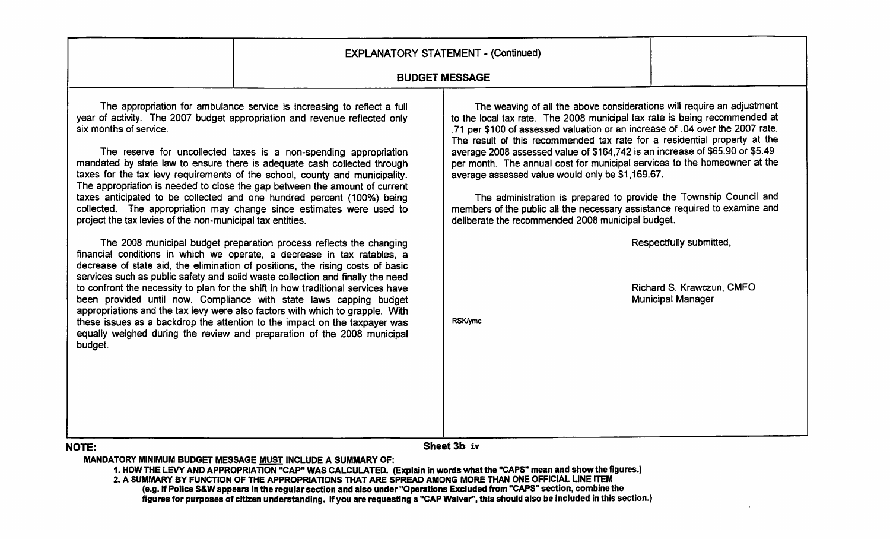|                                                                                                                                                                                                                                                                                                                                                                                                                                                                                                                                                                                                                                                                                                                                                                                                                                                                                                                                                                                                                                                                                                                                                                                                                                                                                                                                                                                                                                                   | <b>EXPLANATORY STATEMENT - (Continued)</b>                                                                                                                                                                                                                                                                                                                                                                                                                                                                                                                                                                                                                                                                                                                     |                                                                                  |
|---------------------------------------------------------------------------------------------------------------------------------------------------------------------------------------------------------------------------------------------------------------------------------------------------------------------------------------------------------------------------------------------------------------------------------------------------------------------------------------------------------------------------------------------------------------------------------------------------------------------------------------------------------------------------------------------------------------------------------------------------------------------------------------------------------------------------------------------------------------------------------------------------------------------------------------------------------------------------------------------------------------------------------------------------------------------------------------------------------------------------------------------------------------------------------------------------------------------------------------------------------------------------------------------------------------------------------------------------------------------------------------------------------------------------------------------------|----------------------------------------------------------------------------------------------------------------------------------------------------------------------------------------------------------------------------------------------------------------------------------------------------------------------------------------------------------------------------------------------------------------------------------------------------------------------------------------------------------------------------------------------------------------------------------------------------------------------------------------------------------------------------------------------------------------------------------------------------------------|----------------------------------------------------------------------------------|
|                                                                                                                                                                                                                                                                                                                                                                                                                                                                                                                                                                                                                                                                                                                                                                                                                                                                                                                                                                                                                                                                                                                                                                                                                                                                                                                                                                                                                                                   | <b>BUDGET MESSAGE</b>                                                                                                                                                                                                                                                                                                                                                                                                                                                                                                                                                                                                                                                                                                                                          |                                                                                  |
| The appropriation for ambulance service is increasing to reflect a full<br>year of activity. The 2007 budget appropriation and revenue reflected only<br>six months of service.<br>The reserve for uncollected taxes is a non-spending appropriation<br>mandated by state law to ensure there is adequate cash collected through<br>taxes for the tax levy requirements of the school, county and municipality.<br>The appropriation is needed to close the gap between the amount of current<br>taxes anticipated to be collected and one hundred percent (100%) being<br>collected. The appropriation may change since estimates were used to<br>project the tax levies of the non-municipal tax entities.<br>The 2008 municipal budget preparation process reflects the changing<br>financial conditions in which we operate, a decrease in tax ratables, a<br>decrease of state aid, the elimination of positions, the rising costs of basic<br>services such as public safety and solid waste collection and finally the need<br>to confront the necessity to plan for the shift in how traditional services have<br>been provided until now. Compliance with state laws capping budget<br>appropriations and the tax levy were also factors with which to grapple. With<br>these issues as a backdrop the attention to the impact on the taxpayer was<br>equally weighed during the review and preparation of the 2008 municipal<br>budget. | The weaving of all the above considerations will require an adjustment<br>to the local tax rate. The 2008 municipal tax rate is being recommended at<br>.71 per \$100 of assessed valuation or an increase of .04 over the 2007 rate.<br>The result of this recommended tax rate for a residential property at the<br>average 2008 assessed value of \$164,742 is an increase of \$65.90 or \$5.49<br>per month. The annual cost for municipal services to the homeowner at the<br>average assessed value would only be \$1,169.67.<br>The administration is prepared to provide the Township Council and<br>members of the public all the necessary assistance required to examine and<br>deliberate the recommended 2008 municipal budget.<br><b>RSK/ymc</b> | Respectfully submitted,<br>Richard S. Krawczun, CMFO<br><b>Municipal Manager</b> |
| <b>NOTE:</b>                                                                                                                                                                                                                                                                                                                                                                                                                                                                                                                                                                                                                                                                                                                                                                                                                                                                                                                                                                                                                                                                                                                                                                                                                                                                                                                                                                                                                                      | Sheet 3b iv                                                                                                                                                                                                                                                                                                                                                                                                                                                                                                                                                                                                                                                                                                                                                    |                                                                                  |

MANDATORY MINIMUM BUDGET MESSAGE MUST INCLUDE A SUMMARY OF: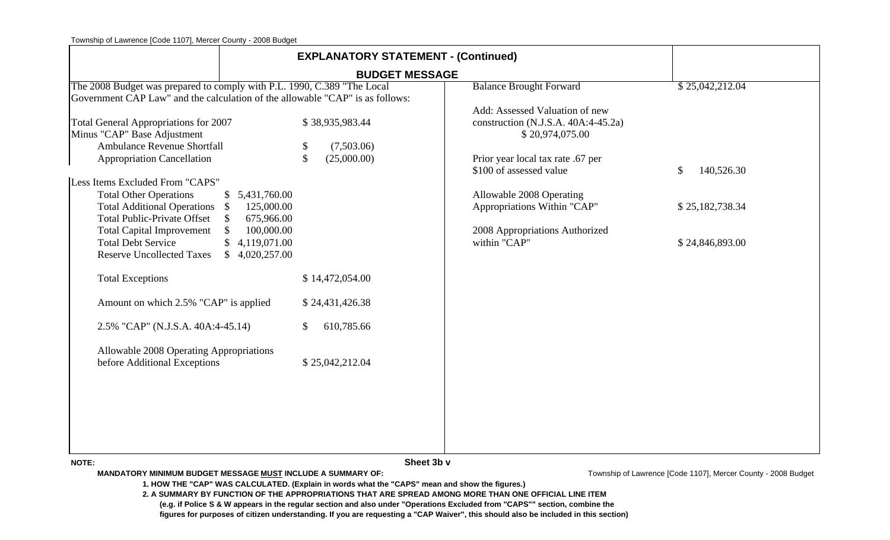|                                                                                                                                                                                                                                                                                                                                                                                     | <b>EXPLANATORY STATEMENT - (Continued)</b>                                                                                                      |                                                                                                                                                                                                                                                                       |                                                                  |
|-------------------------------------------------------------------------------------------------------------------------------------------------------------------------------------------------------------------------------------------------------------------------------------------------------------------------------------------------------------------------------------|-------------------------------------------------------------------------------------------------------------------------------------------------|-----------------------------------------------------------------------------------------------------------------------------------------------------------------------------------------------------------------------------------------------------------------------|------------------------------------------------------------------|
|                                                                                                                                                                                                                                                                                                                                                                                     | <b>BUDGET MESSAGE</b>                                                                                                                           |                                                                                                                                                                                                                                                                       |                                                                  |
| The 2008 Budget was prepared to comply with P.L. 1990, C.389 "The Local                                                                                                                                                                                                                                                                                                             |                                                                                                                                                 | <b>Balance Brought Forward</b>                                                                                                                                                                                                                                        | \$25,042,212.04                                                  |
| Government CAP Law" and the calculation of the allowable "CAP" is as follows:                                                                                                                                                                                                                                                                                                       |                                                                                                                                                 |                                                                                                                                                                                                                                                                       |                                                                  |
| <b>Total General Appropriations for 2007</b><br>Minus "CAP" Base Adjustment<br><b>Ambulance Revenue Shortfall</b><br><b>Appropriation Cancellation</b><br>Less Items Excluded From "CAPS"<br><b>Total Other Operations</b><br>Total Additional Operations \$<br><b>Total Public-Private Offset</b><br>$\mathbb{S}$<br><b>Total Capital Improvement</b><br><b>Total Debt Service</b> | \$38,935,983.44<br>\$<br>(7,503.06)<br>$\mathcal{S}$<br>(25,000.00)<br>\$5,431,760.00<br>125,000.00<br>675,966.00<br>100,000.00<br>4,119,071.00 | Add: Assessed Valuation of new<br>construction (N.J.S.A. 40A:4-45.2a)<br>\$20,974,075.00<br>Prior year local tax rate .67 per<br>\$100 of assessed value<br>Allowable 2008 Operating<br>Appropriations Within "CAP"<br>2008 Appropriations Authorized<br>within "CAP" | $\mathbb{S}$<br>140,526.30<br>\$25,182,738.34<br>\$24,846,893.00 |
| <b>Reserve Uncollected Taxes</b><br><b>Total Exceptions</b>                                                                                                                                                                                                                                                                                                                         | \$4,020,257.00<br>\$14,472,054.00                                                                                                               |                                                                                                                                                                                                                                                                       |                                                                  |
| Amount on which 2.5% "CAP" is applied                                                                                                                                                                                                                                                                                                                                               | \$24,431,426.38                                                                                                                                 |                                                                                                                                                                                                                                                                       |                                                                  |
| 2.5% "CAP" (N.J.S.A. 40A:4-45.14)                                                                                                                                                                                                                                                                                                                                                   | 610,785.66<br>\$                                                                                                                                |                                                                                                                                                                                                                                                                       |                                                                  |
| Allowable 2008 Operating Appropriations<br>before Additional Exceptions                                                                                                                                                                                                                                                                                                             | \$25,042,212.04                                                                                                                                 |                                                                                                                                                                                                                                                                       |                                                                  |
| <b>NOTE:</b>                                                                                                                                                                                                                                                                                                                                                                        | Sheet 3b v                                                                                                                                      |                                                                                                                                                                                                                                                                       |                                                                  |

**MANDATORY MINIMUM BUDGET MESSAGE MUST INCLUDE A SUMMARY OF:**

Township of Lawrence [Code 1107], Mercer County - 2008 Budget

**1. HOW THE "CAP" WAS CALCULATED. (Explain in words what the "CAPS" mean and show the figures.)**

**2. A SUMMARY BY FUNCTION OF THE APPROPRIATIONS THAT ARE SPREAD AMONG MORE THAN ONE OFFICIAL LINE ITEM**

 **(e.g. if Police S & W appears in the regular section and also under "Operations Excluded from "CAPS"" section, combine the**

 **figures for purposes of citizen understanding. If you are requesting a "CAP Waiver", this should also be included in this section)**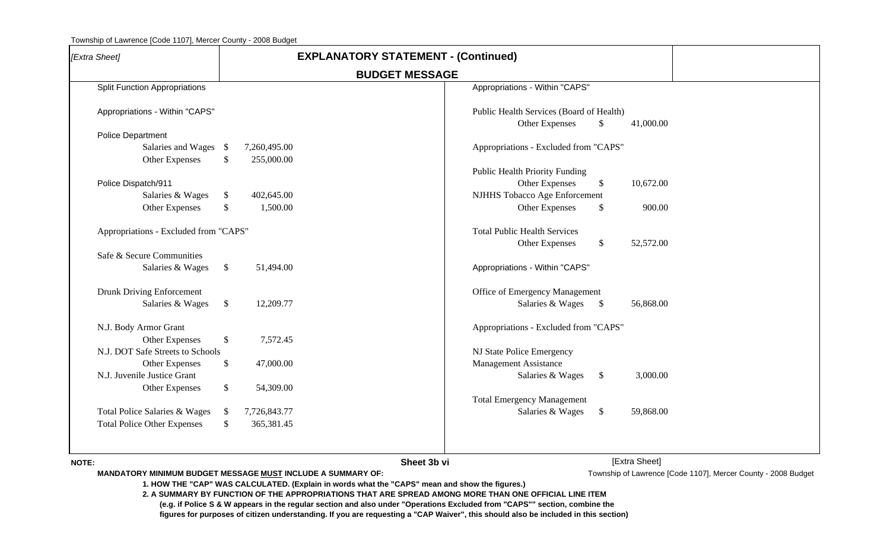| [Extra Sheet]                                               |               |                            | <b>EXPLANATORY STATEMENT - (Continued)</b>                                                     |                                                                                                                                                                                                                                     |               |                                                               |  |
|-------------------------------------------------------------|---------------|----------------------------|------------------------------------------------------------------------------------------------|-------------------------------------------------------------------------------------------------------------------------------------------------------------------------------------------------------------------------------------|---------------|---------------------------------------------------------------|--|
|                                                             |               |                            | <b>BUDGET MESSAGE</b>                                                                          |                                                                                                                                                                                                                                     |               |                                                               |  |
| <b>Split Function Appropriations</b>                        |               |                            |                                                                                                | Appropriations - Within "CAPS"                                                                                                                                                                                                      |               |                                                               |  |
| Appropriations - Within "CAPS"                              |               |                            |                                                                                                | Public Health Services (Board of Health)<br>Other Expenses                                                                                                                                                                          | \$            | 41,000.00                                                     |  |
| <b>Police Department</b>                                    |               |                            |                                                                                                |                                                                                                                                                                                                                                     |               |                                                               |  |
| Salaries and Wages \$<br>Other Expenses                     | \$            | 7,260,495.00<br>255,000.00 |                                                                                                | Appropriations - Excluded from "CAPS"                                                                                                                                                                                               |               |                                                               |  |
|                                                             |               |                            |                                                                                                | <b>Public Health Priority Funding</b>                                                                                                                                                                                               |               |                                                               |  |
| Police Dispatch/911                                         |               |                            |                                                                                                | Other Expenses                                                                                                                                                                                                                      | \$            | 10,672.00                                                     |  |
| Salaries & Wages                                            | $\frac{1}{2}$ | 402,645.00                 |                                                                                                | NJHHS Tobacco Age Enforcement                                                                                                                                                                                                       |               |                                                               |  |
| Other Expenses                                              | \$            | 1,500.00                   |                                                                                                | Other Expenses                                                                                                                                                                                                                      | \$            | 900.00                                                        |  |
| Appropriations - Excluded from "CAPS"                       |               |                            |                                                                                                | <b>Total Public Health Services</b><br>Other Expenses                                                                                                                                                                               | \$            | 52,572.00                                                     |  |
| Safe & Secure Communities                                   |               |                            |                                                                                                |                                                                                                                                                                                                                                     |               |                                                               |  |
| Salaries & Wages                                            | $\frac{1}{2}$ | 51,494.00                  |                                                                                                | Appropriations - Within "CAPS"                                                                                                                                                                                                      |               |                                                               |  |
| Drunk Driving Enforcement                                   |               |                            |                                                                                                | Office of Emergency Management                                                                                                                                                                                                      |               |                                                               |  |
| Salaries & Wages                                            | $\mathcal{S}$ | 12,209.77                  |                                                                                                | Salaries & Wages                                                                                                                                                                                                                    | $\mathcal{S}$ | 56,868.00                                                     |  |
| N.J. Body Armor Grant                                       |               |                            |                                                                                                | Appropriations - Excluded from "CAPS"                                                                                                                                                                                               |               |                                                               |  |
| Other Expenses                                              | \$            | 7,572.45                   |                                                                                                |                                                                                                                                                                                                                                     |               |                                                               |  |
| N.J. DOT Safe Streets to Schools                            |               |                            |                                                                                                | NJ State Police Emergency                                                                                                                                                                                                           |               |                                                               |  |
| Other Expenses                                              | \$            | 47,000.00                  |                                                                                                | <b>Management Assistance</b>                                                                                                                                                                                                        |               |                                                               |  |
| N.J. Juvenile Justice Grant                                 |               |                            |                                                                                                | Salaries & Wages                                                                                                                                                                                                                    | $\frac{1}{2}$ | 3,000.00                                                      |  |
| Other Expenses                                              | \$            | 54,309.00                  |                                                                                                | <b>Total Emergency Management</b>                                                                                                                                                                                                   |               |                                                               |  |
| Total Police Salaries & Wages                               | -S            | 7,726,843.77               |                                                                                                | Salaries & Wages                                                                                                                                                                                                                    | $\frac{1}{2}$ | 59,868.00                                                     |  |
| <b>Total Police Other Expenses</b>                          | \$.           | 365,381.45                 |                                                                                                |                                                                                                                                                                                                                                     |               |                                                               |  |
|                                                             |               |                            |                                                                                                |                                                                                                                                                                                                                                     |               |                                                               |  |
| <b>NOTE:</b>                                                |               |                            | Sheet 3b vi                                                                                    |                                                                                                                                                                                                                                     |               | [Extra Sheet]                                                 |  |
| MANDATORY MINIMUM BUDGET MESSAGE MUST INCLUDE A SUMMARY OF: |               |                            |                                                                                                |                                                                                                                                                                                                                                     |               | Township of Lawrence [Code 1107], Mercer County - 2008 Budget |  |
|                                                             |               |                            | 1. HOW THE "CAP" WAS CALCULATED. (Explain in words what the "CAPS" mean and show the figures.) |                                                                                                                                                                                                                                     |               |                                                               |  |
|                                                             |               |                            |                                                                                                | 2. A SUMMARY BY FUNCTION OF THE APPROPRIATIONS THAT ARE SPREAD AMONG MORE THAN ONE OFFICIAL LINE ITEM<br>(e.g. if Police S & W appears in the regular section and also under "Operations Excluded from "CAPS"" section, combine the |               |                                                               |  |
|                                                             |               |                            |                                                                                                | figures for purposes of citizen understanding. If you are requesting a "CAP Waiver", this should also be included in this section)                                                                                                  |               |                                                               |  |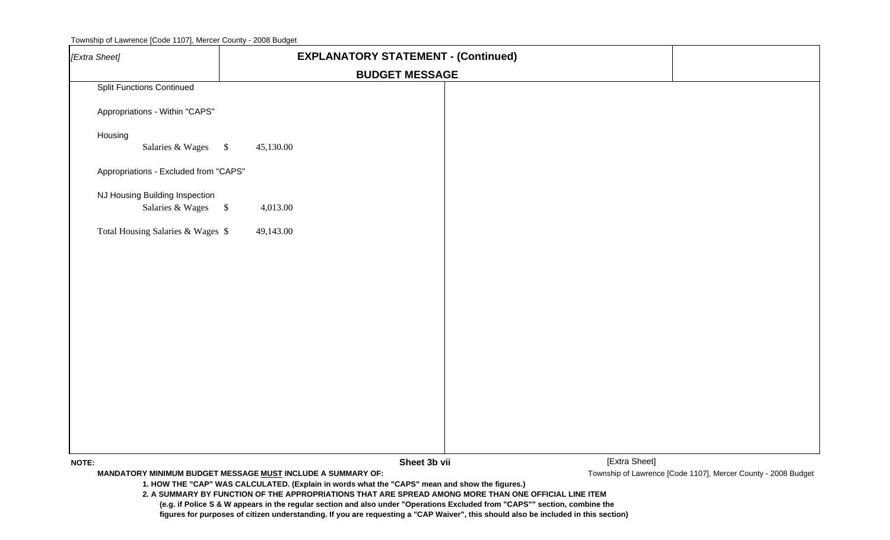| Township of Lawrence [Code 1107], Mercer County - 2008 Budget |  |  |  |
|---------------------------------------------------------------|--|--|--|
|---------------------------------------------------------------|--|--|--|

| [Extra Sheet]                                      | <b>EXPLANATORY STATEMENT - (Continued)</b>                                                                                                                                                                                                                                                                                            |                                                               |
|----------------------------------------------------|---------------------------------------------------------------------------------------------------------------------------------------------------------------------------------------------------------------------------------------------------------------------------------------------------------------------------------------|---------------------------------------------------------------|
|                                                    | <b>BUDGET MESSAGE</b>                                                                                                                                                                                                                                                                                                                 |                                                               |
| <b>Split Functions Continued</b>                   |                                                                                                                                                                                                                                                                                                                                       |                                                               |
| Appropriations - Within "CAPS"                     |                                                                                                                                                                                                                                                                                                                                       |                                                               |
| Housing<br>Salaries & Wages                        | $\sqrt{3}$<br>45,130.00                                                                                                                                                                                                                                                                                                               |                                                               |
| Appropriations - Excluded from "CAPS"              |                                                                                                                                                                                                                                                                                                                                       |                                                               |
| NJ Housing Building Inspection<br>Salaries & Wages | $\sqrt[6]{\frac{1}{2}}$<br>4,013.00                                                                                                                                                                                                                                                                                                   |                                                               |
| Total Housing Salaries & Wages \$                  | 49,143.00                                                                                                                                                                                                                                                                                                                             |                                                               |
|                                                    |                                                                                                                                                                                                                                                                                                                                       |                                                               |
|                                                    |                                                                                                                                                                                                                                                                                                                                       |                                                               |
|                                                    |                                                                                                                                                                                                                                                                                                                                       |                                                               |
|                                                    |                                                                                                                                                                                                                                                                                                                                       |                                                               |
|                                                    |                                                                                                                                                                                                                                                                                                                                       |                                                               |
|                                                    |                                                                                                                                                                                                                                                                                                                                       |                                                               |
|                                                    |                                                                                                                                                                                                                                                                                                                                       |                                                               |
|                                                    |                                                                                                                                                                                                                                                                                                                                       |                                                               |
|                                                    |                                                                                                                                                                                                                                                                                                                                       |                                                               |
| <b>NOTE:</b>                                       | [Extra Sheet]<br>Sheet 3b vii                                                                                                                                                                                                                                                                                                         |                                                               |
|                                                    | MANDATORY MINIMUM BUDGET MESSAGE MUST INCLUDE A SUMMARY OF:                                                                                                                                                                                                                                                                           | Township of Lawrence [Code 1107], Mercer County - 2008 Budget |
|                                                    | 1. HOW THE "CAP" WAS CALCULATED. (Explain in words what the "CAPS" mean and show the figures.)<br>2. A SUMMARY BY FUNCTION OF THE APPROPRIATIONS THAT ARE SPREAD AMONG MORE THAN ONE OFFICIAL LINE ITEM<br>(e.g. if Police S & W appears in the regular section and also under "Operations Excluded from "CAPS"" section, combine the |                                                               |
|                                                    | figures for purposes of citizen understanding. If you are requesting a "CAP Waiver", this should also be included in this section)                                                                                                                                                                                                    |                                                               |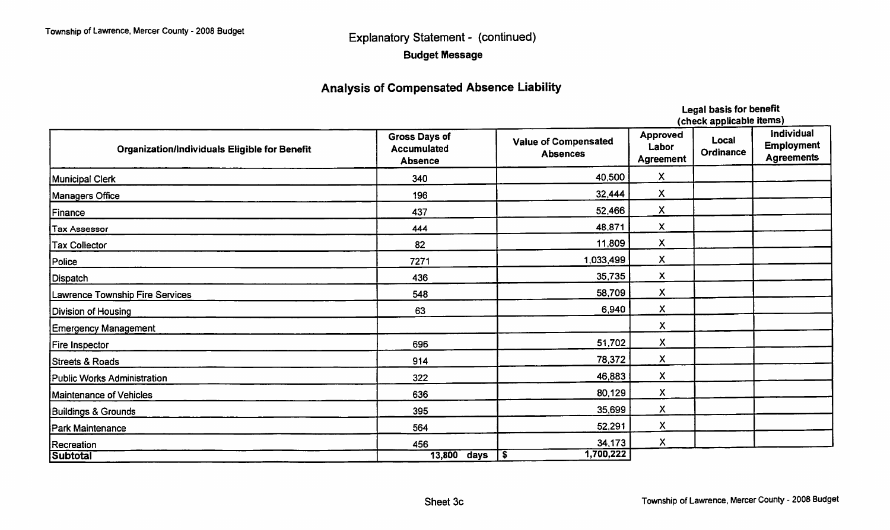## **Explanatory Statement - (continued) Budget Message**

## **Analysis of Compensated Absence Liability**

| fruce applicante trainer                      |                                                                                                         |                  |                                              |                    |                                                             |
|-----------------------------------------------|---------------------------------------------------------------------------------------------------------|------------------|----------------------------------------------|--------------------|-------------------------------------------------------------|
| Organization/Individuals Eligible for Benefit | Gross Days of<br><b>Value of Compensated</b><br><b>Accumulated</b><br><b>Absences</b><br><b>Absence</b> |                  | <b>Approved</b><br>Labor<br><b>Agreement</b> | Local<br>Ordinance | <b>Individual</b><br><b>Employment</b><br><b>Agreements</b> |
| Municipal Clerk                               | 340                                                                                                     | 40,500           | X                                            |                    |                                                             |
| Managers Office                               | 196                                                                                                     | 32,444           | $\boldsymbol{\mathsf{X}}$                    |                    |                                                             |
| Finance                                       | 437                                                                                                     | 52,466           | $\boldsymbol{\mathsf{X}}$                    |                    |                                                             |
| <b>Tax Assessor</b>                           | 444                                                                                                     | 48,871           | $\boldsymbol{\mathsf{X}}$                    |                    |                                                             |
| <b>Tax Collector</b>                          | 82                                                                                                      | 11,809           | $\boldsymbol{\mathsf{X}}$                    |                    |                                                             |
| Police                                        | 7271                                                                                                    | 1,033,499        | $\boldsymbol{X}$                             |                    |                                                             |
| Dispatch                                      | 436                                                                                                     | 35,735           | $\boldsymbol{\mathsf{X}}$                    |                    |                                                             |
| Lawrence Township Fire Services               | 548                                                                                                     | 58,709           | $\boldsymbol{\mathsf{X}}$                    |                    |                                                             |
| Division of Housing                           | 63                                                                                                      | 6,940            | $\boldsymbol{\mathsf{x}}$                    |                    |                                                             |
| <b>Emergency Management</b>                   |                                                                                                         |                  | $\pmb{\mathsf{X}}$                           |                    |                                                             |
| <b>Fire Inspector</b>                         | 696                                                                                                     | 51,702           | $\pmb{\mathsf{X}}$                           |                    |                                                             |
| Streets & Roads                               | 914                                                                                                     | 78,372           | $\boldsymbol{\mathsf{X}}$                    |                    |                                                             |
| Public Works Administration                   | 322                                                                                                     | 46,883           | $\pmb{\mathsf{X}}$                           |                    |                                                             |
| Maintenance of Vehicles                       | 636                                                                                                     | 80,129           | X                                            |                    |                                                             |
| <b>Buildings &amp; Grounds</b>                | 395                                                                                                     | 35,699           | X                                            |                    |                                                             |
| Park Maintenance                              | 564                                                                                                     | 52,291           | X                                            |                    |                                                             |
| Recreation                                    | 456                                                                                                     | 34,173           | X                                            |                    |                                                             |
| <b>Subtotal</b>                               | 13,800<br>days                                                                                          | 1,700,222<br>Γ\$ |                                              |                    |                                                             |

Legal basis for benefit<br>(check applicable items)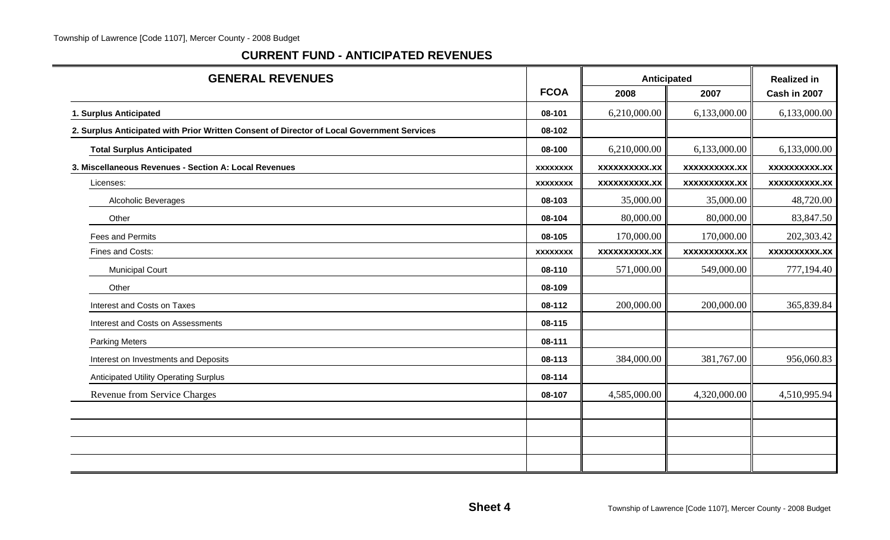#### **CURRENT FUND - ANTICIPATED REVENUES**

| <b>GENERAL REVENUES</b>                                                                    |                 | Anticipated          |                      | <b>Realized in</b>  |
|--------------------------------------------------------------------------------------------|-----------------|----------------------|----------------------|---------------------|
|                                                                                            | <b>FCOA</b>     | 2008                 | 2007                 | Cash in 2007        |
| 1. Surplus Anticipated                                                                     | 08-101          | 6,210,000.00         | 6,133,000.00         | 6,133,000.00        |
| 2. Surplus Anticipated with Prior Written Consent of Director of Local Government Services | 08-102          |                      |                      |                     |
| <b>Total Surplus Anticipated</b>                                                           | 08-100          | 6,210,000.00         | 6,133,000.00         | 6,133,000.00        |
| 3. Miscellaneous Revenues - Section A: Local Revenues                                      | <b>XXXXXXXX</b> | <b>XXXXXXXXXX.XX</b> | <b>XXXXXXXXXX.XX</b> | xxxxxxxxxx.xx       |
| Licenses:                                                                                  | <b>XXXXXXXX</b> | <b>XXXXXXXXX.XX</b>  | <b>XXXXXXXXXX.XX</b> | <b>XXXXXXXXX.XX</b> |
| Alcoholic Beverages                                                                        | 08-103          | 35,000.00            | 35,000.00            | 48,720.00           |
| Other                                                                                      | 08-104          | 80,000.00            | 80,000.00            | 83,847.50           |
| Fees and Permits                                                                           | 08-105          | 170,000.00           | 170,000.00           | 202,303.42          |
| Fines and Costs:                                                                           | <b>XXXXXXXX</b> | xxxxxxxxxx.xx        | <b>XXXXXXXXXX.XX</b> | <b>XXXXXXXXX.XX</b> |
| <b>Municipal Court</b>                                                                     | 08-110          | 571,000.00           | 549,000.00           | 777,194.40          |
| Other                                                                                      | 08-109          |                      |                      |                     |
| Interest and Costs on Taxes                                                                | 08-112          | 200,000.00           | 200,000.00           | 365,839.84          |
| Interest and Costs on Assessments                                                          | 08-115          |                      |                      |                     |
| <b>Parking Meters</b>                                                                      | 08-111          |                      |                      |                     |
| Interest on Investments and Deposits                                                       | 08-113          | 384,000.00           | 381,767.00           | 956,060.83          |
| <b>Anticipated Utility Operating Surplus</b>                                               | 08-114          |                      |                      |                     |
| Revenue from Service Charges                                                               | 08-107          | 4,585,000.00         | 4,320,000.00         | 4,510,995.94        |
|                                                                                            |                 |                      |                      |                     |
|                                                                                            |                 |                      |                      |                     |
|                                                                                            |                 |                      |                      |                     |
|                                                                                            |                 |                      |                      |                     |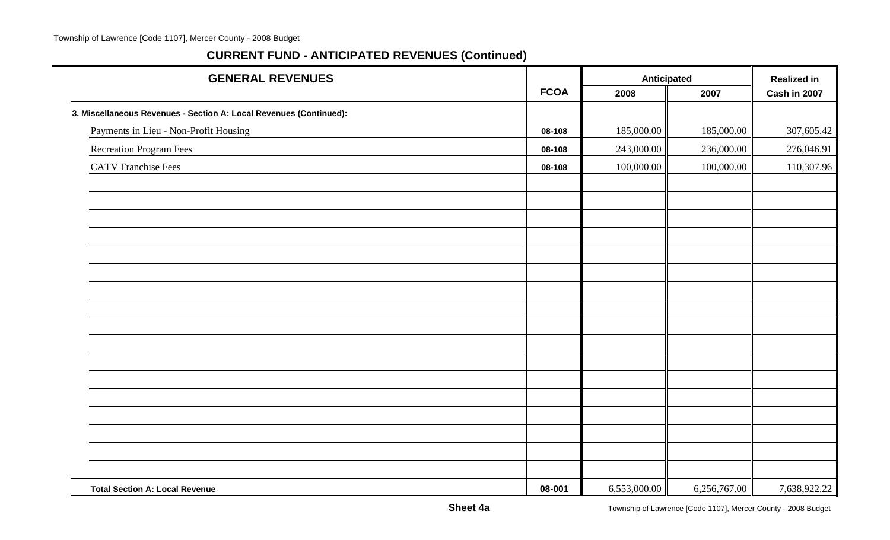| <b>GENERAL REVENUES</b>                                            |             | Anticipated  |              | <b>Realized in</b> |
|--------------------------------------------------------------------|-------------|--------------|--------------|--------------------|
|                                                                    | <b>FCOA</b> | 2008         | 2007         | Cash in 2007       |
| 3. Miscellaneous Revenues - Section A: Local Revenues (Continued): |             |              |              |                    |
| Payments in Lieu - Non-Profit Housing                              | 08-108      | 185,000.00   | 185,000.00   | 307,605.42         |
| Recreation Program Fees                                            | 08-108      | 243,000.00   | 236,000.00   | 276,046.91         |
| <b>CATV</b> Franchise Fees                                         | 08-108      | 100,000.00   | 100,000.00   | 110,307.96         |
|                                                                    |             |              |              |                    |
|                                                                    |             |              |              |                    |
|                                                                    |             |              |              |                    |
|                                                                    |             |              |              |                    |
|                                                                    |             |              |              |                    |
|                                                                    |             |              |              |                    |
|                                                                    |             |              |              |                    |
|                                                                    |             |              |              |                    |
|                                                                    |             |              |              |                    |
|                                                                    |             |              |              |                    |
|                                                                    |             |              |              |                    |
|                                                                    |             |              |              |                    |
|                                                                    |             |              |              |                    |
|                                                                    |             |              |              |                    |
|                                                                    |             |              |              |                    |
|                                                                    |             |              |              |                    |
|                                                                    |             |              |              |                    |
| <b>Total Section A: Local Revenue</b>                              | 08-001      | 6,553,000.00 | 6,256,767.00 | 7,638,922.22       |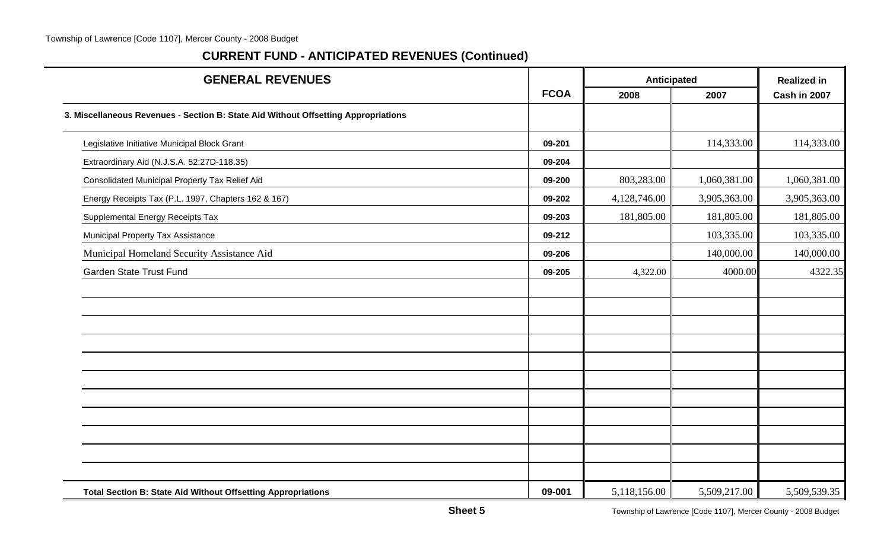| <b>GENERAL REVENUES</b>                                                            |             | Anticipated  | <b>Realized in</b> |              |
|------------------------------------------------------------------------------------|-------------|--------------|--------------------|--------------|
|                                                                                    | <b>FCOA</b> | 2008         | 2007               | Cash in 2007 |
| 3. Miscellaneous Revenues - Section B: State Aid Without Offsetting Appropriations |             |              |                    |              |
| Legislative Initiative Municipal Block Grant                                       | 09-201      |              | 114,333.00         | 114,333.00   |
| Extraordinary Aid (N.J.S.A. 52:27D-118.35)                                         | 09-204      |              |                    |              |
| Consolidated Municipal Property Tax Relief Aid                                     | 09-200      | 803,283.00   | 1,060,381.00       | 1,060,381.00 |
| Energy Receipts Tax (P.L. 1997, Chapters 162 & 167)                                | 09-202      | 4,128,746.00 | 3,905,363.00       | 3,905,363.00 |
| Supplemental Energy Receipts Tax                                                   | 09-203      | 181,805.00   | 181,805.00         | 181,805.00   |
| Municipal Property Tax Assistance                                                  | 09-212      |              | 103,335.00         | 103,335.00   |
| Municipal Homeland Security Assistance Aid                                         | 09-206      |              | 140,000.00         | 140,000.00   |
| Garden State Trust Fund                                                            | 09-205      | 4,322.00     | 4000.00            | 4322.35      |
|                                                                                    |             |              |                    |              |
|                                                                                    |             |              |                    |              |
|                                                                                    |             |              |                    |              |
|                                                                                    |             |              |                    |              |
|                                                                                    |             |              |                    |              |
|                                                                                    |             |              |                    |              |
|                                                                                    |             |              |                    |              |
|                                                                                    |             |              |                    |              |
|                                                                                    |             |              |                    |              |
|                                                                                    |             |              |                    |              |
|                                                                                    |             |              |                    |              |
| <b>Total Section B: State Aid Without Offsetting Appropriations</b>                | 09-001      | 5,118,156.00 | 5,509,217.00       | 5,509,539.35 |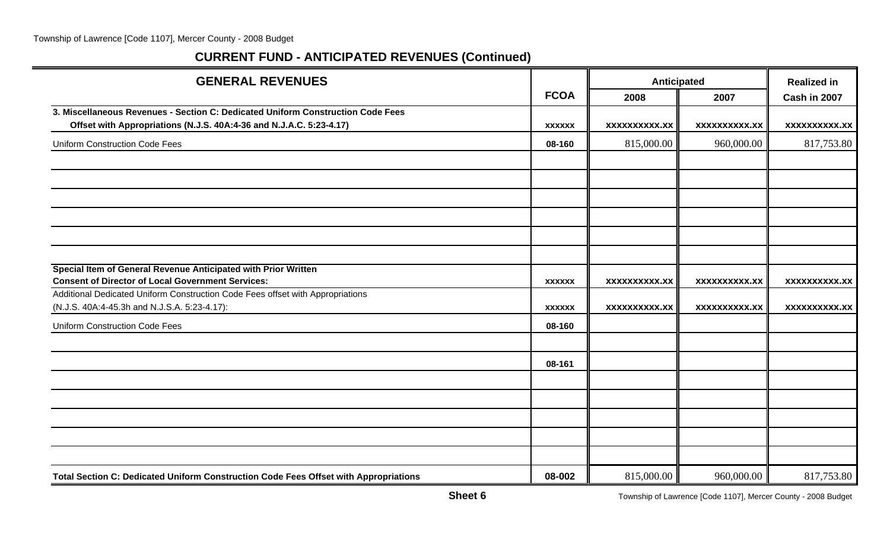| <b>GENERAL REVENUES</b>                                                                                                        |               | Anticipated          |                      | <b>Realized in</b>   |
|--------------------------------------------------------------------------------------------------------------------------------|---------------|----------------------|----------------------|----------------------|
|                                                                                                                                | <b>FCOA</b>   | 2008                 | 2007                 | Cash in 2007         |
| 3. Miscellaneous Revenues - Section C: Dedicated Uniform Construction Code Fees                                                |               |                      |                      |                      |
| Offset with Appropriations (N.J.S. 40A:4-36 and N.J.A.C. 5:23-4.17)                                                            | <b>XXXXXX</b> | <b>XXXXXXXXXX.XX</b> | <b>XXXXXXXXXX.XX</b> | <b>XXXXXXXXXX.XX</b> |
| <b>Uniform Construction Code Fees</b>                                                                                          | 08-160        | 815,000.00           | 960,000.00           | 817,753.80           |
|                                                                                                                                |               |                      |                      |                      |
|                                                                                                                                |               |                      |                      |                      |
|                                                                                                                                |               |                      |                      |                      |
|                                                                                                                                |               |                      |                      |                      |
|                                                                                                                                |               |                      |                      |                      |
|                                                                                                                                |               |                      |                      |                      |
| Special Item of General Revenue Anticipated with Prior Written                                                                 |               |                      |                      |                      |
| <b>Consent of Director of Local Government Services:</b>                                                                       | <b>XXXXXX</b> | <b>XXXXXXXXXX.XX</b> | <b>XXXXXXXXXX.XX</b> | <b>XXXXXXXXXX.XX</b> |
| Additional Dedicated Uniform Construction Code Fees offset with Appropriations<br>(N.J.S. 40A:4-45.3h and N.J.S.A. 5:23-4.17): | <b>XXXXXX</b> | <b>XXXXXXXXXX.XX</b> | <b>XXXXXXXXXX.XX</b> | <b>XXXXXXXXXX.XX</b> |
| <b>Uniform Construction Code Fees</b>                                                                                          | 08-160        |                      |                      |                      |
|                                                                                                                                |               |                      |                      |                      |
|                                                                                                                                | 08-161        |                      |                      |                      |
|                                                                                                                                |               |                      |                      |                      |
|                                                                                                                                |               |                      |                      |                      |
|                                                                                                                                |               |                      |                      |                      |
|                                                                                                                                |               |                      |                      |                      |
|                                                                                                                                |               |                      |                      |                      |
| Total Section C: Dedicated Uniform Construction Code Fees Offset with Appropriations                                           | 08-002        | 815,000.00           | 960,000.00           | 817,753.80           |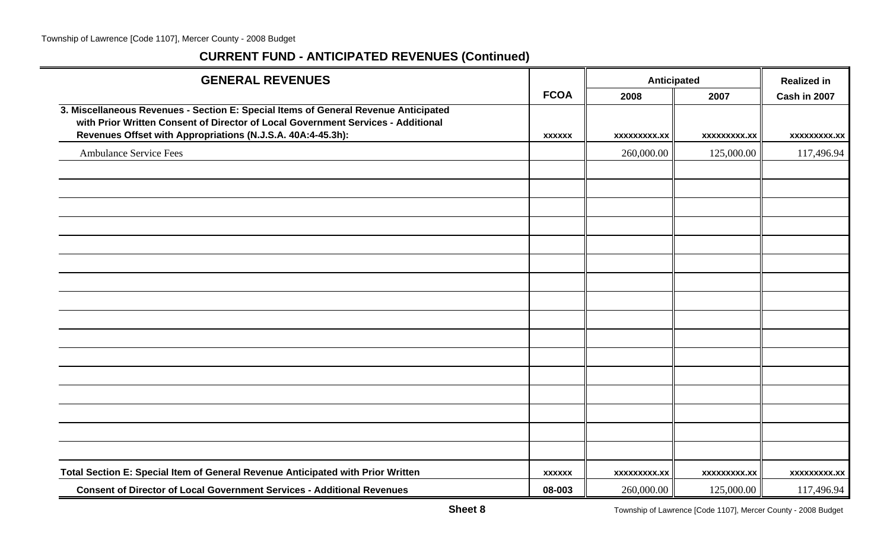| <b>GENERAL REVENUES</b>                                                                                                                                                                                                                |               | Anticipated  |                     | <b>Realized in</b> |  |
|----------------------------------------------------------------------------------------------------------------------------------------------------------------------------------------------------------------------------------------|---------------|--------------|---------------------|--------------------|--|
|                                                                                                                                                                                                                                        | <b>FCOA</b>   | 2008         | 2007                | Cash in 2007       |  |
| 3. Miscellaneous Revenues - Section E: Special Items of General Revenue Anticipated<br>with Prior Written Consent of Director of Local Government Services - Additional<br>Revenues Offset with Appropriations (N.J.S.A. 40A:4-45.3h): | <b>XXXXXX</b> | XXXXXXXXX.XX | <b>XXXXXXXXX.XX</b> | xxxxxxxxx.xx       |  |
| <b>Ambulance Service Fees</b>                                                                                                                                                                                                          |               | 260,000.00   | 125,000.00          | 117,496.94         |  |
|                                                                                                                                                                                                                                        |               |              |                     |                    |  |
|                                                                                                                                                                                                                                        |               |              |                     |                    |  |
|                                                                                                                                                                                                                                        |               |              |                     |                    |  |
|                                                                                                                                                                                                                                        |               |              |                     |                    |  |
|                                                                                                                                                                                                                                        |               |              |                     |                    |  |
|                                                                                                                                                                                                                                        |               |              |                     |                    |  |
|                                                                                                                                                                                                                                        |               |              |                     |                    |  |
|                                                                                                                                                                                                                                        |               |              |                     |                    |  |
|                                                                                                                                                                                                                                        |               |              |                     |                    |  |
|                                                                                                                                                                                                                                        |               |              |                     |                    |  |
|                                                                                                                                                                                                                                        |               |              |                     |                    |  |
|                                                                                                                                                                                                                                        |               |              |                     |                    |  |
|                                                                                                                                                                                                                                        |               |              |                     |                    |  |
|                                                                                                                                                                                                                                        |               |              |                     |                    |  |
|                                                                                                                                                                                                                                        |               |              |                     |                    |  |
|                                                                                                                                                                                                                                        |               |              |                     |                    |  |
| Total Section E: Special Item of General Revenue Anticipated with Prior Written                                                                                                                                                        | <b>XXXXXX</b> | xxxxxxxxx.xx | xxxxxxxxx.xx        | xxxxxxxxx.xx       |  |
| <b>Consent of Director of Local Government Services - Additional Revenues</b>                                                                                                                                                          | 08-003        | 260,000.00   | 125,000.00          | 117,496.94         |  |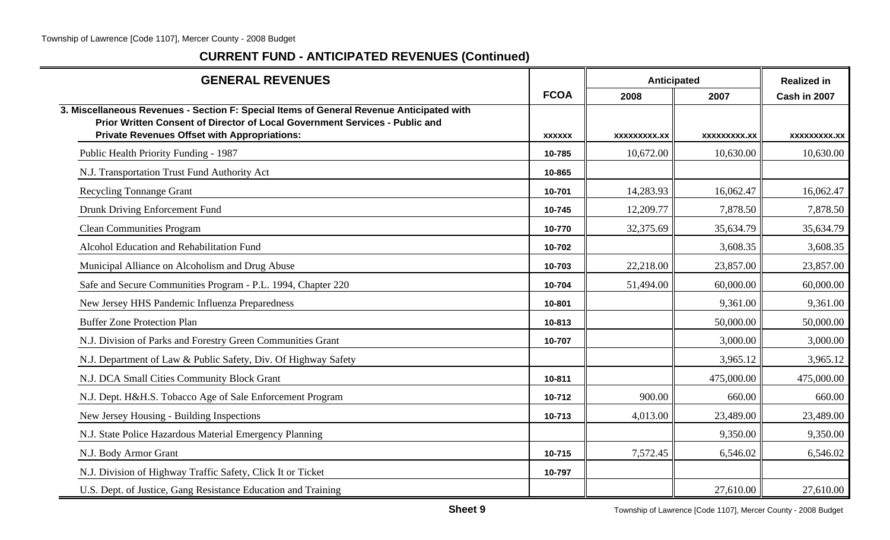| <b>GENERAL REVENUES</b>                                                                                                                                                                                                        |               | <b>Anticipated</b> |                     | <b>Realized in</b> |
|--------------------------------------------------------------------------------------------------------------------------------------------------------------------------------------------------------------------------------|---------------|--------------------|---------------------|--------------------|
|                                                                                                                                                                                                                                | <b>FCOA</b>   | 2008               | 2007                | Cash in 2007       |
| 3. Miscellaneous Revenues - Section F: Special Items of General Revenue Anticipated with<br>Prior Written Consent of Director of Local Government Services - Public and<br><b>Private Revenues Offset with Appropriations:</b> | <b>XXXXXX</b> | XXXXXXXX.XX        | <b>XXXXXXXXX.XX</b> | <b>XXXXXXXX.XX</b> |
| Public Health Priority Funding - 1987                                                                                                                                                                                          | 10-785        | 10,672.00          | 10,630.00           | 10,630.00          |
| N.J. Transportation Trust Fund Authority Act                                                                                                                                                                                   | 10-865        |                    |                     |                    |
| <b>Recycling Tonnange Grant</b>                                                                                                                                                                                                | 10-701        | 14,283.93          | 16,062.47           | 16,062.47          |
| Drunk Driving Enforcement Fund                                                                                                                                                                                                 | 10-745        | 12,209.77          | 7,878.50            | 7,878.50           |
| <b>Clean Communities Program</b>                                                                                                                                                                                               | 10-770        | 32,375.69          | 35,634.79           | 35,634.79          |
| Alcohol Education and Rehabilitation Fund                                                                                                                                                                                      | 10-702        |                    | 3,608.35            | 3,608.35           |
| Municipal Alliance on Alcoholism and Drug Abuse                                                                                                                                                                                | 10-703        | 22,218.00          | 23,857.00           | 23,857.00          |
| Safe and Secure Communities Program - P.L. 1994, Chapter 220                                                                                                                                                                   | 10-704        | 51,494.00          | 60,000.00           | 60,000.00          |
| New Jersey HHS Pandemic Influenza Preparedness                                                                                                                                                                                 | 10-801        |                    | 9,361.00            | 9,361.00           |
| <b>Buffer Zone Protection Plan</b>                                                                                                                                                                                             | 10-813        |                    | 50,000.00           | 50,000.00          |
| N.J. Division of Parks and Forestry Green Communities Grant                                                                                                                                                                    | 10-707        |                    | 3,000.00            | 3,000.00           |
| N.J. Department of Law & Public Safety, Div. Of Highway Safety                                                                                                                                                                 |               |                    | 3,965.12            | 3,965.12           |
| N.J. DCA Small Cities Community Block Grant                                                                                                                                                                                    | 10-811        |                    | 475,000.00          | 475,000.00         |
| N.J. Dept. H&H.S. Tobacco Age of Sale Enforcement Program                                                                                                                                                                      | 10-712        | 900.00             | 660.00              | 660.00             |
| New Jersey Housing - Building Inspections                                                                                                                                                                                      | 10-713        | 4,013.00           | 23,489.00           | 23,489.00          |
| N.J. State Police Hazardous Material Emergency Planning                                                                                                                                                                        |               |                    | 9,350.00            | 9,350.00           |
| N.J. Body Armor Grant                                                                                                                                                                                                          | 10-715        | 7,572.45           | 6,546.02            | 6,546.02           |
| N.J. Division of Highway Traffic Safety, Click It or Ticket                                                                                                                                                                    | 10-797        |                    |                     |                    |
| U.S. Dept. of Justice, Gang Resistance Education and Training                                                                                                                                                                  |               |                    | 27,610.00           | 27,610.00          |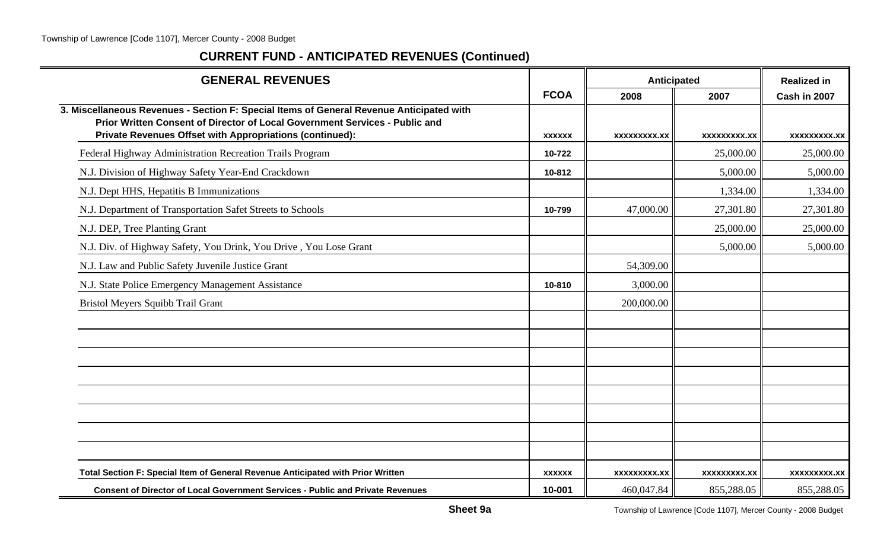| <b>GENERAL REVENUES</b>                                                                                                                                                                                                             |               | Anticipated         |                     | <b>Realized in</b> |
|-------------------------------------------------------------------------------------------------------------------------------------------------------------------------------------------------------------------------------------|---------------|---------------------|---------------------|--------------------|
|                                                                                                                                                                                                                                     | <b>FCOA</b>   | 2008                | 2007                | Cash in 2007       |
| 3. Miscellaneous Revenues - Section F: Special Items of General Revenue Anticipated with<br>Prior Written Consent of Director of Local Government Services - Public and<br>Private Revenues Offset with Appropriations (continued): | <b>XXXXXX</b> | <b>XXXXXXXXX.XX</b> | <b>XXXXXXXXX.XX</b> | XXXXXXXXX.XX       |
| Federal Highway Administration Recreation Trails Program                                                                                                                                                                            | 10-722        |                     | 25,000.00           | 25,000.00          |
| N.J. Division of Highway Safety Year-End Crackdown                                                                                                                                                                                  | 10-812        |                     | 5,000.00            | 5,000.00           |
| N.J. Dept HHS, Hepatitis B Immunizations                                                                                                                                                                                            |               |                     | 1,334.00            | 1,334.00           |
| N.J. Department of Transportation Safet Streets to Schools                                                                                                                                                                          | 10-799        | 47,000.00           | 27,301.80           | 27,301.80          |
| N.J. DEP, Tree Planting Grant                                                                                                                                                                                                       |               |                     | 25,000.00           | 25,000.00          |
| N.J. Div. of Highway Safety, You Drink, You Drive, You Lose Grant                                                                                                                                                                   |               |                     | 5,000.00            | 5,000.00           |
| N.J. Law and Public Safety Juvenile Justice Grant                                                                                                                                                                                   |               | 54,309.00           |                     |                    |
| N.J. State Police Emergency Management Assistance                                                                                                                                                                                   | 10-810        | 3,000.00            |                     |                    |
| Bristol Meyers Squibb Trail Grant                                                                                                                                                                                                   |               | 200,000.00          |                     |                    |
|                                                                                                                                                                                                                                     |               |                     |                     |                    |
|                                                                                                                                                                                                                                     |               |                     |                     |                    |
|                                                                                                                                                                                                                                     |               |                     |                     |                    |
|                                                                                                                                                                                                                                     |               |                     |                     |                    |
|                                                                                                                                                                                                                                     |               |                     |                     |                    |
|                                                                                                                                                                                                                                     |               |                     |                     |                    |
|                                                                                                                                                                                                                                     |               |                     |                     |                    |
|                                                                                                                                                                                                                                     |               |                     |                     |                    |
| Total Section F: Special Item of General Revenue Anticipated with Prior Written                                                                                                                                                     | <b>XXXXXX</b> | <b>XXXXXXXXX.XX</b> | <b>XXXXXXXXX.XX</b> | XXXXXXXXX.XX       |
| <b>Consent of Director of Local Government Services - Public and Private Revenues</b>                                                                                                                                               | 10-001        | 460,047.84          | 855,288.05          | 855,288.05         |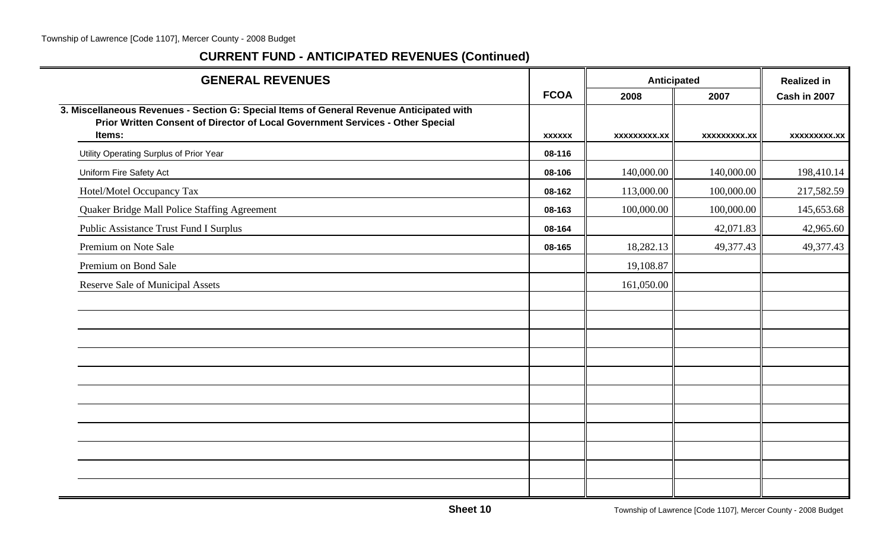| <b>GENERAL REVENUES</b>                                                                                                                                                    |               | Anticipated         |                     | <b>Realized in</b>  |
|----------------------------------------------------------------------------------------------------------------------------------------------------------------------------|---------------|---------------------|---------------------|---------------------|
|                                                                                                                                                                            | <b>FCOA</b>   | 2008                | 2007                | Cash in 2007        |
| 3. Miscellaneous Revenues - Section G: Special Items of General Revenue Anticipated with<br>Prior Written Consent of Director of Local Government Services - Other Special |               |                     |                     |                     |
| Items:                                                                                                                                                                     | <b>XXXXXX</b> | <b>XXXXXXXXX.XX</b> | <b>XXXXXXXXX.XX</b> | <b>XXXXXXXXX.XX</b> |
| Utility Operating Surplus of Prior Year                                                                                                                                    | 08-116        |                     |                     |                     |
| Uniform Fire Safety Act                                                                                                                                                    | 08-106        | 140,000.00          | 140,000.00          | 198,410.14          |
| Hotel/Motel Occupancy Tax                                                                                                                                                  | 08-162        | 113,000.00          | 100,000.00          | 217,582.59          |
| Quaker Bridge Mall Police Staffing Agreement                                                                                                                               | 08-163        | 100,000.00          | 100,000.00          | 145,653.68          |
| <b>Public Assistance Trust Fund I Surplus</b>                                                                                                                              | 08-164        |                     | 42,071.83           | 42,965.60           |
| Premium on Note Sale                                                                                                                                                       | 08-165        | 18,282.13           | 49,377.43           | 49,377.43           |
| Premium on Bond Sale                                                                                                                                                       |               | 19,108.87           |                     |                     |
| <b>Reserve Sale of Municipal Assets</b>                                                                                                                                    |               | 161,050.00          |                     |                     |
|                                                                                                                                                                            |               |                     |                     |                     |
|                                                                                                                                                                            |               |                     |                     |                     |
|                                                                                                                                                                            |               |                     |                     |                     |
|                                                                                                                                                                            |               |                     |                     |                     |
|                                                                                                                                                                            |               |                     |                     |                     |
|                                                                                                                                                                            |               |                     |                     |                     |
|                                                                                                                                                                            |               |                     |                     |                     |
|                                                                                                                                                                            |               |                     |                     |                     |
|                                                                                                                                                                            |               |                     |                     |                     |
|                                                                                                                                                                            |               |                     |                     |                     |
|                                                                                                                                                                            |               |                     |                     |                     |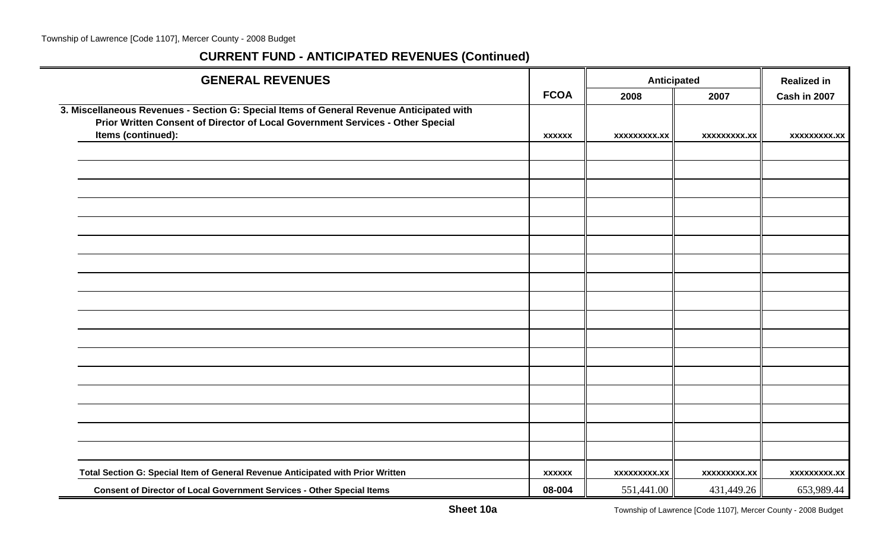| <b>GENERAL REVENUES</b>                                                                                                                                                    |               |                     | Anticipated         | <b>Realized in</b>  |
|----------------------------------------------------------------------------------------------------------------------------------------------------------------------------|---------------|---------------------|---------------------|---------------------|
|                                                                                                                                                                            | <b>FCOA</b>   | 2008                | 2007                | Cash in 2007        |
| 3. Miscellaneous Revenues - Section G: Special Items of General Revenue Anticipated with<br>Prior Written Consent of Director of Local Government Services - Other Special |               |                     |                     |                     |
| Items (continued):                                                                                                                                                         | <b>XXXXXX</b> | <b>XXXXXXXXX.XX</b> | <b>XXXXXXXXX.XX</b> | <b>XXXXXXXXX.XX</b> |
|                                                                                                                                                                            |               |                     |                     |                     |
|                                                                                                                                                                            |               |                     |                     |                     |
|                                                                                                                                                                            |               |                     |                     |                     |
|                                                                                                                                                                            |               |                     |                     |                     |
|                                                                                                                                                                            |               |                     |                     |                     |
|                                                                                                                                                                            |               |                     |                     |                     |
|                                                                                                                                                                            |               |                     |                     |                     |
|                                                                                                                                                                            |               |                     |                     |                     |
|                                                                                                                                                                            |               |                     |                     |                     |
|                                                                                                                                                                            |               |                     |                     |                     |
|                                                                                                                                                                            |               |                     |                     |                     |
|                                                                                                                                                                            |               |                     |                     |                     |
|                                                                                                                                                                            |               |                     |                     |                     |
|                                                                                                                                                                            |               |                     |                     |                     |
|                                                                                                                                                                            |               |                     |                     |                     |
|                                                                                                                                                                            |               |                     |                     |                     |
|                                                                                                                                                                            |               |                     |                     |                     |
| Total Section G: Special Item of General Revenue Anticipated with Prior Written                                                                                            | <b>XXXXXX</b> | <b>XXXXXXXXX.XX</b> | <b>XXXXXXXXX.XX</b> | <b>XXXXXXXXX.XX</b> |
| Consent of Director of Local Government Services - Other Special Items                                                                                                     | 08-004        | 551,441.00          | 431,449.26          | 653,989.44          |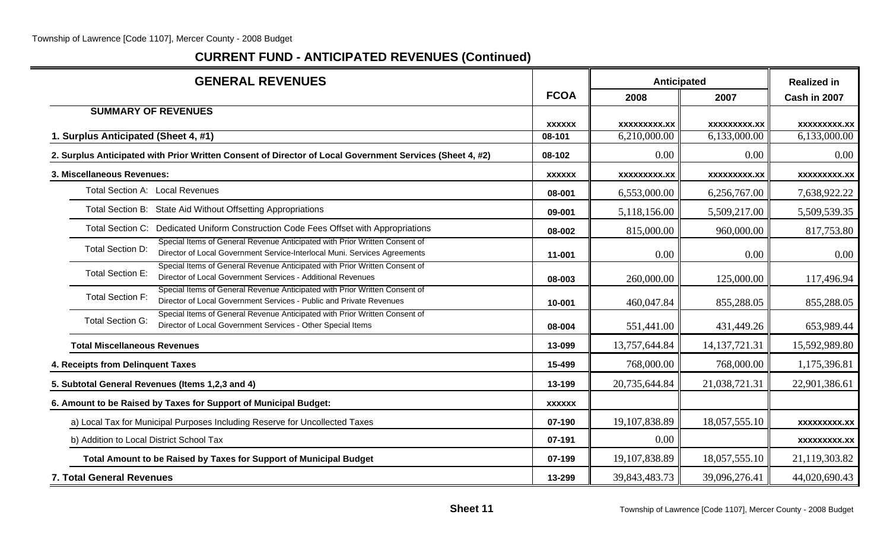| <b>GENERAL REVENUES</b>                                                                                                                                                      |               |                     | Anticipated         | <b>Realized in</b>  |
|------------------------------------------------------------------------------------------------------------------------------------------------------------------------------|---------------|---------------------|---------------------|---------------------|
|                                                                                                                                                                              | <b>FCOA</b>   | 2008                | 2007                | Cash in 2007        |
| <b>SUMMARY OF REVENUES</b>                                                                                                                                                   |               |                     |                     |                     |
|                                                                                                                                                                              | <b>XXXXXX</b> | XXXXXXXXX.XX        | <b>XXXXXXXXX.XX</b> | <b>XXXXXXXXX.XX</b> |
| 1. Surplus Anticipated (Sheet 4, #1)                                                                                                                                         | 08-101        | 6,210,000.00        | 6,133,000.00        | 6,133,000.00        |
| 2. Surplus Anticipated with Prior Written Consent of Director of Local Government Services (Sheet 4, #2)                                                                     | 08-102        | 0.00                | 0.00                | 0.00                |
| 3. Miscellaneous Revenues:                                                                                                                                                   | <b>XXXXXX</b> | <b>XXXXXXXXX.XX</b> | <b>XXXXXXXXX.XX</b> | xxxxxxxxx.xx        |
| <b>Total Section A: Local Revenues</b>                                                                                                                                       | 08-001        | 6,553,000.00        | 6,256,767.00        | 7,638,922.22        |
| Total Section B: State Aid Without Offsetting Appropriations                                                                                                                 | 09-001        | 5,118,156.00        | 5,509,217.00        | 5,509,539.35        |
| Total Section C: Dedicated Uniform Construction Code Fees Offset with Appropriations                                                                                         | 08-002        | 815,000.00          | 960,000.00          | 817,753.80          |
| Special Items of General Revenue Anticipated with Prior Written Consent of<br>Total Section D:<br>Director of Local Government Service-Interlocal Muni. Services Agreements  | 11-001        | 0.00                | 0.00                | 0.00                |
| Special Items of General Revenue Anticipated with Prior Written Consent of<br><b>Total Section E:</b><br>Director of Local Government Services - Additional Revenues         | 08-003        | 260,000.00          | 125,000.00          | 117,496.94          |
| Special Items of General Revenue Anticipated with Prior Written Consent of<br><b>Total Section F:</b><br>Director of Local Government Services - Public and Private Revenues | 10-001        | 460,047.84          | 855,288.05          | 855,288.05          |
| Special Items of General Revenue Anticipated with Prior Written Consent of<br><b>Total Section G:</b><br>Director of Local Government Services - Other Special Items         | 08-004        | 551,441.00          | 431,449.26          | 653,989.44          |
| <b>Total Miscellaneous Revenues</b>                                                                                                                                          | 13-099        | 13,757,644.84       | 14, 137, 721. 31    | 15,592,989.80       |
| 4. Receipts from Delinquent Taxes                                                                                                                                            | 15-499        | 768,000.00          | 768,000.00          | 1,175,396.81        |
| 5. Subtotal General Revenues (Items 1,2,3 and 4)                                                                                                                             | 13-199        | 20,735,644.84       | 21,038,721.31       | 22,901,386.61       |
| 6. Amount to be Raised by Taxes for Support of Municipal Budget:                                                                                                             | <b>XXXXXX</b> |                     |                     |                     |
| a) Local Tax for Municipal Purposes Including Reserve for Uncollected Taxes                                                                                                  | 07-190        | 19,107,838.89       | 18,057,555.10       | <b>XXXXXXXXX.XX</b> |
| b) Addition to Local District School Tax                                                                                                                                     | 07-191        | 0.00                |                     | <b>XXXXXXXXX.XX</b> |
| Total Amount to be Raised by Taxes for Support of Municipal Budget                                                                                                           | 07-199        | 19,107,838.89       | 18,057,555.10       | 21,119,303.82       |
| <b>7. Total General Revenues</b>                                                                                                                                             | 13-299        | 39,843,483.73       | 39,096,276.41       | 44,020,690.43       |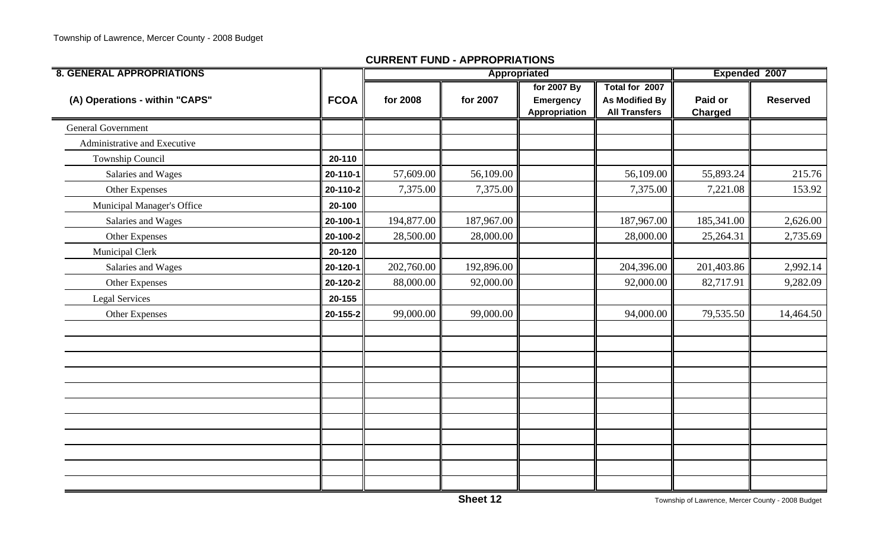| <b>8. GENERAL APPROPRIATIONS</b> |             |            | Appropriated |                  |                       | Expended 2007  |                 |  |
|----------------------------------|-------------|------------|--------------|------------------|-----------------------|----------------|-----------------|--|
|                                  |             |            |              | for 2007 By      | Total for 2007        |                |                 |  |
| (A) Operations - within "CAPS"   | <b>FCOA</b> | for 2008   | for 2007     | <b>Emergency</b> | <b>As Modified By</b> | Paid or        | <b>Reserved</b> |  |
|                                  |             |            |              | Appropriation    | <b>All Transfers</b>  | <b>Charged</b> |                 |  |
| General Government               |             |            |              |                  |                       |                |                 |  |
| Administrative and Executive     |             |            |              |                  |                       |                |                 |  |
| Township Council                 | 20-110      |            |              |                  |                       |                |                 |  |
| Salaries and Wages               | 20-110-1    | 57,609.00  | 56,109.00    |                  | 56,109.00             | 55,893.24      | 215.76          |  |
| Other Expenses                   | 20-110-2    | 7,375.00   | 7,375.00     |                  | 7,375.00              | 7,221.08       | 153.92          |  |
| Municipal Manager's Office       | 20-100      |            |              |                  |                       |                |                 |  |
| Salaries and Wages               | 20-100-1    | 194,877.00 | 187,967.00   |                  | 187,967.00            | 185,341.00     | 2,626.00        |  |
| Other Expenses                   | 20-100-2    | 28,500.00  | 28,000.00    |                  | 28,000.00             | 25,264.31      | 2,735.69        |  |
| <b>Municipal Clerk</b>           | 20-120      |            |              |                  |                       |                |                 |  |
| Salaries and Wages               | 20-120-1    | 202,760.00 | 192,896.00   |                  | 204,396.00            | 201,403.86     | 2,992.14        |  |
| Other Expenses                   | 20-120-2    | 88,000.00  | 92,000.00    |                  | 92,000.00             | 82,717.91      | 9,282.09        |  |
| <b>Legal Services</b>            | 20-155      |            |              |                  |                       |                |                 |  |
| Other Expenses                   | 20-155-2    | 99,000.00  | 99,000.00    |                  | 94,000.00             | 79,535.50      | 14,464.50       |  |
|                                  |             |            |              |                  |                       |                |                 |  |
|                                  |             |            |              |                  |                       |                |                 |  |
|                                  |             |            |              |                  |                       |                |                 |  |
|                                  |             |            |              |                  |                       |                |                 |  |
|                                  |             |            |              |                  |                       |                |                 |  |
|                                  |             |            |              |                  |                       |                |                 |  |
|                                  |             |            |              |                  |                       |                |                 |  |
|                                  |             |            |              |                  |                       |                |                 |  |
|                                  |             |            |              |                  |                       |                |                 |  |
|                                  |             |            |              |                  |                       |                |                 |  |
|                                  |             |            |              |                  |                       |                |                 |  |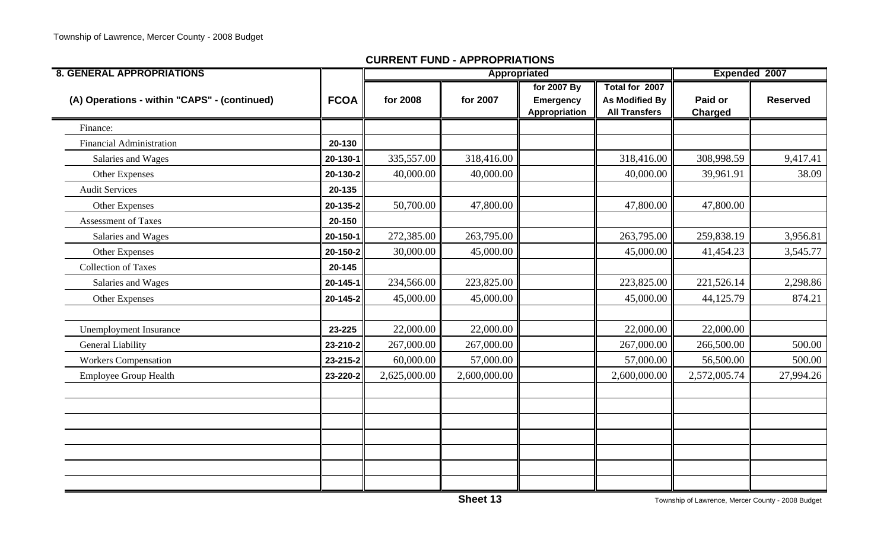| <b>8. GENERAL APPROPRIATIONS</b>             |             |              | Appropriated |                                                  |                                                                 | Expended 2007             |                 |
|----------------------------------------------|-------------|--------------|--------------|--------------------------------------------------|-----------------------------------------------------------------|---------------------------|-----------------|
| (A) Operations - within "CAPS" - (continued) | <b>FCOA</b> | for 2008     | for 2007     | for 2007 By<br><b>Emergency</b><br>Appropriation | Total for 2007<br><b>As Modified By</b><br><b>All Transfers</b> | Paid or<br><b>Charged</b> | <b>Reserved</b> |
| Finance:                                     |             |              |              |                                                  |                                                                 |                           |                 |
| <b>Financial Administration</b>              | 20-130      |              |              |                                                  |                                                                 |                           |                 |
| Salaries and Wages                           | 20-130-1    | 335,557.00   | 318,416.00   |                                                  | 318,416.00                                                      | 308,998.59                | 9,417.41        |
| Other Expenses                               | 20-130-2    | 40,000.00    | 40,000.00    |                                                  | 40,000.00                                                       | 39,961.91                 | 38.09           |
| <b>Audit Services</b>                        | 20-135      |              |              |                                                  |                                                                 |                           |                 |
| Other Expenses                               | 20-135-2    | 50,700.00    | 47,800.00    |                                                  | 47,800.00                                                       | 47,800.00                 |                 |
| <b>Assessment of Taxes</b>                   | 20-150      |              |              |                                                  |                                                                 |                           |                 |
| Salaries and Wages                           | 20-150-1    | 272,385.00   | 263,795.00   |                                                  | 263,795.00                                                      | 259,838.19                | 3,956.81        |
| Other Expenses                               | 20-150-2    | 30,000.00    | 45,000.00    |                                                  | 45,000.00                                                       | 41,454.23                 | 3,545.77        |
| <b>Collection of Taxes</b>                   | 20-145      |              |              |                                                  |                                                                 |                           |                 |
| Salaries and Wages                           | 20-145-1    | 234,566.00   | 223,825.00   |                                                  | 223,825.00                                                      | 221,526.14                | 2,298.86        |
| Other Expenses                               | 20-145-2    | 45,000.00    | 45,000.00    |                                                  | 45,000.00                                                       | 44,125.79                 | 874.21          |
|                                              |             |              |              |                                                  |                                                                 |                           |                 |
| <b>Unemployment Insurance</b>                | 23-225      | 22,000.00    | 22,000.00    |                                                  | 22,000.00                                                       | 22,000.00                 |                 |
| <b>General Liability</b>                     | 23-210-2    | 267,000.00   | 267,000.00   |                                                  | 267,000.00                                                      | 266,500.00                | 500.00          |
| <b>Workers Compensation</b>                  | 23-215-2    | 60,000.00    | 57,000.00    |                                                  | 57,000.00                                                       | 56,500.00                 | 500.00          |
| <b>Employee Group Health</b>                 | 23-220-2    | 2,625,000.00 | 2,600,000.00 |                                                  | 2,600,000.00                                                    | 2,572,005.74              | 27,994.26       |
|                                              |             |              |              |                                                  |                                                                 |                           |                 |
|                                              |             |              |              |                                                  |                                                                 |                           |                 |
|                                              |             |              |              |                                                  |                                                                 |                           |                 |
|                                              |             |              |              |                                                  |                                                                 |                           |                 |
|                                              |             |              |              |                                                  |                                                                 |                           |                 |
|                                              |             |              |              |                                                  |                                                                 |                           |                 |
|                                              |             |              |              |                                                  |                                                                 |                           |                 |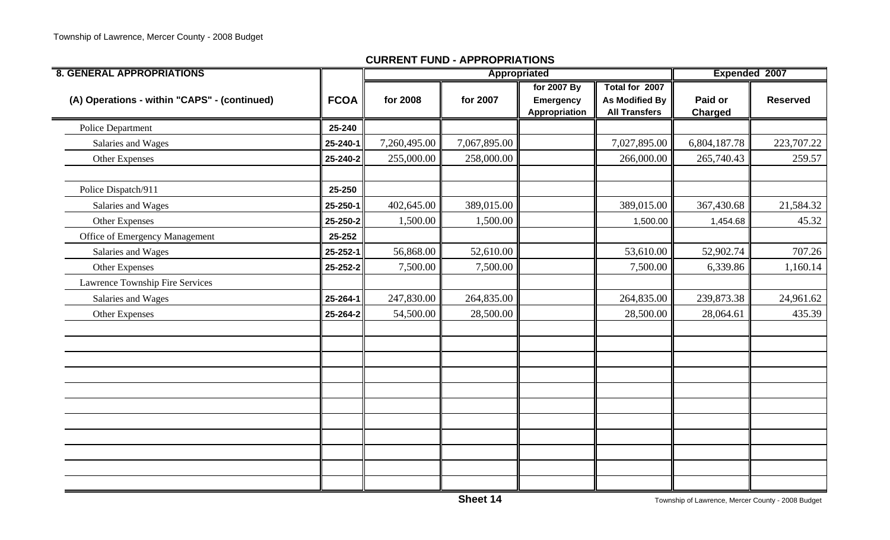| <b>8. GENERAL APPROPRIATIONS</b>             |             |              | Appropriated |                                                  |                                                                 | Expended 2007             |                 |
|----------------------------------------------|-------------|--------------|--------------|--------------------------------------------------|-----------------------------------------------------------------|---------------------------|-----------------|
| (A) Operations - within "CAPS" - (continued) | <b>FCOA</b> | for 2008     | for 2007     | for 2007 By<br><b>Emergency</b><br>Appropriation | Total for 2007<br><b>As Modified By</b><br><b>All Transfers</b> | Paid or<br><b>Charged</b> | <b>Reserved</b> |
| Police Department                            | 25-240      |              |              |                                                  |                                                                 |                           |                 |
| Salaries and Wages                           | 25-240-1    | 7,260,495.00 | 7,067,895.00 |                                                  | 7,027,895.00                                                    | 6,804,187.78              | 223,707.22      |
| Other Expenses                               | 25-240-2    | 255,000.00   | 258,000.00   |                                                  | 266,000.00                                                      | 265,740.43                | 259.57          |
| Police Dispatch/911                          | 25-250      |              |              |                                                  |                                                                 |                           |                 |
| Salaries and Wages                           | 25-250-1    | 402,645.00   | 389,015.00   |                                                  | 389,015.00                                                      | 367,430.68                | 21,584.32       |
| Other Expenses                               | 25-250-2    | 1,500.00     | 1,500.00     |                                                  | 1,500.00                                                        | 1,454.68                  | 45.32           |
| Office of Emergency Management               | 25-252      |              |              |                                                  |                                                                 |                           |                 |
| Salaries and Wages                           | 25-252-1    | 56,868.00    | 52,610.00    |                                                  | 53,610.00                                                       | 52,902.74                 | 707.26          |
| Other Expenses                               | 25-252-2    | 7,500.00     | 7,500.00     |                                                  | 7,500.00                                                        | 6,339.86                  | 1,160.14        |
| Lawrence Township Fire Services              |             |              |              |                                                  |                                                                 |                           |                 |
| Salaries and Wages                           | 25-264-1    | 247,830.00   | 264,835.00   |                                                  | 264,835.00                                                      | 239,873.38                | 24,961.62       |
| Other Expenses                               | 25-264-2    | 54,500.00    | 28,500.00    |                                                  | 28,500.00                                                       | 28,064.61                 | 435.39          |
|                                              |             |              |              |                                                  |                                                                 |                           |                 |
|                                              |             |              |              |                                                  |                                                                 |                           |                 |
|                                              |             |              |              |                                                  |                                                                 |                           |                 |
|                                              |             |              |              |                                                  |                                                                 |                           |                 |
|                                              |             |              |              |                                                  |                                                                 |                           |                 |
|                                              |             |              |              |                                                  |                                                                 |                           |                 |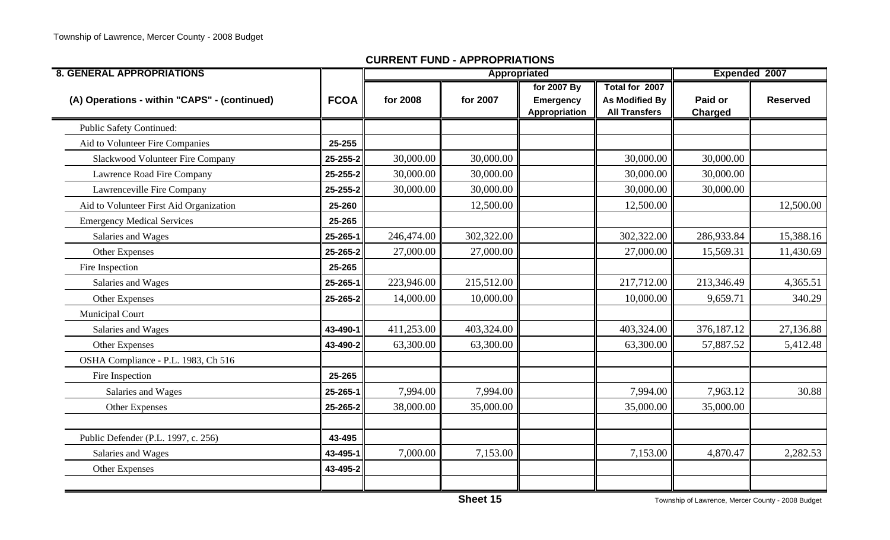| <b>8. GENERAL APPROPRIATIONS</b>             |             |            |            | Appropriated               |                                               | Expended 2007      |                 |
|----------------------------------------------|-------------|------------|------------|----------------------------|-----------------------------------------------|--------------------|-----------------|
|                                              |             |            |            | for 2007 By                | Total for 2007                                |                    |                 |
| (A) Operations - within "CAPS" - (continued) | <b>FCOA</b> | for 2008   | for 2007   | Emergency<br>Appropriation | <b>As Modified By</b><br><b>All Transfers</b> | Paid or<br>Charged | <b>Reserved</b> |
| <b>Public Safety Continued:</b>              |             |            |            |                            |                                               |                    |                 |
| Aid to Volunteer Fire Companies              | 25-255      |            |            |                            |                                               |                    |                 |
| Slackwood Volunteer Fire Company             | 25-255-2    | 30,000.00  | 30,000.00  |                            | 30,000.00                                     | 30,000.00          |                 |
| Lawrence Road Fire Company                   | 25-255-2    | 30,000.00  | 30,000.00  |                            | 30,000.00                                     | 30,000.00          |                 |
| Lawrenceville Fire Company                   | 25-255-2    | 30,000.00  | 30,000.00  |                            | 30,000.00                                     | 30,000.00          |                 |
| Aid to Volunteer First Aid Organization      | 25-260      |            | 12,500.00  |                            | 12,500.00                                     |                    | 12,500.00       |
| <b>Emergency Medical Services</b>            | 25-265      |            |            |                            |                                               |                    |                 |
| Salaries and Wages                           | 25-265-1    | 246,474.00 | 302,322.00 |                            | 302,322.00                                    | 286,933.84         | 15,388.16       |
| Other Expenses                               | 25-265-2    | 27,000.00  | 27,000.00  |                            | 27,000.00                                     | 15,569.31          | 11,430.69       |
| Fire Inspection                              | 25-265      |            |            |                            |                                               |                    |                 |
| Salaries and Wages                           | 25-265-1    | 223,946.00 | 215,512.00 |                            | 217,712.00                                    | 213,346.49         | 4,365.51        |
| Other Expenses                               | 25-265-2    | 14,000.00  | 10,000.00  |                            | 10,000.00                                     | 9,659.71           | 340.29          |
| Municipal Court                              |             |            |            |                            |                                               |                    |                 |
| Salaries and Wages                           | 43-490-1    | 411,253.00 | 403,324.00 |                            | 403,324.00                                    | 376,187.12         | 27,136.88       |
| Other Expenses                               | 43-490-2    | 63,300.00  | 63,300.00  |                            | 63,300.00                                     | 57,887.52          | 5,412.48        |
| OSHA Compliance - P.L. 1983, Ch 516          |             |            |            |                            |                                               |                    |                 |
| Fire Inspection                              | 25-265      |            |            |                            |                                               |                    |                 |
| Salaries and Wages                           | 25-265-1    | 7,994.00   | 7,994.00   |                            | 7,994.00                                      | 7,963.12           | 30.88           |
| Other Expenses                               | 25-265-2    | 38,000.00  | 35,000.00  |                            | 35,000.00                                     | 35,000.00          |                 |
|                                              |             |            |            |                            |                                               |                    |                 |
| Public Defender (P.L. 1997, c. 256)          | 43-495      |            |            |                            |                                               |                    |                 |
| Salaries and Wages                           | 43-495-1    | 7,000.00   | 7,153.00   |                            | 7,153.00                                      | 4,870.47           | 2,282.53        |
| Other Expenses                               | 43-495-2    |            |            |                            |                                               |                    |                 |
|                                              |             |            |            |                            |                                               |                    |                 |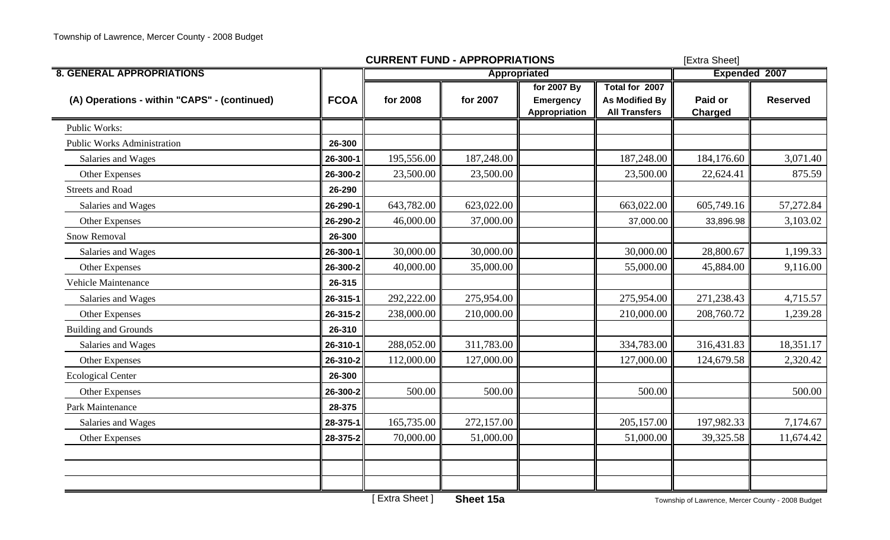|                                              |             | <b>CURRENT FUND - APPROPRIATIONS</b> | [Extra Sheet] |                                           |                                                                 |                           |                 |
|----------------------------------------------|-------------|--------------------------------------|---------------|-------------------------------------------|-----------------------------------------------------------------|---------------------------|-----------------|
| <b>8. GENERAL APPROPRIATIONS</b>             |             |                                      | Appropriated  |                                           |                                                                 | Expended 2007             |                 |
| (A) Operations - within "CAPS" - (continued) | <b>FCOA</b> | for 2008                             | for 2007      | for 2007 By<br>Emergency<br>Appropriation | Total for 2007<br><b>As Modified By</b><br><b>All Transfers</b> | Paid or<br><b>Charged</b> | <b>Reserved</b> |
| Public Works:                                |             |                                      |               |                                           |                                                                 |                           |                 |
| <b>Public Works Administration</b>           | 26-300      |                                      |               |                                           |                                                                 |                           |                 |
| Salaries and Wages                           | 26-300-1    | 195,556.00                           | 187,248.00    |                                           | 187,248.00                                                      | 184,176.60                | 3,071.40        |
| Other Expenses                               | 26-300-2    | 23,500.00                            | 23,500.00     |                                           | 23,500.00                                                       | 22,624.41                 | 875.59          |
| <b>Streets and Road</b>                      | 26-290      |                                      |               |                                           |                                                                 |                           |                 |
| Salaries and Wages                           | 26-290-1    | 643,782.00                           | 623,022.00    |                                           | 663,022.00                                                      | 605,749.16                | 57,272.84       |
| Other Expenses                               | 26-290-2    | 46,000.00                            | 37,000.00     |                                           | 37,000.00                                                       | 33,896.98                 | 3,103.02        |
| <b>Snow Removal</b>                          | 26-300      |                                      |               |                                           |                                                                 |                           |                 |
| Salaries and Wages                           | 26-300-1    | 30,000.00                            | 30,000.00     |                                           | 30,000.00                                                       | 28,800.67                 | 1,199.33        |
| Other Expenses                               | 26-300-2    | 40,000.00                            | 35,000.00     |                                           | 55,000.00                                                       | 45,884.00                 | 9,116.00        |
| Vehicle Maintenance                          | 26-315      |                                      |               |                                           |                                                                 |                           |                 |
| Salaries and Wages                           | 26-315-1    | 292,222.00                           | 275,954.00    |                                           | 275,954.00                                                      | 271,238.43                | 4,715.57        |
| Other Expenses                               | 26-315-2    | 238,000.00                           | 210,000.00    |                                           | 210,000.00                                                      | 208,760.72                | 1,239.28        |
| <b>Building and Grounds</b>                  | 26-310      |                                      |               |                                           |                                                                 |                           |                 |
| Salaries and Wages                           | 26-310-1    | 288,052.00                           | 311,783.00    |                                           | 334,783.00                                                      | 316,431.83                | 18,351.17       |
| Other Expenses                               | 26-310-2    | 112,000.00                           | 127,000.00    |                                           | 127,000.00                                                      | 124,679.58                | 2,320.42        |
| <b>Ecological Center</b>                     | 26-300      |                                      |               |                                           |                                                                 |                           |                 |
| Other Expenses                               | 26-300-2    | 500.00                               | 500.00        |                                           | 500.00                                                          |                           | 500.00          |
| Park Maintenance                             | 28-375      |                                      |               |                                           |                                                                 |                           |                 |
| Salaries and Wages                           | 28-375-1    | 165,735.00                           | 272,157.00    |                                           | 205,157.00                                                      | 197,982.33                | 7,174.67        |
| Other Expenses                               | 28-375-2    | 70,000.00                            | 51,000.00     |                                           | 51,000.00                                                       | 39,325.58                 | 11,674.42       |
|                                              |             |                                      |               |                                           |                                                                 |                           |                 |
|                                              |             |                                      |               |                                           |                                                                 |                           |                 |
|                                              |             |                                      |               |                                           |                                                                 |                           |                 |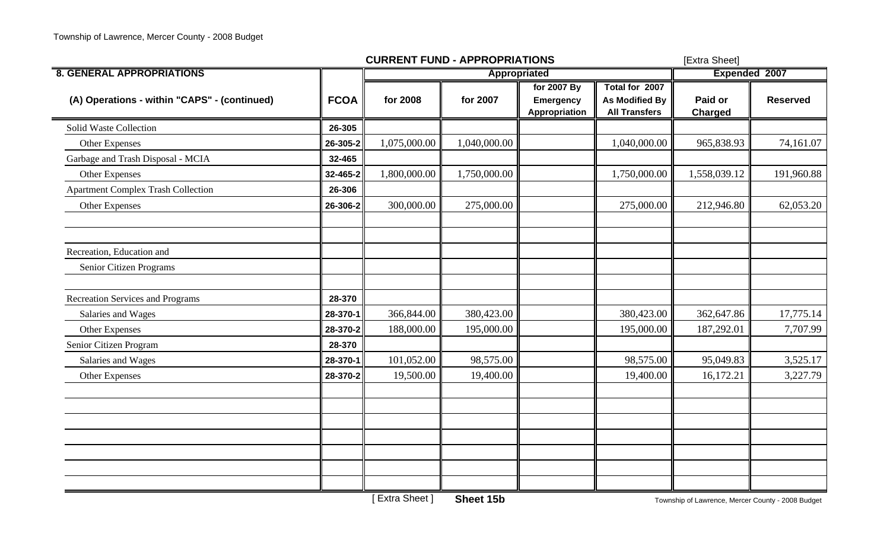|                                              |             | <b>CURRENT FUND - APPROPRIATIONS</b> |                     |                                                  |                                                                 | [Extra Sheet]             |                 |
|----------------------------------------------|-------------|--------------------------------------|---------------------|--------------------------------------------------|-----------------------------------------------------------------|---------------------------|-----------------|
| <b>8. GENERAL APPROPRIATIONS</b>             |             |                                      | <b>Appropriated</b> | Expended 2007                                    |                                                                 |                           |                 |
| (A) Operations - within "CAPS" - (continued) | <b>FCOA</b> | for 2008                             | for 2007            | for 2007 By<br><b>Emergency</b><br>Appropriation | Total for 2007<br><b>As Modified By</b><br><b>All Transfers</b> | Paid or<br><b>Charged</b> | <b>Reserved</b> |
| Solid Waste Collection                       | 26-305      |                                      |                     |                                                  |                                                                 |                           |                 |
| Other Expenses                               | 26-305-2    | 1,075,000.00                         | 1,040,000.00        |                                                  | 1,040,000.00                                                    | 965,838.93                | 74,161.07       |
| Garbage and Trash Disposal - MCIA            | 32-465      |                                      |                     |                                                  |                                                                 |                           |                 |
| Other Expenses                               | 32-465-2    | 1,800,000.00                         | 1,750,000.00        |                                                  | 1,750,000.00                                                    | 1,558,039.12              | 191,960.88      |
| <b>Apartment Complex Trash Collection</b>    | 26-306      |                                      |                     |                                                  |                                                                 |                           |                 |
| <b>Other Expenses</b>                        | 26-306-2    | 300,000.00                           | 275,000.00          |                                                  | 275,000.00                                                      | 212,946.80                | 62,053.20       |
| Recreation, Education and                    |             |                                      |                     |                                                  |                                                                 |                           |                 |
| Senior Citizen Programs                      |             |                                      |                     |                                                  |                                                                 |                           |                 |
| <b>Recreation Services and Programs</b>      | 28-370      |                                      |                     |                                                  |                                                                 |                           |                 |
| Salaries and Wages                           | 28-370-1    | 366,844.00                           | 380,423.00          |                                                  | 380,423.00                                                      | 362,647.86                | 17,775.14       |
| Other Expenses                               | 28-370-2    | 188,000.00                           | 195,000.00          |                                                  | 195,000.00                                                      | 187,292.01                | 7,707.99        |
| Senior Citizen Program                       | 28-370      |                                      |                     |                                                  |                                                                 |                           |                 |
| Salaries and Wages                           | 28-370-1    | 101,052.00                           | 98,575.00           |                                                  | 98,575.00                                                       | 95,049.83                 | 3,525.17        |
| Other Expenses                               | 28-370-2    | 19,500.00                            | 19,400.00           |                                                  | 19,400.00                                                       | 16,172.21                 | 3,227.79        |
|                                              |             |                                      |                     |                                                  |                                                                 |                           |                 |
|                                              |             |                                      |                     |                                                  |                                                                 |                           |                 |
|                                              |             |                                      |                     |                                                  |                                                                 |                           |                 |
|                                              |             |                                      |                     |                                                  |                                                                 |                           |                 |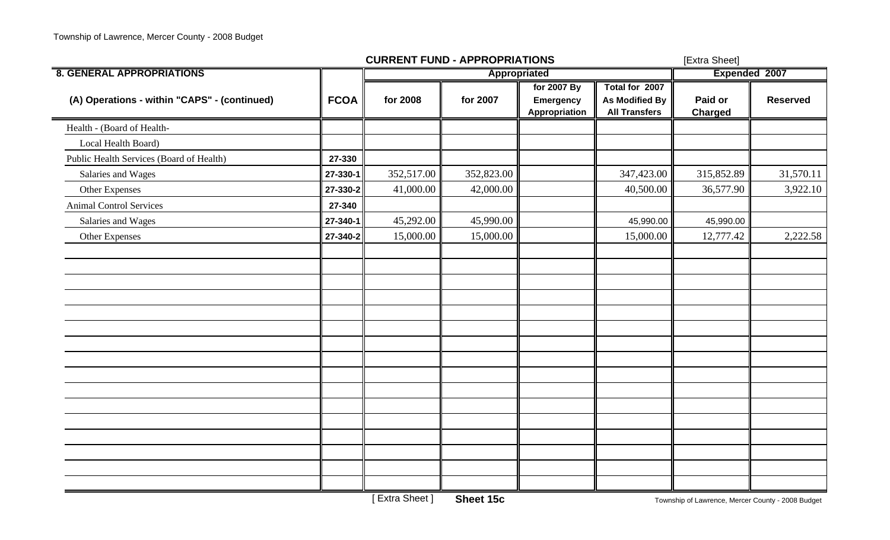| for 2008<br>352,517.00<br>41,000.00<br>45,292.00<br>15,000.00 | Appropriated<br>for 2007<br>352,823.00<br>42,000.00<br>45,990.00<br>15,000.00 | for 2007 By<br>Emergency<br>Appropriation | Total for 2007<br><b>As Modified By</b><br><b>All Transfers</b><br>347,423.00<br>40,500.00<br>45,990.00<br>15,000.00 | Expended 2007<br>Paid or<br><b>Charged</b><br>315,852.89<br>36,577.90<br>45,990.00<br>12,777.42 | <b>Reserved</b><br>31,570.11<br>3,922.10<br>2,222.58 |
|---------------------------------------------------------------|-------------------------------------------------------------------------------|-------------------------------------------|----------------------------------------------------------------------------------------------------------------------|-------------------------------------------------------------------------------------------------|------------------------------------------------------|
|                                                               |                                                                               |                                           |                                                                                                                      |                                                                                                 |                                                      |
|                                                               |                                                                               |                                           |                                                                                                                      |                                                                                                 |                                                      |
|                                                               |                                                                               |                                           |                                                                                                                      |                                                                                                 |                                                      |
|                                                               |                                                                               |                                           |                                                                                                                      |                                                                                                 |                                                      |
|                                                               |                                                                               |                                           |                                                                                                                      |                                                                                                 |                                                      |
|                                                               |                                                                               |                                           |                                                                                                                      |                                                                                                 |                                                      |
|                                                               |                                                                               |                                           |                                                                                                                      |                                                                                                 |                                                      |
|                                                               |                                                                               |                                           |                                                                                                                      |                                                                                                 |                                                      |
|                                                               |                                                                               |                                           |                                                                                                                      |                                                                                                 |                                                      |
|                                                               |                                                                               |                                           |                                                                                                                      |                                                                                                 |                                                      |
|                                                               |                                                                               |                                           |                                                                                                                      |                                                                                                 |                                                      |
|                                                               |                                                                               |                                           |                                                                                                                      |                                                                                                 |                                                      |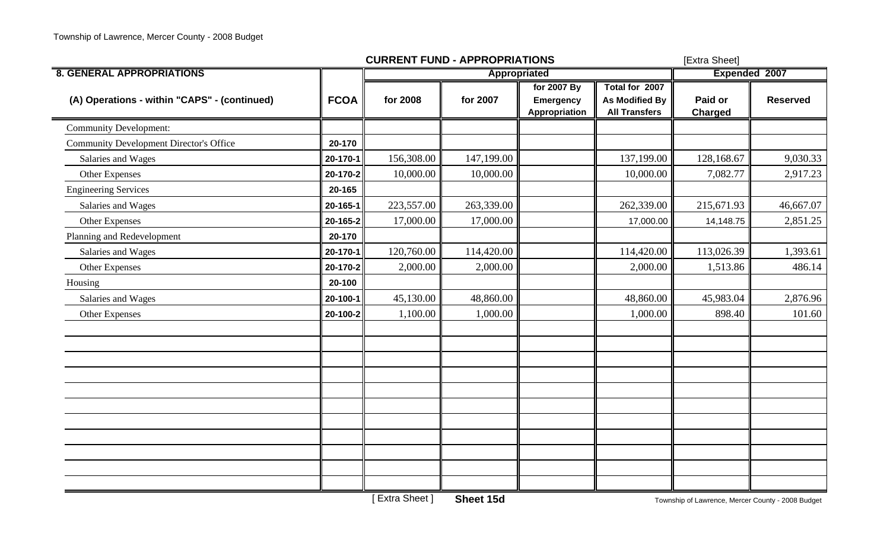|                                                |             | <b>CURRENT FUND - APPROPRIATIONS</b> | [Extra Sheet] |                                                  |                                                                 |                                                   |                 |  |
|------------------------------------------------|-------------|--------------------------------------|---------------|--------------------------------------------------|-----------------------------------------------------------------|---------------------------------------------------|-----------------|--|
| <b>8. GENERAL APPROPRIATIONS</b>               |             |                                      | Appropriated  |                                                  |                                                                 | Expended 2007                                     |                 |  |
| (A) Operations - within "CAPS" - (continued)   | <b>FCOA</b> | for 2008                             | for 2007      | for 2007 By<br><b>Emergency</b><br>Appropriation | Total for 2007<br><b>As Modified By</b><br><b>All Transfers</b> | Paid or<br><b>Charged</b>                         | <b>Reserved</b> |  |
| <b>Community Development:</b>                  |             |                                      |               |                                                  |                                                                 |                                                   |                 |  |
| <b>Community Development Director's Office</b> | 20-170      |                                      |               |                                                  |                                                                 |                                                   |                 |  |
| Salaries and Wages                             | 20-170-1    | 156,308.00                           | 147,199.00    |                                                  | 137,199.00                                                      | 128,168.67                                        | 9,030.33        |  |
| Other Expenses                                 | 20-170-2    | 10,000.00                            | 10,000.00     |                                                  | 10,000.00                                                       | 7,082.77                                          | 2,917.23        |  |
| <b>Engineering Services</b>                    | 20-165      |                                      |               |                                                  |                                                                 |                                                   |                 |  |
| Salaries and Wages                             | 20-165-1    | 223,557.00                           | 263,339.00    |                                                  | 262,339.00                                                      | 215,671.93                                        | 46,667.07       |  |
| Other Expenses                                 | 20-165-2    | 17,000.00                            | 17,000.00     |                                                  | 17,000.00                                                       | 14,148.75                                         | 2,851.25        |  |
| Planning and Redevelopment                     | 20-170      |                                      |               |                                                  |                                                                 |                                                   |                 |  |
| Salaries and Wages                             | 20-170-1    | 120,760.00                           | 114,420.00    |                                                  | 114,420.00                                                      | 113,026.39                                        | 1,393.61        |  |
| Other Expenses                                 | 20-170-2    | 2,000.00                             | 2,000.00      |                                                  | 2,000.00                                                        | 1,513.86                                          | 486.14          |  |
| Housing                                        | 20-100      |                                      |               |                                                  |                                                                 |                                                   |                 |  |
| Salaries and Wages                             | 20-100-1    | 45,130.00                            | 48,860.00     |                                                  | 48,860.00                                                       | 45,983.04                                         | 2,876.96        |  |
| <b>Other Expenses</b>                          | 20-100-2    | 1,100.00                             | 1,000.00      |                                                  | 1,000.00                                                        | 898.40                                            | 101.60          |  |
|                                                |             |                                      |               |                                                  |                                                                 |                                                   |                 |  |
|                                                |             |                                      |               |                                                  |                                                                 |                                                   |                 |  |
|                                                |             |                                      |               |                                                  |                                                                 |                                                   |                 |  |
|                                                |             |                                      |               |                                                  |                                                                 |                                                   |                 |  |
|                                                |             | <b>Extra Sheet</b> ]                 | Sheet 15d     |                                                  |                                                                 | Township of Lawrence, Mercer County - 2008 Budget |                 |  |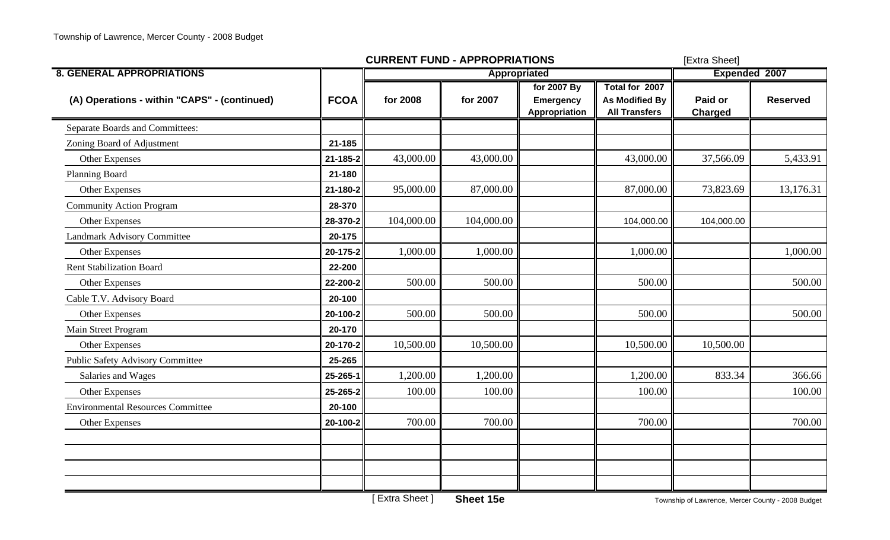|                                              |             | <b>CURRENT FUND - APPROPRIATIONS</b> | [Extra Sheet] |                                                  |                                                                 |                           |                 |  |
|----------------------------------------------|-------------|--------------------------------------|---------------|--------------------------------------------------|-----------------------------------------------------------------|---------------------------|-----------------|--|
| <b>8. GENERAL APPROPRIATIONS</b>             |             |                                      | Appropriated  |                                                  |                                                                 | <b>Expended 2007</b>      |                 |  |
| (A) Operations - within "CAPS" - (continued) | <b>FCOA</b> | for 2008                             | for 2007      | for 2007 By<br><b>Emergency</b><br>Appropriation | Total for 2007<br><b>As Modified By</b><br><b>All Transfers</b> | Paid or<br><b>Charged</b> | <b>Reserved</b> |  |
| Separate Boards and Committees:              |             |                                      |               |                                                  |                                                                 |                           |                 |  |
| Zoning Board of Adjustment                   | 21-185      |                                      |               |                                                  |                                                                 |                           |                 |  |
| Other Expenses                               | 21-185-2    | 43,000.00                            | 43,000.00     |                                                  | 43,000.00                                                       | 37,566.09                 | 5,433.91        |  |
| Planning Board                               | 21-180      |                                      |               |                                                  |                                                                 |                           |                 |  |
| <b>Other Expenses</b>                        | 21-180-2    | 95,000.00                            | 87,000.00     |                                                  | 87,000.00                                                       | 73,823.69                 | 13,176.31       |  |
| <b>Community Action Program</b>              | 28-370      |                                      |               |                                                  |                                                                 |                           |                 |  |
| Other Expenses                               | 28-370-2    | 104,000.00                           | 104,000.00    |                                                  | 104,000.00                                                      | 104,000.00                |                 |  |
| Landmark Advisory Committee                  | 20-175      |                                      |               |                                                  |                                                                 |                           |                 |  |
| Other Expenses                               | 20-175-2    | 1,000.00                             | 1,000.00      |                                                  | 1,000.00                                                        |                           | 1,000.00        |  |
| <b>Rent Stabilization Board</b>              | 22-200      |                                      |               |                                                  |                                                                 |                           |                 |  |
| Other Expenses                               | 22-200-2    | 500.00                               | 500.00        |                                                  | 500.00                                                          |                           | 500.00          |  |
| Cable T.V. Advisory Board                    | 20-100      |                                      |               |                                                  |                                                                 |                           |                 |  |
| Other Expenses                               | 20-100-2    | 500.00                               | 500.00        |                                                  | 500.00                                                          |                           | 500.00          |  |
| Main Street Program                          | 20-170      |                                      |               |                                                  |                                                                 |                           |                 |  |
| Other Expenses                               | 20-170-2    | 10,500.00                            | 10,500.00     |                                                  | 10,500.00                                                       | 10,500.00                 |                 |  |
| <b>Public Safety Advisory Committee</b>      | 25-265      |                                      |               |                                                  |                                                                 |                           |                 |  |
| Salaries and Wages                           | 25-265-1    | 1,200.00                             | 1,200.00      |                                                  | 1,200.00                                                        | 833.34                    | 366.66          |  |
| Other Expenses                               | 25-265-2    | 100.00                               | 100.00        |                                                  | 100.00                                                          |                           | 100.00          |  |
| <b>Environmental Resources Committee</b>     | 20-100      |                                      |               |                                                  |                                                                 |                           |                 |  |
| <b>Other Expenses</b>                        | 20-100-2    | 700.00                               | 700.00        |                                                  | 700.00                                                          |                           | 700.00          |  |
|                                              |             |                                      |               |                                                  |                                                                 |                           |                 |  |
|                                              |             |                                      |               |                                                  |                                                                 |                           |                 |  |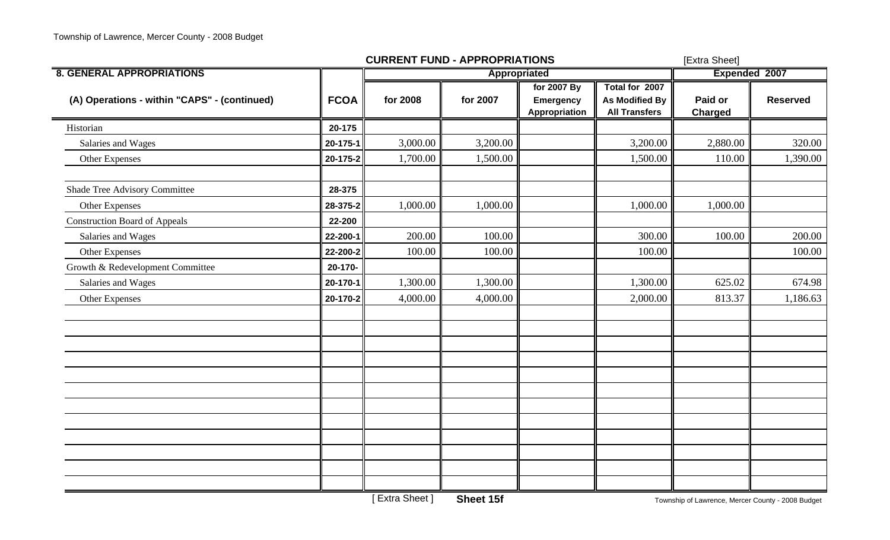|                                              |             | <b>CURRENT FUND - APPROPRIATIONS</b> | [Extra Sheet] |                                                  |                                                                 |                           |                 |
|----------------------------------------------|-------------|--------------------------------------|---------------|--------------------------------------------------|-----------------------------------------------------------------|---------------------------|-----------------|
| <b>8. GENERAL APPROPRIATIONS</b>             |             |                                      | Appropriated  |                                                  |                                                                 | Expended 2007             |                 |
| (A) Operations - within "CAPS" - (continued) | <b>FCOA</b> | for 2008                             | for 2007      | for 2007 By<br><b>Emergency</b><br>Appropriation | Total for 2007<br><b>As Modified By</b><br><b>All Transfers</b> | Paid or<br><b>Charged</b> | <b>Reserved</b> |
| Historian                                    | 20-175      |                                      |               |                                                  |                                                                 |                           |                 |
| Salaries and Wages                           | 20-175-1    | 3,000.00                             | 3,200.00      |                                                  | 3,200.00                                                        | 2,880.00                  | 320.00          |
| Other Expenses                               | 20-175-2    | 1,700.00                             | 1,500.00      |                                                  | 1,500.00                                                        | 110.00                    | 1,390.00        |
| Shade Tree Advisory Committee                | 28-375      |                                      |               |                                                  |                                                                 |                           |                 |
| Other Expenses                               | 28-375-2    | 1,000.00                             | 1,000.00      |                                                  | 1,000.00                                                        | 1,000.00                  |                 |
| <b>Construction Board of Appeals</b>         | 22-200      |                                      |               |                                                  |                                                                 |                           |                 |
| Salaries and Wages                           | 22-200-1    | 200.00                               | 100.00        |                                                  | 300.00                                                          | 100.00                    | 200.00          |
| Other Expenses                               | 22-200-2    | 100.00                               | 100.00        |                                                  | 100.00                                                          |                           | 100.00          |
| Growth & Redevelopment Committee             | 20-170-     |                                      |               |                                                  |                                                                 |                           |                 |
| Salaries and Wages                           | 20-170-1    | 1,300.00                             | 1,300.00      |                                                  | 1,300.00                                                        | 625.02                    | 674.98          |
| Other Expenses                               | 20-170-2    | 4,000.00                             | 4,000.00      |                                                  | 2,000.00                                                        | 813.37                    | 1,186.63        |
|                                              |             |                                      |               |                                                  |                                                                 |                           |                 |
|                                              |             |                                      |               |                                                  |                                                                 |                           |                 |
|                                              |             |                                      |               |                                                  |                                                                 |                           |                 |
|                                              |             |                                      |               |                                                  |                                                                 |                           |                 |
|                                              |             |                                      |               |                                                  |                                                                 |                           |                 |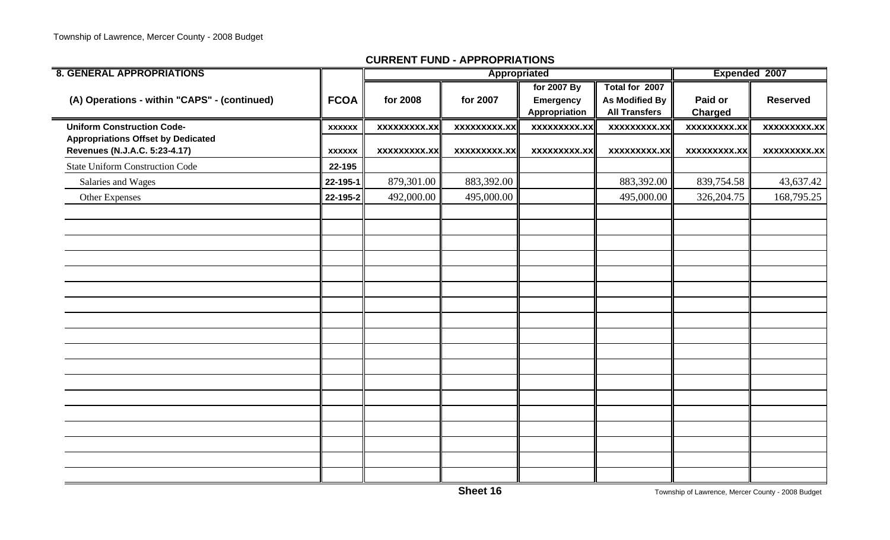| <b>8. GENERAL APPROPRIATIONS</b>                                           |               |                     | Appropriated        |                                           |                                                                 |                           | Expended 2007       |
|----------------------------------------------------------------------------|---------------|---------------------|---------------------|-------------------------------------------|-----------------------------------------------------------------|---------------------------|---------------------|
| (A) Operations - within "CAPS" - (continued)                               | <b>FCOA</b>   | for 2008            | for 2007            | for 2007 By<br>Emergency<br>Appropriation | Total for 2007<br><b>As Modified By</b><br><b>All Transfers</b> | Paid or<br><b>Charged</b> | <b>Reserved</b>     |
| <b>Uniform Construction Code-</b>                                          | <b>XXXXXX</b> | xxxxxxxxx.xx        | xxxxxxxxx.xx        | xxxxxxxxx.xx                              | <b>XXXXXXXXX.XX</b>                                             | xxxxxxxxx.xx              | <b>XXXXXXXXX.XX</b> |
| <b>Appropriations Offset by Dedicated</b><br>Revenues (N.J.A.C. 5:23-4.17) | <b>XXXXXX</b> | <b>XXXXXXXXX.XX</b> | <b>XXXXXXXXX.XX</b> | <b>XXXXXXXXX.XX</b>                       | <b>XXXXXXXXX.XX</b>                                             | <b>XXXXXXXXX.XX</b>       | <b>XXXXXXXXX.XX</b> |
| <b>State Uniform Construction Code</b>                                     | 22-195        |                     |                     |                                           |                                                                 |                           |                     |
| Salaries and Wages                                                         | 22-195-1      | 879,301.00          | 883,392.00          |                                           | 883,392.00                                                      | 839,754.58                | 43,637.42           |
| Other Expenses                                                             | 22-195-2      | 492,000.00          | 495,000.00          |                                           | 495,000.00                                                      | 326, 204. 75              | 168,795.25          |
|                                                                            |               |                     |                     |                                           |                                                                 |                           |                     |
|                                                                            |               |                     |                     |                                           |                                                                 |                           |                     |
|                                                                            |               |                     |                     |                                           |                                                                 |                           |                     |
|                                                                            |               |                     |                     |                                           |                                                                 |                           |                     |
|                                                                            |               |                     |                     |                                           |                                                                 |                           |                     |
|                                                                            |               |                     |                     |                                           |                                                                 |                           |                     |
|                                                                            |               |                     |                     |                                           |                                                                 |                           |                     |
|                                                                            |               |                     |                     |                                           |                                                                 |                           |                     |
|                                                                            |               |                     |                     |                                           |                                                                 |                           |                     |
|                                                                            |               |                     |                     |                                           |                                                                 |                           |                     |
|                                                                            |               |                     |                     |                                           |                                                                 |                           |                     |
|                                                                            |               |                     |                     |                                           |                                                                 |                           |                     |
|                                                                            |               |                     |                     |                                           |                                                                 |                           |                     |
|                                                                            |               |                     |                     |                                           |                                                                 |                           |                     |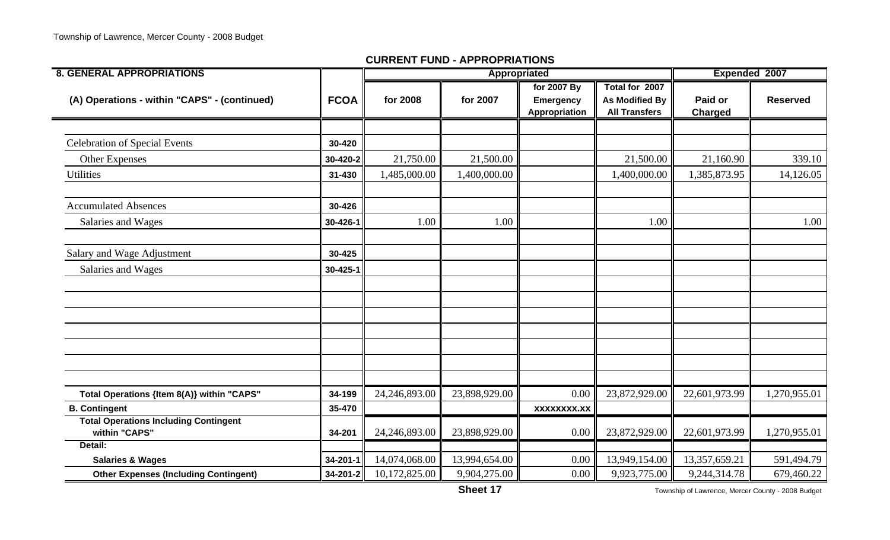| <b>8. GENERAL APPROPRIATIONS</b>                              |             |               | Appropriated  |                                                  |                                                                 | Expended 2007             |                 |  |
|---------------------------------------------------------------|-------------|---------------|---------------|--------------------------------------------------|-----------------------------------------------------------------|---------------------------|-----------------|--|
| (A) Operations - within "CAPS" - (continued)                  | <b>FCOA</b> | for 2008      | for 2007      | for 2007 By<br><b>Emergency</b><br>Appropriation | Total for 2007<br><b>As Modified By</b><br><b>All Transfers</b> | Paid or<br><b>Charged</b> | <b>Reserved</b> |  |
|                                                               |             |               |               |                                                  |                                                                 |                           |                 |  |
| <b>Celebration of Special Events</b>                          | 30-420      |               |               |                                                  |                                                                 |                           |                 |  |
| <b>Other Expenses</b>                                         | 30-420-2    | 21,750.00     | 21,500.00     |                                                  | 21,500.00                                                       | 21,160.90                 | 339.10          |  |
| Utilities                                                     | 31-430      | 1,485,000.00  | 1,400,000.00  |                                                  | 1,400,000.00                                                    | 1,385,873.95              | 14,126.05       |  |
| <b>Accumulated Absences</b>                                   | 30-426      |               |               |                                                  |                                                                 |                           |                 |  |
| Salaries and Wages                                            | 30-426-1    | 1.00          | 1.00          |                                                  | 1.00                                                            |                           | 1.00            |  |
| Salary and Wage Adjustment                                    | 30-425      |               |               |                                                  |                                                                 |                           |                 |  |
| Salaries and Wages                                            | 30-425-1    |               |               |                                                  |                                                                 |                           |                 |  |
|                                                               |             |               |               |                                                  |                                                                 |                           |                 |  |
|                                                               |             |               |               |                                                  |                                                                 |                           |                 |  |
|                                                               |             |               |               |                                                  |                                                                 |                           |                 |  |
|                                                               |             |               |               |                                                  |                                                                 |                           |                 |  |
| Total Operations {Item 8(A)} within "CAPS"                    | 34-199      | 24,246,893.00 | 23,898,929.00 | 0.00                                             | 23,872,929.00                                                   | 22,601,973.99             | 1,270,955.01    |  |
| <b>B. Contingent</b>                                          | 35-470      |               |               | <b>XXXXXXXX.XX</b>                               |                                                                 |                           |                 |  |
| <b>Total Operations Including Contingent</b><br>within "CAPS" | 34-201      | 24,246,893.00 | 23,898,929.00 | 0.00                                             | 23,872,929.00                                                   | 22,601,973.99             | 1,270,955.01    |  |
| Detail:                                                       |             |               |               |                                                  |                                                                 |                           |                 |  |
| <b>Salaries &amp; Wages</b>                                   | 34-201-1    | 14,074,068.00 | 13,994,654.00 | 0.00                                             | 13,949,154.00                                                   | 13,357,659.21             | 591,494.79      |  |
| <b>Other Expenses (Including Contingent)</b>                  | 34-201-2    | 10,172,825.00 | 9,904,275.00  | 0.00                                             | 9,923,775.00                                                    | 9,244,314.78              | 679,460.22      |  |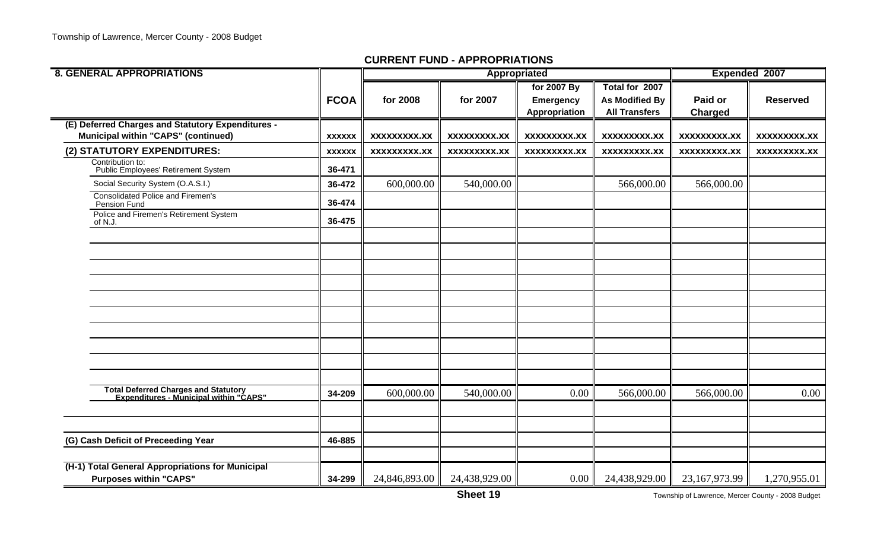|               |                                                  |                                           | Appropriated                                     |                                                                 |                                                                                        | Expended 2007                                       |
|---------------|--------------------------------------------------|-------------------------------------------|--------------------------------------------------|-----------------------------------------------------------------|----------------------------------------------------------------------------------------|-----------------------------------------------------|
|               |                                                  |                                           | for 2007 By                                      | Total for 2007                                                  |                                                                                        |                                                     |
|               |                                                  |                                           |                                                  |                                                                 |                                                                                        | <b>Reserved</b>                                     |
|               |                                                  |                                           |                                                  |                                                                 |                                                                                        |                                                     |
|               |                                                  |                                           |                                                  |                                                                 |                                                                                        |                                                     |
|               |                                                  |                                           |                                                  |                                                                 |                                                                                        | <b>XXXXXXXXX.XX</b>                                 |
| <b>XXXXXX</b> | <b>XXXXXXXXX.XX</b>                              | <b>XXXXXXXXX.XX</b>                       | XXXXXXXXX.XX                                     | XXXXXXXXX.XX                                                    | <b>XXXXXXXXX.XX</b>                                                                    | XXXXXXXXX.XX                                        |
| 36-471        |                                                  |                                           |                                                  |                                                                 |                                                                                        |                                                     |
| 36-472        | 600,000.00                                       | 540,000.00                                |                                                  | 566,000.00                                                      | 566,000.00                                                                             |                                                     |
| 36-474        |                                                  |                                           |                                                  |                                                                 |                                                                                        |                                                     |
| 36-475        |                                                  |                                           |                                                  |                                                                 |                                                                                        |                                                     |
|               |                                                  |                                           |                                                  |                                                                 |                                                                                        |                                                     |
|               |                                                  |                                           |                                                  |                                                                 |                                                                                        |                                                     |
|               |                                                  |                                           |                                                  |                                                                 |                                                                                        |                                                     |
|               |                                                  |                                           |                                                  |                                                                 |                                                                                        |                                                     |
|               |                                                  |                                           |                                                  |                                                                 |                                                                                        |                                                     |
|               |                                                  |                                           |                                                  |                                                                 |                                                                                        |                                                     |
|               |                                                  |                                           |                                                  |                                                                 |                                                                                        |                                                     |
|               |                                                  |                                           |                                                  |                                                                 |                                                                                        |                                                     |
| 34-209        | 600,000.00                                       | 540,000.00                                | 0.00                                             | 566,000.00                                                      | 566,000.00                                                                             | 0.00                                                |
|               |                                                  |                                           |                                                  |                                                                 |                                                                                        |                                                     |
|               |                                                  |                                           |                                                  |                                                                 |                                                                                        |                                                     |
|               |                                                  |                                           |                                                  |                                                                 |                                                                                        |                                                     |
|               |                                                  |                                           |                                                  |                                                                 |                                                                                        | 1,270,955.01                                        |
|               | <b>FCOA</b><br><b>XXXXXX</b><br>46-885<br>34-299 | for 2008<br>XXXXXXXXX.XX<br>24,846,893.00 | for 2007<br><b>XXXXXXXXX.XX</b><br>24,438,929.00 | <b>Emergency</b><br><b>Appropriation</b><br><b>XXXXXXXXX.XX</b> | <b>As Modified By</b><br><b>All Transfers</b><br>XXXXXXXXX.XX<br>24,438,929.00<br>0.00 | Paid or<br>Charged<br>XXXXXXXXX.XX<br>23,167,973.99 |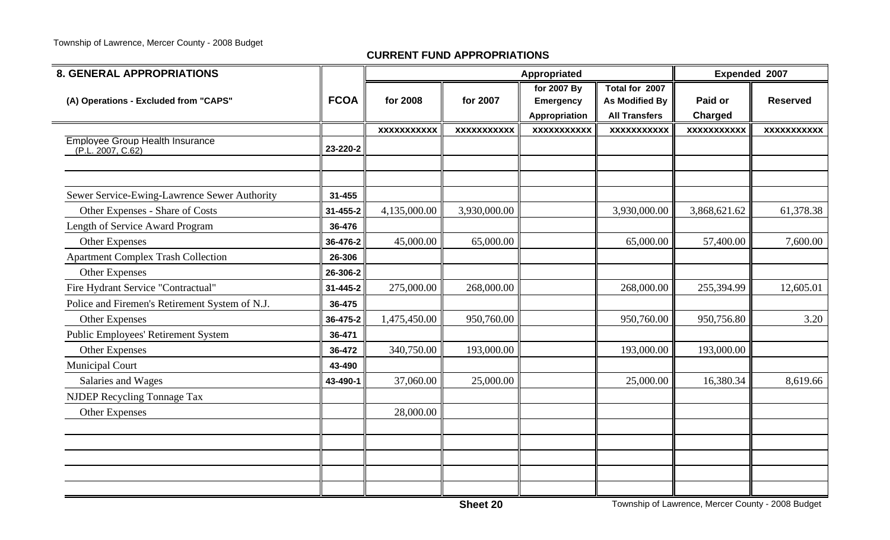| <b>8. GENERAL APPROPRIATIONS</b>                            |             |                    |                    | Appropriated                                     |                                                                 | Expended 2007             |                    |
|-------------------------------------------------------------|-------------|--------------------|--------------------|--------------------------------------------------|-----------------------------------------------------------------|---------------------------|--------------------|
| (A) Operations - Excluded from "CAPS"                       | <b>FCOA</b> | for 2008           | for 2007           | for 2007 By<br><b>Emergency</b><br>Appropriation | Total for 2007<br><b>As Modified By</b><br><b>All Transfers</b> | Paid or<br><b>Charged</b> | <b>Reserved</b>    |
|                                                             |             | <b>XXXXXXXXXXX</b> | <b>XXXXXXXXXXX</b> | <b>XXXXXXXXXXX</b>                               | <b>XXXXXXXXXXX</b>                                              | <b>XXXXXXXXXXX</b>        | <b>XXXXXXXXXXX</b> |
| <b>Employee Group Health Insurance</b><br>(P.L. 2007, C.62) | 23-220-2    |                    |                    |                                                  |                                                                 |                           |                    |
|                                                             |             |                    |                    |                                                  |                                                                 |                           |                    |
| Sewer Service-Ewing-Lawrence Sewer Authority                | 31-455      |                    |                    |                                                  |                                                                 |                           |                    |
| Other Expenses - Share of Costs                             | 31-455-2    | 4,135,000.00       | 3,930,000.00       |                                                  | 3,930,000.00                                                    | 3,868,621.62              | 61,378.38          |
| Length of Service Award Program                             | 36-476      |                    |                    |                                                  |                                                                 |                           |                    |
| <b>Other Expenses</b>                                       | 36-476-2    | 45,000.00          | 65,000.00          |                                                  | 65,000.00                                                       | 57,400.00                 | 7,600.00           |
| <b>Apartment Complex Trash Collection</b>                   | 26-306      |                    |                    |                                                  |                                                                 |                           |                    |
| Other Expenses                                              | 26-306-2    |                    |                    |                                                  |                                                                 |                           |                    |
| Fire Hydrant Service "Contractual"                          | 31-445-2    | 275,000.00         | 268,000.00         |                                                  | 268,000.00                                                      | 255,394.99                | 12,605.01          |
| Police and Firemen's Retirement System of N.J.              | 36-475      |                    |                    |                                                  |                                                                 |                           |                    |
| <b>Other Expenses</b>                                       | 36-475-2    | 1,475,450.00       | 950,760.00         |                                                  | 950,760.00                                                      | 950,756.80                | 3.20               |
| Public Employees' Retirement System                         | 36-471      |                    |                    |                                                  |                                                                 |                           |                    |
| Other Expenses                                              | 36-472      | 340,750.00         | 193,000.00         |                                                  | 193,000.00                                                      | 193,000.00                |                    |
| <b>Municipal Court</b>                                      | 43-490      |                    |                    |                                                  |                                                                 |                           |                    |
| Salaries and Wages                                          | 43-490-1    | 37,060.00          | 25,000.00          |                                                  | 25,000.00                                                       | 16,380.34                 | 8,619.66           |
| NJDEP Recycling Tonnage Tax                                 |             |                    |                    |                                                  |                                                                 |                           |                    |
| <b>Other Expenses</b>                                       |             | 28,000.00          |                    |                                                  |                                                                 |                           |                    |
|                                                             |             |                    |                    |                                                  |                                                                 |                           |                    |
|                                                             |             |                    |                    |                                                  |                                                                 |                           |                    |
|                                                             |             |                    |                    |                                                  |                                                                 |                           |                    |
|                                                             |             |                    |                    |                                                  |                                                                 |                           |                    |
|                                                             |             |                    |                    |                                                  |                                                                 |                           |                    |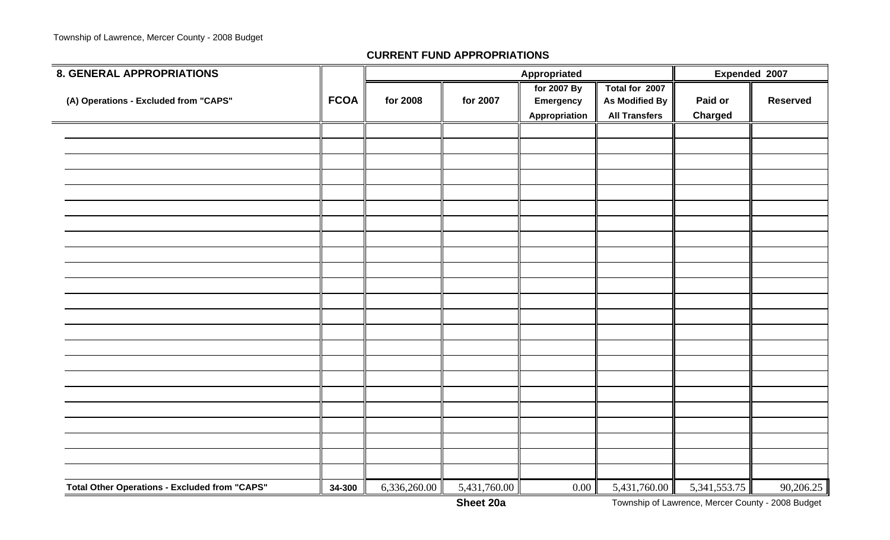| 8. GENERAL APPROPRIATIONS                            |             |              |              | Appropriated                                     |                                                                 | Expended 2007             |                 |  |
|------------------------------------------------------|-------------|--------------|--------------|--------------------------------------------------|-----------------------------------------------------------------|---------------------------|-----------------|--|
| (A) Operations - Excluded from "CAPS"                | <b>FCOA</b> | for 2008     | for 2007     | for 2007 By<br><b>Emergency</b><br>Appropriation | Total for 2007<br><b>As Modified By</b><br><b>All Transfers</b> | Paid or<br><b>Charged</b> | <b>Reserved</b> |  |
|                                                      |             |              |              |                                                  |                                                                 |                           |                 |  |
|                                                      |             |              |              |                                                  |                                                                 |                           |                 |  |
|                                                      |             |              |              |                                                  |                                                                 |                           |                 |  |
|                                                      |             |              |              |                                                  |                                                                 |                           |                 |  |
|                                                      |             |              |              |                                                  |                                                                 |                           |                 |  |
|                                                      |             |              |              |                                                  |                                                                 |                           |                 |  |
|                                                      |             |              |              |                                                  |                                                                 |                           |                 |  |
|                                                      |             |              |              |                                                  |                                                                 |                           |                 |  |
|                                                      |             |              |              |                                                  |                                                                 |                           |                 |  |
|                                                      |             |              |              |                                                  |                                                                 |                           |                 |  |
|                                                      |             |              |              |                                                  |                                                                 |                           |                 |  |
|                                                      |             |              |              |                                                  |                                                                 |                           |                 |  |
|                                                      |             |              |              |                                                  |                                                                 |                           |                 |  |
|                                                      |             |              |              |                                                  |                                                                 |                           |                 |  |
|                                                      |             |              |              |                                                  |                                                                 |                           |                 |  |
|                                                      |             |              |              |                                                  |                                                                 |                           |                 |  |
|                                                      |             |              |              |                                                  |                                                                 |                           |                 |  |
|                                                      |             |              |              |                                                  |                                                                 |                           |                 |  |
|                                                      |             |              |              |                                                  |                                                                 |                           |                 |  |
|                                                      |             |              |              |                                                  |                                                                 |                           |                 |  |
|                                                      |             |              |              |                                                  |                                                                 |                           |                 |  |
|                                                      |             |              |              |                                                  |                                                                 |                           |                 |  |
|                                                      |             |              |              |                                                  |                                                                 |                           |                 |  |
| <b>Total Other Operations - Excluded from "CAPS"</b> | 34-300      | 6,336,260.00 | 5,431,760.00 | 0.00                                             | 5,431,760.00                                                    | 5, 341, 553. 75           | 90,206.25       |  |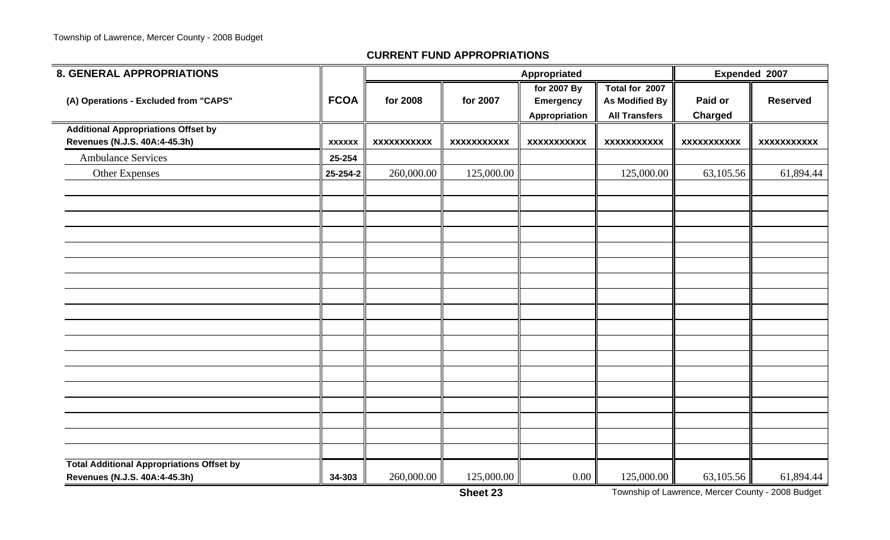÷

#### **CURRENT FUND APPROPRIATIONS**

| <b>8. GENERAL APPROPRIATIONS</b>                 |               |                    |                    | Appropriated                                     |                                                                 |                           | Expended 2007      |
|--------------------------------------------------|---------------|--------------------|--------------------|--------------------------------------------------|-----------------------------------------------------------------|---------------------------|--------------------|
| (A) Operations - Excluded from "CAPS"            | <b>FCOA</b>   | for 2008           | for 2007           | for 2007 By<br><b>Emergency</b><br>Appropriation | Total for 2007<br><b>As Modified By</b><br><b>All Transfers</b> | Paid or<br><b>Charged</b> | <b>Reserved</b>    |
| <b>Additional Appropriations Offset by</b>       |               |                    |                    |                                                  |                                                                 |                           |                    |
| Revenues (N.J.S. 40A:4-45.3h)                    | <b>XXXXXX</b> | <b>XXXXXXXXXXX</b> | <b>XXXXXXXXXXX</b> | <b>XXXXXXXXXXX</b>                               | <b>XXXXXXXXXXX</b>                                              | <b>XXXXXXXXXXX</b>        | <b>XXXXXXXXXXX</b> |
| <b>Ambulance Services</b>                        | 25-254        |                    |                    |                                                  |                                                                 |                           |                    |
| <b>Other Expenses</b>                            | 25-254-2      | 260,000.00         | 125,000.00         |                                                  | 125,000.00                                                      | 63,105.56                 | 61,894.44          |
|                                                  |               |                    |                    |                                                  |                                                                 |                           |                    |
|                                                  |               |                    |                    |                                                  |                                                                 |                           |                    |
|                                                  |               |                    |                    |                                                  |                                                                 |                           |                    |
|                                                  |               |                    |                    |                                                  |                                                                 |                           |                    |
|                                                  |               |                    |                    |                                                  |                                                                 |                           |                    |
|                                                  |               |                    |                    |                                                  |                                                                 |                           |                    |
|                                                  |               |                    |                    |                                                  |                                                                 |                           |                    |
|                                                  |               |                    |                    |                                                  |                                                                 |                           |                    |
|                                                  |               |                    |                    |                                                  |                                                                 |                           |                    |
|                                                  |               |                    |                    |                                                  |                                                                 |                           |                    |
|                                                  |               |                    |                    |                                                  |                                                                 |                           |                    |
| <b>Total Additional Appropriations Offset by</b> |               |                    |                    |                                                  |                                                                 |                           |                    |
| Revenues (N.J.S. 40A:4-45.3h)                    | 34-303        | 260,000.00         | 125,000.00         | 0.00                                             | 125,000.00                                                      | 63,105.56                 | 61,894.44          |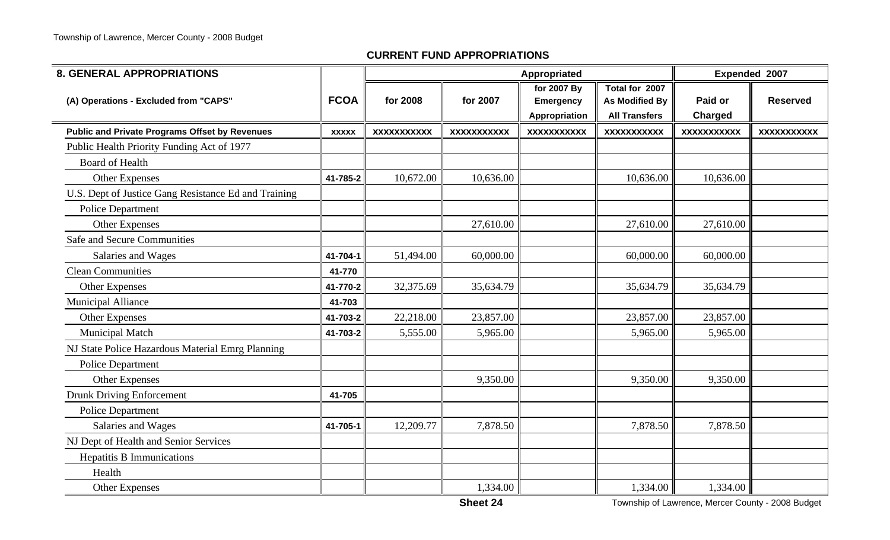| <b>8. GENERAL APPROPRIATIONS</b>                      |              |                    |                    | Appropriated                                     |                                                                 | Expended 2007             |                    |
|-------------------------------------------------------|--------------|--------------------|--------------------|--------------------------------------------------|-----------------------------------------------------------------|---------------------------|--------------------|
| (A) Operations - Excluded from "CAPS"                 | <b>FCOA</b>  | for 2008           | for 2007           | for 2007 By<br><b>Emergency</b><br>Appropriation | Total for 2007<br><b>As Modified By</b><br><b>All Transfers</b> | Paid or<br><b>Charged</b> | <b>Reserved</b>    |
| <b>Public and Private Programs Offset by Revenues</b> | <b>XXXXX</b> | <b>XXXXXXXXXXX</b> | <b>XXXXXXXXXXX</b> | <b>XXXXXXXXXXX</b>                               | <b>XXXXXXXXXXX</b>                                              | <b>XXXXXXXXXXX</b>        | <b>XXXXXXXXXXX</b> |
| Public Health Priority Funding Act of 1977            |              |                    |                    |                                                  |                                                                 |                           |                    |
| <b>Board of Health</b>                                |              |                    |                    |                                                  |                                                                 |                           |                    |
| <b>Other Expenses</b>                                 | 41-785-2     | 10,672.00          | 10,636.00          |                                                  | 10,636.00                                                       | 10,636.00                 |                    |
| U.S. Dept of Justice Gang Resistance Ed and Training  |              |                    |                    |                                                  |                                                                 |                           |                    |
| <b>Police Department</b>                              |              |                    |                    |                                                  |                                                                 |                           |                    |
| Other Expenses                                        |              |                    | 27,610.00          |                                                  | 27,610.00                                                       | 27,610.00                 |                    |
| <b>Safe and Secure Communities</b>                    |              |                    |                    |                                                  |                                                                 |                           |                    |
| Salaries and Wages                                    | 41-704-1     | 51,494.00          | 60,000.00          |                                                  | 60,000.00                                                       | 60,000.00                 |                    |
| <b>Clean Communities</b>                              | 41-770       |                    |                    |                                                  |                                                                 |                           |                    |
| <b>Other Expenses</b>                                 | 41-770-2     | 32,375.69          | 35,634.79          |                                                  | 35,634.79                                                       | 35,634.79                 |                    |
| <b>Municipal Alliance</b>                             | 41-703       |                    |                    |                                                  |                                                                 |                           |                    |
| <b>Other Expenses</b>                                 | 41-703-2     | 22,218.00          | 23,857.00          |                                                  | 23,857.00                                                       | 23,857.00                 |                    |
| <b>Municipal Match</b>                                | 41-703-2     | 5,555.00           | 5,965.00           |                                                  | 5,965.00                                                        | 5,965.00                  |                    |
| NJ State Police Hazardous Material Emrg Planning      |              |                    |                    |                                                  |                                                                 |                           |                    |
| <b>Police Department</b>                              |              |                    |                    |                                                  |                                                                 |                           |                    |
| Other Expenses                                        |              |                    | 9,350.00           |                                                  | 9,350.00                                                        | 9,350.00                  |                    |
| <b>Drunk Driving Enforcement</b>                      | 41-705       |                    |                    |                                                  |                                                                 |                           |                    |
| <b>Police Department</b>                              |              |                    |                    |                                                  |                                                                 |                           |                    |
| Salaries and Wages                                    | 41-705-1     | 12,209.77          | 7,878.50           |                                                  | 7,878.50                                                        | 7,878.50                  |                    |
| NJ Dept of Health and Senior Services                 |              |                    |                    |                                                  |                                                                 |                           |                    |
| <b>Hepatitis B Immunications</b>                      |              |                    |                    |                                                  |                                                                 |                           |                    |
| Health                                                |              |                    |                    |                                                  |                                                                 |                           |                    |
| Other Expenses                                        |              |                    | 1,334.00           |                                                  | 1,334.00                                                        | 1,334.00                  |                    |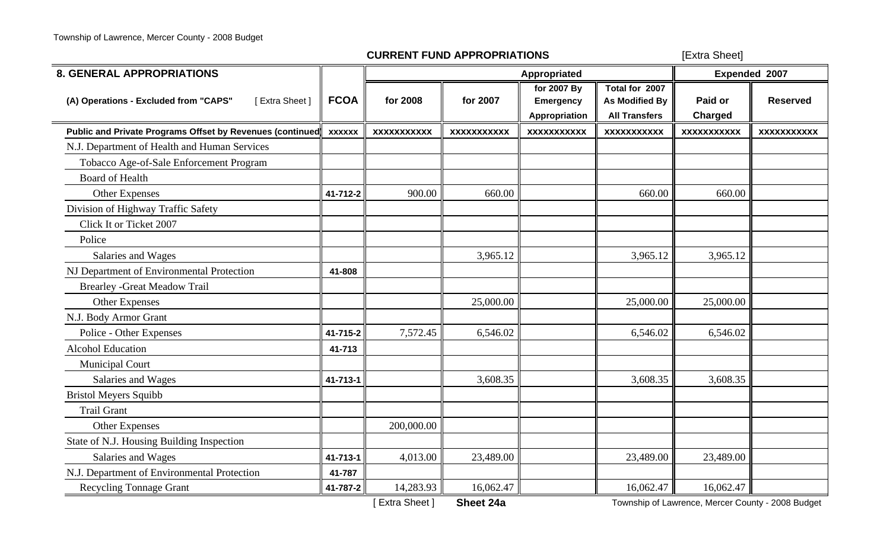| <b>8. GENERAL APPROPRIATIONS</b>                          |               |                    |                    | Appropriated                                            |                                                          | Expended 2007             |                    |  |
|-----------------------------------------------------------|---------------|--------------------|--------------------|---------------------------------------------------------|----------------------------------------------------------|---------------------------|--------------------|--|
| [Extra Sheet]<br>(A) Operations - Excluded from "CAPS"    | <b>FCOA</b>   | for 2008           | for 2007           | for 2007 By<br><b>Emergency</b><br><b>Appropriation</b> | Total for 2007<br>As Modified By<br><b>All Transfers</b> | Paid or<br><b>Charged</b> | <b>Reserved</b>    |  |
| Public and Private Programs Offset by Revenues (continued | <b>XXXXXX</b> | <b>XXXXXXXXXXX</b> | <b>XXXXXXXXXXX</b> | <b>XXXXXXXXXXX</b>                                      | <b>XXXXXXXXXXX</b>                                       | <b>XXXXXXXXXXX</b>        | <b>XXXXXXXXXXX</b> |  |
| N.J. Department of Health and Human Services              |               |                    |                    |                                                         |                                                          |                           |                    |  |
| Tobacco Age-of-Sale Enforcement Program                   |               |                    |                    |                                                         |                                                          |                           |                    |  |
| <b>Board of Health</b>                                    |               |                    |                    |                                                         |                                                          |                           |                    |  |
| Other Expenses                                            | 41-712-2      | 900.00             | 660.00             |                                                         | 660.00                                                   | 660.00                    |                    |  |
| Division of Highway Traffic Safety                        |               |                    |                    |                                                         |                                                          |                           |                    |  |
| Click It or Ticket 2007                                   |               |                    |                    |                                                         |                                                          |                           |                    |  |
| Police                                                    |               |                    |                    |                                                         |                                                          |                           |                    |  |
| Salaries and Wages                                        |               |                    | 3,965.12           |                                                         | 3,965.12                                                 | 3,965.12                  |                    |  |
| NJ Department of Environmental Protection                 | 41-808        |                    |                    |                                                         |                                                          |                           |                    |  |
| <b>Brearley - Great Meadow Trail</b>                      |               |                    |                    |                                                         |                                                          |                           |                    |  |
| Other Expenses                                            |               |                    | 25,000.00          |                                                         | 25,000.00                                                | 25,000.00                 |                    |  |
| N.J. Body Armor Grant                                     |               |                    |                    |                                                         |                                                          |                           |                    |  |
| Police - Other Expenses                                   | 41-715-2      | 7,572.45           | 6,546.02           |                                                         | 6,546.02                                                 | 6,546.02                  |                    |  |
| <b>Alcohol Education</b>                                  | 41-713        |                    |                    |                                                         |                                                          |                           |                    |  |
| <b>Municipal Court</b>                                    |               |                    |                    |                                                         |                                                          |                           |                    |  |
| Salaries and Wages                                        | 41-713-1      |                    | 3,608.35           |                                                         | 3,608.35                                                 | 3,608.35                  |                    |  |
| <b>Bristol Meyers Squibb</b>                              |               |                    |                    |                                                         |                                                          |                           |                    |  |
| <b>Trail Grant</b>                                        |               |                    |                    |                                                         |                                                          |                           |                    |  |
| <b>Other Expenses</b>                                     |               | 200,000.00         |                    |                                                         |                                                          |                           |                    |  |
| State of N.J. Housing Building Inspection                 |               |                    |                    |                                                         |                                                          |                           |                    |  |
| Salaries and Wages                                        | 41-713-1      | 4,013.00           | 23,489.00          |                                                         | 23,489.00                                                | 23,489.00                 |                    |  |
| N.J. Department of Environmental Protection               | 41-787        |                    |                    |                                                         |                                                          |                           |                    |  |
| <b>Recycling Tonnage Grant</b>                            | 41-787-2      | 14,283.93          | 16,062.47          |                                                         | 16,062.47                                                | 16,062.47                 |                    |  |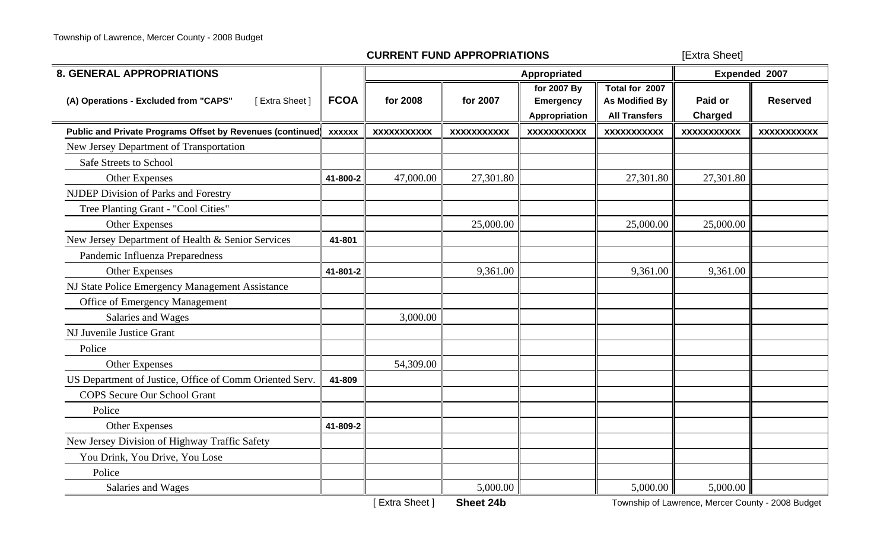| <b>8. GENERAL APPROPRIATIONS</b>                          |               |                    |                    | Appropriated                                     |                                                          | Expended 2007             |                    |  |
|-----------------------------------------------------------|---------------|--------------------|--------------------|--------------------------------------------------|----------------------------------------------------------|---------------------------|--------------------|--|
| [Extra Sheet]<br>(A) Operations - Excluded from "CAPS"    | <b>FCOA</b>   | for 2008           | for 2007           | for 2007 By<br><b>Emergency</b><br>Appropriation | Total for 2007<br>As Modified By<br><b>All Transfers</b> | Paid or<br><b>Charged</b> | <b>Reserved</b>    |  |
| Public and Private Programs Offset by Revenues (continued | <b>XXXXXX</b> | <b>XXXXXXXXXXX</b> | <b>XXXXXXXXXXX</b> | <b>XXXXXXXXXXX</b>                               | <b>XXXXXXXXXXX</b>                                       | <b>XXXXXXXXXXX</b>        | <b>XXXXXXXXXXX</b> |  |
| New Jersey Department of Transportation                   |               |                    |                    |                                                  |                                                          |                           |                    |  |
| Safe Streets to School                                    |               |                    |                    |                                                  |                                                          |                           |                    |  |
| <b>Other Expenses</b>                                     | 41-800-2      | 47,000.00          | 27,301.80          |                                                  | 27,301.80                                                | 27,301.80                 |                    |  |
| <b>NJDEP Division of Parks and Forestry</b>               |               |                    |                    |                                                  |                                                          |                           |                    |  |
| Tree Planting Grant - "Cool Cities"                       |               |                    |                    |                                                  |                                                          |                           |                    |  |
| <b>Other Expenses</b>                                     |               |                    | 25,000.00          |                                                  | 25,000.00                                                | 25,000.00                 |                    |  |
| New Jersey Department of Health & Senior Services         | 41-801        |                    |                    |                                                  |                                                          |                           |                    |  |
| Pandemic Influenza Preparedness                           |               |                    |                    |                                                  |                                                          |                           |                    |  |
| <b>Other Expenses</b>                                     | 41-801-2      |                    | 9,361.00           |                                                  | 9,361.00                                                 | 9,361.00                  |                    |  |
| NJ State Police Emergency Management Assistance           |               |                    |                    |                                                  |                                                          |                           |                    |  |
| <b>Office of Emergency Management</b>                     |               |                    |                    |                                                  |                                                          |                           |                    |  |
| Salaries and Wages                                        |               | 3,000.00           |                    |                                                  |                                                          |                           |                    |  |
| NJ Juvenile Justice Grant                                 |               |                    |                    |                                                  |                                                          |                           |                    |  |
| Police                                                    |               |                    |                    |                                                  |                                                          |                           |                    |  |
| Other Expenses                                            |               | 54,309.00          |                    |                                                  |                                                          |                           |                    |  |
| US Department of Justice, Office of Comm Oriented Serv.   | 41-809        |                    |                    |                                                  |                                                          |                           |                    |  |
| <b>COPS</b> Secure Our School Grant                       |               |                    |                    |                                                  |                                                          |                           |                    |  |
| Police                                                    |               |                    |                    |                                                  |                                                          |                           |                    |  |
| Other Expenses                                            | 41-809-2      |                    |                    |                                                  |                                                          |                           |                    |  |
| New Jersey Division of Highway Traffic Safety             |               |                    |                    |                                                  |                                                          |                           |                    |  |
| You Drink, You Drive, You Lose                            |               |                    |                    |                                                  |                                                          |                           |                    |  |
| Police                                                    |               |                    |                    |                                                  |                                                          |                           |                    |  |
| Salaries and Wages                                        |               |                    | 5,000.00           |                                                  | 5,000.00                                                 | 5,000.00                  |                    |  |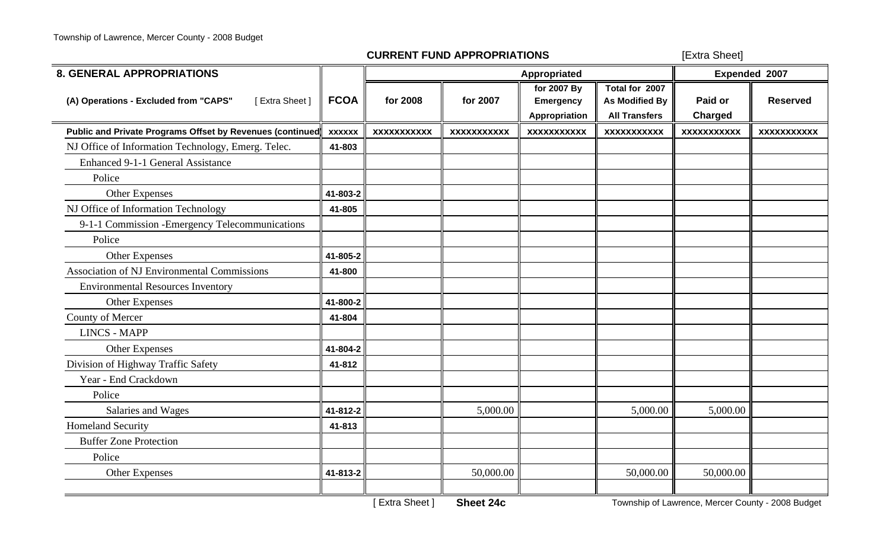| <b>8. GENERAL APPROPRIATIONS</b>                          |               |                    |                    | Appropriated                                            |                                                                 | Expended 2007             |                    |  |
|-----------------------------------------------------------|---------------|--------------------|--------------------|---------------------------------------------------------|-----------------------------------------------------------------|---------------------------|--------------------|--|
| [Extra Sheet]<br>(A) Operations - Excluded from "CAPS"    | <b>FCOA</b>   | for 2008           | for 2007           | for 2007 By<br><b>Emergency</b><br><b>Appropriation</b> | Total for 2007<br><b>As Modified By</b><br><b>All Transfers</b> | Paid or<br><b>Charged</b> | <b>Reserved</b>    |  |
| Public and Private Programs Offset by Revenues (continued | <b>XXXXXX</b> | <b>XXXXXXXXXXX</b> | <b>XXXXXXXXXXX</b> | <b>XXXXXXXXXXX</b>                                      | <b>XXXXXXXXXXX</b>                                              | <b>XXXXXXXXXXX</b>        | <b>XXXXXXXXXXX</b> |  |
| NJ Office of Information Technology, Emerg. Telec.        | 41-803        |                    |                    |                                                         |                                                                 |                           |                    |  |
| <b>Enhanced 9-1-1 General Assistance</b>                  |               |                    |                    |                                                         |                                                                 |                           |                    |  |
| Police                                                    |               |                    |                    |                                                         |                                                                 |                           |                    |  |
| Other Expenses                                            | 41-803-2      |                    |                    |                                                         |                                                                 |                           |                    |  |
| NJ Office of Information Technology                       | 41-805        |                    |                    |                                                         |                                                                 |                           |                    |  |
| 9-1-1 Commission - Emergency Telecommunications           |               |                    |                    |                                                         |                                                                 |                           |                    |  |
| Police                                                    |               |                    |                    |                                                         |                                                                 |                           |                    |  |
| Other Expenses                                            | 41-805-2      |                    |                    |                                                         |                                                                 |                           |                    |  |
| <b>Association of NJ Environmental Commissions</b>        | 41-800        |                    |                    |                                                         |                                                                 |                           |                    |  |
| <b>Environmental Resources Inventory</b>                  |               |                    |                    |                                                         |                                                                 |                           |                    |  |
| <b>Other Expenses</b>                                     | 41-800-2      |                    |                    |                                                         |                                                                 |                           |                    |  |
| County of Mercer                                          | 41-804        |                    |                    |                                                         |                                                                 |                           |                    |  |
| <b>LINCS - MAPP</b>                                       |               |                    |                    |                                                         |                                                                 |                           |                    |  |
| Other Expenses                                            | 41-804-2      |                    |                    |                                                         |                                                                 |                           |                    |  |
| Division of Highway Traffic Safety                        | 41-812        |                    |                    |                                                         |                                                                 |                           |                    |  |
| Year - End Crackdown                                      |               |                    |                    |                                                         |                                                                 |                           |                    |  |
| Police                                                    |               |                    |                    |                                                         |                                                                 |                           |                    |  |
| Salaries and Wages                                        | 41-812-2      |                    | 5,000.00           |                                                         | 5,000.00                                                        | 5,000.00                  |                    |  |
| <b>Homeland Security</b>                                  | 41-813        |                    |                    |                                                         |                                                                 |                           |                    |  |
| <b>Buffer Zone Protection</b>                             |               |                    |                    |                                                         |                                                                 |                           |                    |  |
| Police                                                    |               |                    |                    |                                                         |                                                                 |                           |                    |  |
| <b>Other Expenses</b>                                     | 41-813-2      |                    | 50,000.00          |                                                         | 50,000.00                                                       | 50,000.00                 |                    |  |
|                                                           |               |                    |                    |                                                         |                                                                 |                           |                    |  |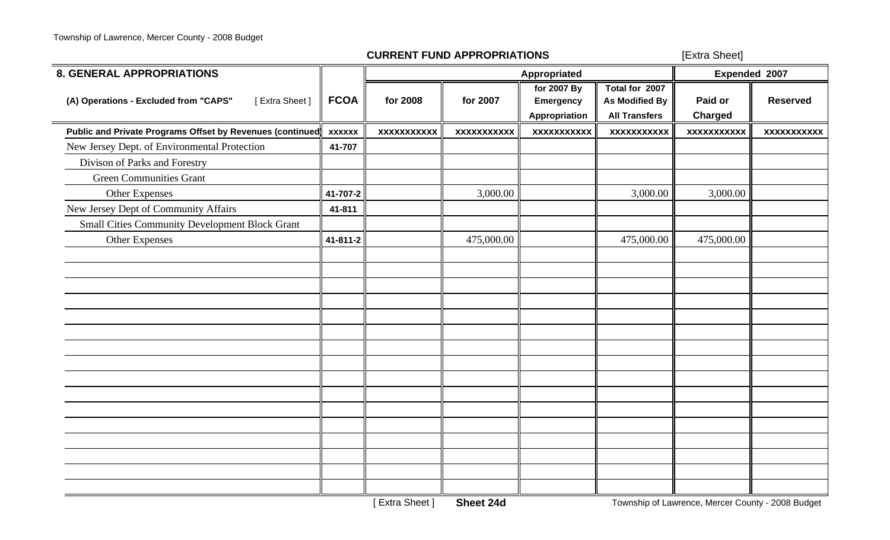| <b>8. GENERAL APPROPRIATIONS</b>                          |               |                    |                    | Appropriated                                     |                                                                 | Expended 2007             |                    |  |
|-----------------------------------------------------------|---------------|--------------------|--------------------|--------------------------------------------------|-----------------------------------------------------------------|---------------------------|--------------------|--|
| (A) Operations - Excluded from "CAPS"<br>[Extra Sheet]    | <b>FCOA</b>   | for 2008           | for 2007           | for 2007 By<br><b>Emergency</b><br>Appropriation | Total for 2007<br><b>As Modified By</b><br><b>All Transfers</b> | Paid or<br><b>Charged</b> | <b>Reserved</b>    |  |
| Public and Private Programs Offset by Revenues (continued | <b>XXXXXX</b> | <b>XXXXXXXXXXX</b> | <b>XXXXXXXXXXX</b> | <b>XXXXXXXXXXX</b>                               | xxxxxxxxxxx                                                     | <b>XXXXXXXXXXX</b>        | <b>XXXXXXXXXXX</b> |  |
| New Jersey Dept. of Environmental Protection              | 41-707        |                    |                    |                                                  |                                                                 |                           |                    |  |
| Divison of Parks and Forestry                             |               |                    |                    |                                                  |                                                                 |                           |                    |  |
| <b>Green Communities Grant</b>                            |               |                    |                    |                                                  |                                                                 |                           |                    |  |
| Other Expenses                                            | 41-707-2      |                    | 3,000.00           |                                                  | 3,000.00                                                        | 3,000.00                  |                    |  |
| New Jersey Dept of Community Affairs                      | 41-811        |                    |                    |                                                  |                                                                 |                           |                    |  |
| <b>Small Cities Community Development Block Grant</b>     |               |                    |                    |                                                  |                                                                 |                           |                    |  |
| Other Expenses                                            | 41-811-2      |                    | 475,000.00         |                                                  | 475,000.00                                                      | 475,000.00                |                    |  |
|                                                           |               |                    |                    |                                                  |                                                                 |                           |                    |  |
|                                                           |               |                    |                    |                                                  |                                                                 |                           |                    |  |
|                                                           |               |                    |                    |                                                  |                                                                 |                           |                    |  |
|                                                           |               |                    |                    |                                                  |                                                                 |                           |                    |  |
|                                                           |               |                    |                    |                                                  |                                                                 |                           |                    |  |
|                                                           |               |                    |                    |                                                  |                                                                 |                           |                    |  |
|                                                           |               |                    |                    |                                                  |                                                                 |                           |                    |  |
|                                                           |               |                    |                    |                                                  |                                                                 |                           |                    |  |
|                                                           |               |                    |                    |                                                  |                                                                 |                           |                    |  |
|                                                           |               |                    |                    |                                                  |                                                                 |                           |                    |  |
|                                                           |               |                    |                    |                                                  |                                                                 |                           |                    |  |
|                                                           |               |                    |                    |                                                  |                                                                 |                           |                    |  |
|                                                           |               |                    |                    |                                                  |                                                                 |                           |                    |  |
|                                                           |               |                    |                    |                                                  |                                                                 |                           |                    |  |
|                                                           |               |                    |                    |                                                  |                                                                 |                           |                    |  |
|                                                           |               |                    |                    |                                                  |                                                                 |                           |                    |  |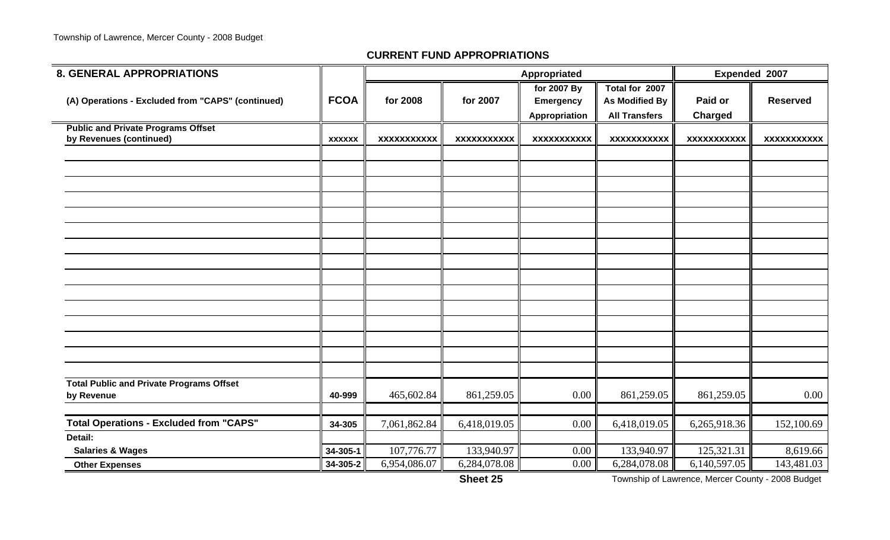| <b>8. GENERAL APPROPRIATIONS</b>                                     |               |                    |                    | Appropriated                                     |                                                          |                           | Expended 2007      |
|----------------------------------------------------------------------|---------------|--------------------|--------------------|--------------------------------------------------|----------------------------------------------------------|---------------------------|--------------------|
| (A) Operations - Excluded from "CAPS" (continued)                    | <b>FCOA</b>   | for 2008           | for 2007           | for 2007 By<br><b>Emergency</b><br>Appropriation | Total for 2007<br>As Modified By<br><b>All Transfers</b> | Paid or<br><b>Charged</b> | <b>Reserved</b>    |
| <b>Public and Private Programs Offset</b><br>by Revenues (continued) | <b>XXXXXX</b> | <b>XXXXXXXXXXX</b> | <b>XXXXXXXXXXX</b> | <b>XXXXXXXXXXX</b>                               | <b>XXXXXXXXXXX</b>                                       | <b>XXXXXXXXXXX</b>        | <b>XXXXXXXXXXX</b> |
|                                                                      |               |                    |                    |                                                  |                                                          |                           |                    |
|                                                                      |               |                    |                    |                                                  |                                                          |                           |                    |
|                                                                      |               |                    |                    |                                                  |                                                          |                           |                    |
|                                                                      |               |                    |                    |                                                  |                                                          |                           |                    |
|                                                                      |               |                    |                    |                                                  |                                                          |                           |                    |
|                                                                      |               |                    |                    |                                                  |                                                          |                           |                    |
|                                                                      |               |                    |                    |                                                  |                                                          |                           |                    |
|                                                                      |               |                    |                    |                                                  |                                                          |                           |                    |
|                                                                      |               |                    |                    |                                                  |                                                          |                           |                    |
| <b>Total Public and Private Programs Offset</b><br>by Revenue        | 40-999        | 465,602.84         | 861,259.05         | 0.00                                             | 861,259.05                                               | 861,259.05                | 0.00               |
| <b>Total Operations - Excluded from "CAPS"</b>                       | 34-305        | 7,061,862.84       | 6,418,019.05       | 0.00                                             | 6,418,019.05                                             | 6,265,918.36              | 152,100.69         |
| Detail:<br><b>Salaries &amp; Wages</b>                               | 34-305-1      | 107,776.77         | 133,940.97         | 0.00                                             | 133,940.97                                               | 125,321.31                | 8,619.66           |
| <b>Other Expenses</b>                                                | 34-305-2      | 6,954,086.07       | 6,284,078.08       | 0.00                                             | 6,284,078.08                                             | 6,140,597.05              | 143,481.03         |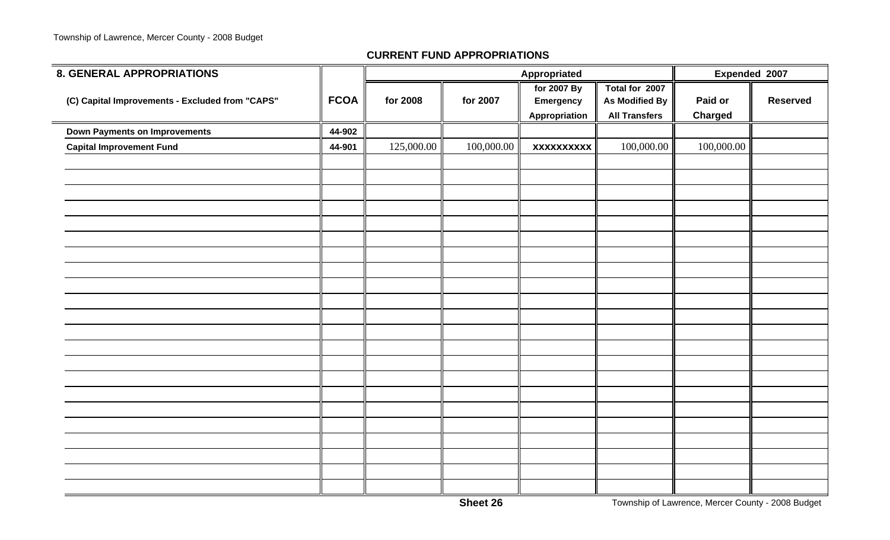÷

| <b>8. GENERAL APPROPRIATIONS</b>                |             |            | Appropriated | Expended 2007                                    |                                                                 |                           |                 |
|-------------------------------------------------|-------------|------------|--------------|--------------------------------------------------|-----------------------------------------------------------------|---------------------------|-----------------|
| (C) Capital Improvements - Excluded from "CAPS" | <b>FCOA</b> | for 2008   | for 2007     | for 2007 By<br><b>Emergency</b><br>Appropriation | Total for 2007<br><b>As Modified By</b><br><b>All Transfers</b> | Paid or<br><b>Charged</b> | <b>Reserved</b> |
| <b>Down Payments on Improvements</b>            | 44-902      |            |              |                                                  |                                                                 |                           |                 |
| <b>Capital Improvement Fund</b>                 | 44-901      | 125,000.00 | 100,000.00   | <b>XXXXXXXXXX</b>                                | 100,000.00                                                      | 100,000.00                |                 |
|                                                 |             |            |              |                                                  |                                                                 |                           |                 |
|                                                 |             |            |              |                                                  |                                                                 |                           |                 |
|                                                 |             |            |              |                                                  |                                                                 |                           |                 |
|                                                 |             |            |              |                                                  |                                                                 |                           |                 |
|                                                 |             |            |              |                                                  |                                                                 |                           |                 |
|                                                 |             |            |              |                                                  |                                                                 |                           |                 |
|                                                 |             |            |              |                                                  |                                                                 |                           |                 |
|                                                 |             |            |              |                                                  |                                                                 |                           |                 |
|                                                 |             |            |              |                                                  |                                                                 |                           |                 |
|                                                 |             |            |              |                                                  |                                                                 |                           |                 |
|                                                 |             |            |              |                                                  |                                                                 |                           |                 |
|                                                 |             |            |              |                                                  |                                                                 |                           |                 |
|                                                 |             |            |              |                                                  |                                                                 |                           |                 |
|                                                 |             |            |              |                                                  |                                                                 |                           |                 |
|                                                 |             |            |              |                                                  |                                                                 |                           |                 |
|                                                 |             |            |              |                                                  |                                                                 |                           |                 |
|                                                 |             |            |              |                                                  |                                                                 |                           |                 |
|                                                 |             |            |              |                                                  |                                                                 |                           |                 |
|                                                 |             |            |              |                                                  |                                                                 |                           |                 |
|                                                 |             |            |              |                                                  |                                                                 |                           |                 |
|                                                 |             |            |              |                                                  |                                                                 |                           |                 |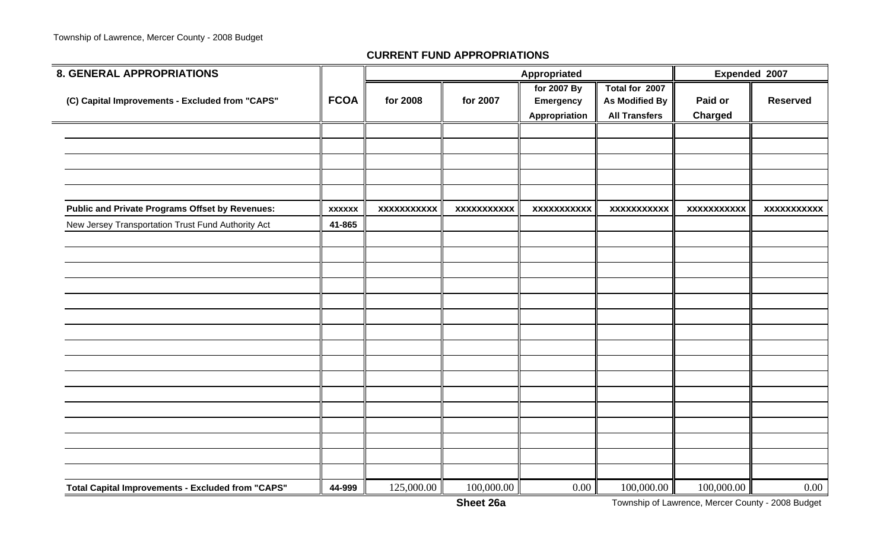| <b>8. GENERAL APPROPRIATIONS</b>                         |               |                    |                    | Appropriated                                     |                                                                 | Expended 2007      |                    |
|----------------------------------------------------------|---------------|--------------------|--------------------|--------------------------------------------------|-----------------------------------------------------------------|--------------------|--------------------|
| (C) Capital Improvements - Excluded from "CAPS"          | <b>FCOA</b>   | for 2008           | for 2007           | for 2007 By<br><b>Emergency</b><br>Appropriation | Total for 2007<br><b>As Modified By</b><br><b>All Transfers</b> | Paid or<br>Charged | <b>Reserved</b>    |
|                                                          |               |                    |                    |                                                  |                                                                 |                    |                    |
|                                                          |               |                    |                    |                                                  |                                                                 |                    |                    |
|                                                          |               |                    |                    |                                                  |                                                                 |                    |                    |
|                                                          |               |                    |                    |                                                  |                                                                 |                    |                    |
| <b>Public and Private Programs Offset by Revenues:</b>   | <b>XXXXXX</b> | <b>XXXXXXXXXXX</b> | <b>XXXXXXXXXXX</b> | <b>XXXXXXXXXXX</b>                               | XXXXXXXXXXX                                                     | <b>XXXXXXXXXXX</b> | <b>XXXXXXXXXXX</b> |
| New Jersey Transportation Trust Fund Authority Act       | 41-865        |                    |                    |                                                  |                                                                 |                    |                    |
|                                                          |               |                    |                    |                                                  |                                                                 |                    |                    |
|                                                          |               |                    |                    |                                                  |                                                                 |                    |                    |
|                                                          |               |                    |                    |                                                  |                                                                 |                    |                    |
|                                                          |               |                    |                    |                                                  |                                                                 |                    |                    |
|                                                          |               |                    |                    |                                                  |                                                                 |                    |                    |
|                                                          |               |                    |                    |                                                  |                                                                 |                    |                    |
|                                                          |               |                    |                    |                                                  |                                                                 |                    |                    |
|                                                          |               |                    |                    |                                                  |                                                                 |                    |                    |
|                                                          |               |                    |                    |                                                  |                                                                 |                    |                    |
|                                                          |               |                    |                    |                                                  |                                                                 |                    |                    |
|                                                          |               |                    |                    |                                                  |                                                                 |                    |                    |
|                                                          |               |                    |                    |                                                  |                                                                 |                    |                    |
|                                                          |               |                    |                    |                                                  |                                                                 |                    |                    |
|                                                          |               |                    |                    |                                                  |                                                                 |                    |                    |
|                                                          |               |                    |                    |                                                  |                                                                 |                    |                    |
| <b>Total Capital Improvements - Excluded from "CAPS"</b> | 44-999        | 125,000.00         | 100,000.00         | 0.00                                             | 100,000.00                                                      | 100,000.00         | $0.00\,$           |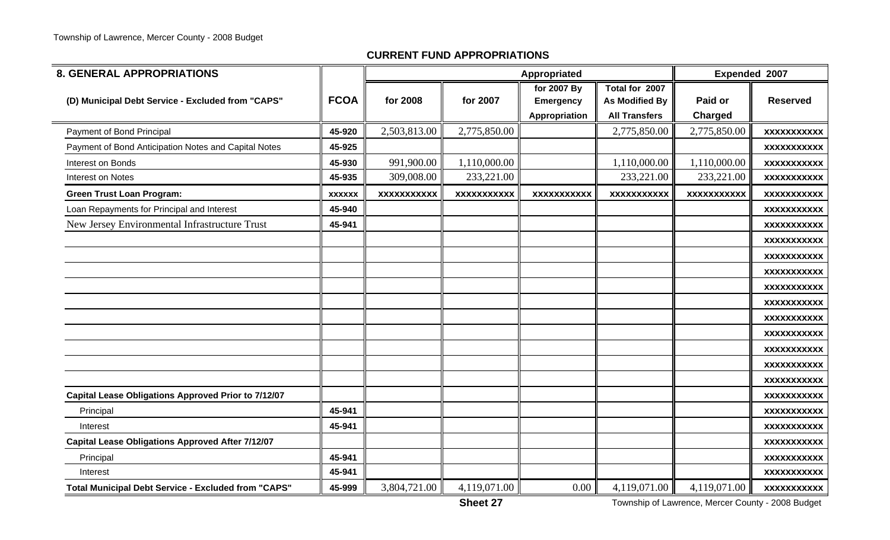| <b>8. GENERAL APPROPRIATIONS</b>                           |               |                    |                    | Appropriated                                     |                                                          | Expended 2007             |                    |
|------------------------------------------------------------|---------------|--------------------|--------------------|--------------------------------------------------|----------------------------------------------------------|---------------------------|--------------------|
| (D) Municipal Debt Service - Excluded from "CAPS"          | <b>FCOA</b>   | for 2008           | for 2007           | for 2007 By<br><b>Emergency</b><br>Appropriation | Total for 2007<br>As Modified By<br><b>All Transfers</b> | Paid or<br><b>Charged</b> | <b>Reserved</b>    |
| Payment of Bond Principal                                  | 45-920        | 2,503,813.00       | 2,775,850.00       |                                                  | 2,775,850.00                                             | 2,775,850.00              | <b>XXXXXXXXXXX</b> |
| Payment of Bond Anticipation Notes and Capital Notes       | 45-925        |                    |                    |                                                  |                                                          |                           | <b>XXXXXXXXXXX</b> |
| Interest on Bonds                                          | 45-930        | 991,900.00         | 1,110,000.00       |                                                  | 1,110,000.00                                             | 1,110,000.00              | <b>XXXXXXXXXXX</b> |
| Interest on Notes                                          | 45-935        | 309,008.00         | 233,221.00         |                                                  | 233,221.00                                               | 233,221.00                | <b>XXXXXXXXXXX</b> |
| <b>Green Trust Loan Program:</b>                           | <b>XXXXXX</b> | <b>XXXXXXXXXXX</b> | <b>XXXXXXXXXXX</b> | <b>XXXXXXXXXXX</b>                               | <b>XXXXXXXXXXX</b>                                       | <b>XXXXXXXXXXX</b>        | <b>XXXXXXXXXXX</b> |
| Loan Repayments for Principal and Interest                 | 45-940        |                    |                    |                                                  |                                                          |                           | <b>XXXXXXXXXXX</b> |
| New Jersey Environmental Infrastructure Trust              | 45-941        |                    |                    |                                                  |                                                          |                           | <b>XXXXXXXXXXX</b> |
|                                                            |               |                    |                    |                                                  |                                                          |                           | <b>XXXXXXXXXXX</b> |
|                                                            |               |                    |                    |                                                  |                                                          |                           | <b>XXXXXXXXXXX</b> |
|                                                            |               |                    |                    |                                                  |                                                          |                           | <b>XXXXXXXXXXX</b> |
|                                                            |               |                    |                    |                                                  |                                                          |                           | <b>XXXXXXXXXXX</b> |
|                                                            |               |                    |                    |                                                  |                                                          |                           | <b>XXXXXXXXXXX</b> |
|                                                            |               |                    |                    |                                                  |                                                          |                           | <b>XXXXXXXXXXX</b> |
|                                                            |               |                    |                    |                                                  |                                                          |                           | <b>XXXXXXXXXXX</b> |
|                                                            |               |                    |                    |                                                  |                                                          |                           | <b>XXXXXXXXXXX</b> |
|                                                            |               |                    |                    |                                                  |                                                          |                           | <b>XXXXXXXXXXX</b> |
|                                                            |               |                    |                    |                                                  |                                                          |                           | <b>XXXXXXXXXXX</b> |
| <b>Capital Lease Obligations Approved Prior to 7/12/07</b> |               |                    |                    |                                                  |                                                          |                           | <b>XXXXXXXXXXX</b> |
| Principal                                                  | 45-941        |                    |                    |                                                  |                                                          |                           | <b>XXXXXXXXXXX</b> |
| Interest                                                   | 45-941        |                    |                    |                                                  |                                                          |                           | <b>XXXXXXXXXXX</b> |
| <b>Capital Lease Obligations Approved After 7/12/07</b>    |               |                    |                    |                                                  |                                                          |                           | <b>XXXXXXXXXXX</b> |
| Principal                                                  | 45-941        |                    |                    |                                                  |                                                          |                           | <b>XXXXXXXXXXX</b> |
| Interest                                                   | 45-941        |                    |                    |                                                  |                                                          |                           | <b>XXXXXXXXXXX</b> |
| <b>Total Municipal Debt Service - Excluded from "CAPS"</b> | 45-999        | 3,804,721.00       | 4,119,071.00       | $0.00\degree$                                    | 4,119,071.00                                             | 4,119,071.00              | <b>XXXXXXXXXXX</b> |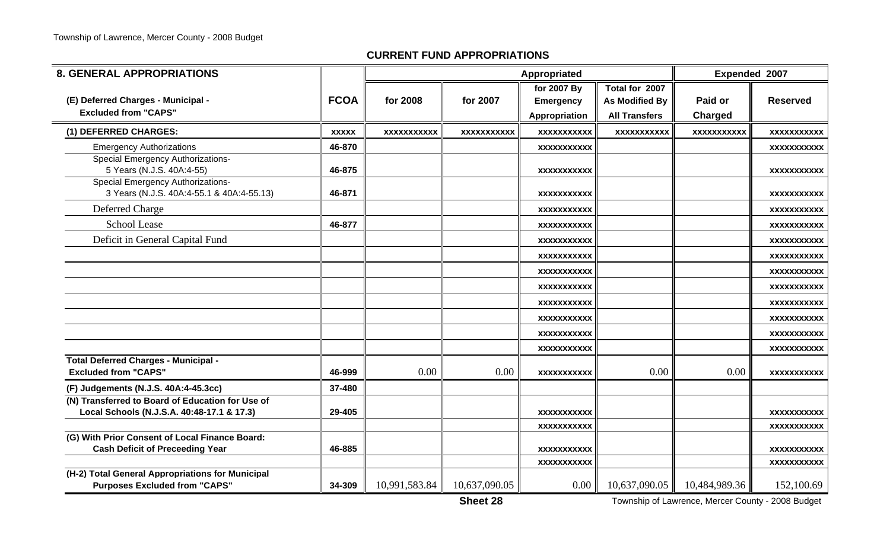| <b>8. GENERAL APPROPRIATIONS</b>                                                               |              | Appropriated       |                    |                    |                       |                    | Expended 2007      |
|------------------------------------------------------------------------------------------------|--------------|--------------------|--------------------|--------------------|-----------------------|--------------------|--------------------|
|                                                                                                |              |                    |                    | for 2007 By        | Total for 2007        |                    |                    |
| (E) Deferred Charges - Municipal -                                                             | <b>FCOA</b>  | for 2008           | for 2007           | <b>Emergency</b>   | <b>As Modified By</b> | Paid or            | <b>Reserved</b>    |
| <b>Excluded from "CAPS"</b>                                                                    |              |                    |                    | Appropriation      | <b>All Transfers</b>  | <b>Charged</b>     |                    |
| (1) DEFERRED CHARGES:                                                                          | <b>XXXXX</b> | <b>XXXXXXXXXXX</b> | <b>XXXXXXXXXXX</b> | <b>XXXXXXXXXXX</b> | <b>XXXXXXXXXXX</b>    | <b>XXXXXXXXXXX</b> | <b>XXXXXXXXXXX</b> |
| <b>Emergency Authorizations</b>                                                                | 46-870       |                    |                    | XXXXXXXXXXX        |                       |                    | <b>XXXXXXXXXXX</b> |
| Special Emergency Authorizations-<br>5 Years (N.J.S. 40A:4-55)                                 | 46-875       |                    |                    | <b>XXXXXXXXXXX</b> |                       |                    | <b>XXXXXXXXXXX</b> |
| <b>Special Emergency Authorizations-</b><br>3 Years (N.J.S. 40A:4-55.1 & 40A:4-55.13)          | 46-871       |                    |                    | XXXXXXXXXXX        |                       |                    | XXXXXXXXXXX        |
| Deferred Charge                                                                                |              |                    |                    | <b>XXXXXXXXXXX</b> |                       |                    | XXXXXXXXXX         |
| <b>School Lease</b>                                                                            | 46-877       |                    |                    | <b>XXXXXXXXXXX</b> |                       |                    | <b>XXXXXXXXXXX</b> |
| Deficit in General Capital Fund                                                                |              |                    |                    | <b>XXXXXXXXXXX</b> |                       |                    | <b>XXXXXXXXXXX</b> |
|                                                                                                |              |                    |                    | XXXXXXXXXXX        |                       |                    | XXXXXXXXXX         |
|                                                                                                |              |                    |                    | <b>XXXXXXXXXXX</b> |                       |                    | <b>XXXXXXXXXXX</b> |
|                                                                                                |              |                    |                    | <b>XXXXXXXXXXX</b> |                       |                    | <b>XXXXXXXXXXX</b> |
|                                                                                                |              |                    |                    | <b>XXXXXXXXXXX</b> |                       |                    | <b>XXXXXXXXXXX</b> |
|                                                                                                |              |                    |                    | <b>XXXXXXXXXXX</b> |                       |                    | <b>XXXXXXXXXXX</b> |
|                                                                                                |              |                    |                    | <b>XXXXXXXXXXX</b> |                       |                    | <b>XXXXXXXXXXX</b> |
|                                                                                                |              |                    |                    | <b>XXXXXXXXXXX</b> |                       |                    | <b>XXXXXXXXXXX</b> |
| Total Deferred Charges - Municipal -<br><b>Excluded from "CAPS"</b>                            | 46-999       | 0.00               | 0.00               | <b>XXXXXXXXXXX</b> | 0.00                  | 0.00               | <b>XXXXXXXXXXX</b> |
| (F) Judgements (N.J.S. 40A:4-45.3cc)                                                           | 37-480       |                    |                    |                    |                       |                    |                    |
| (N) Transferred to Board of Education for Use of<br>Local Schools (N.J.S.A. 40:48-17.1 & 17.3) | 29-405       |                    |                    | <b>XXXXXXXXXXX</b> |                       |                    | <b>XXXXXXXXXXX</b> |
|                                                                                                |              |                    |                    | XXXXXXXXXXX        |                       |                    | <b>XXXXXXXXXXX</b> |
| (G) With Prior Consent of Local Finance Board:<br><b>Cash Deficit of Preceeding Year</b>       | 46-885       |                    |                    | <b>XXXXXXXXXXX</b> |                       |                    | <b>XXXXXXXXXXX</b> |
|                                                                                                |              |                    |                    | <b>XXXXXXXXXXX</b> |                       |                    | <b>XXXXXXXXXXX</b> |
| (H-2) Total General Appropriations for Municipal<br><b>Purposes Excluded from "CAPS"</b>       | 34-309       | 10,991,583.84      | 10,637,090.05      | $0.00\,$           | 10,637,090.05         | 10,484,989.36      | 152,100.69         |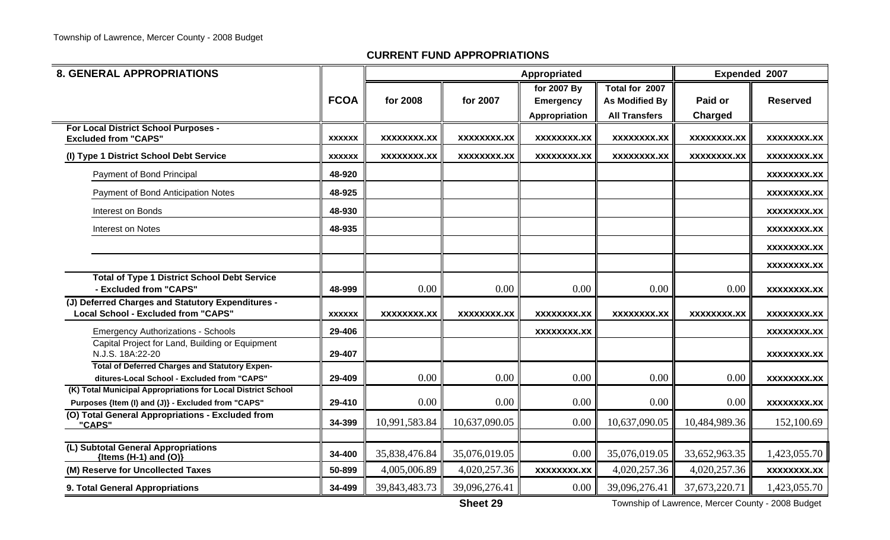| <b>8. GENERAL APPROPRIATIONS</b>                                                                                   |               |                    |                    | Expended 2007      |                       |                    |                    |
|--------------------------------------------------------------------------------------------------------------------|---------------|--------------------|--------------------|--------------------|-----------------------|--------------------|--------------------|
|                                                                                                                    |               |                    |                    | for 2007 By        | Total for 2007        |                    |                    |
|                                                                                                                    | <b>FCOA</b>   | for 2008           | for 2007           | <b>Emergency</b>   | <b>As Modified By</b> | Paid or            | <b>Reserved</b>    |
|                                                                                                                    |               |                    |                    | Appropriation      | <b>All Transfers</b>  | Charged            |                    |
| For Local District School Purposes -                                                                               | <b>XXXXXX</b> | XXXXXXXX.XX        | XXXXXXXX.XX        | XXXXXXXX.XX        | XXXXXXXX.XX           | XXXXXXXX.XX        | XXXXXXXX.XX        |
| <b>Excluded from "CAPS"</b>                                                                                        |               |                    |                    |                    |                       |                    |                    |
| (I) Type 1 District School Debt Service                                                                            | <b>XXXXXX</b> | <b>XXXXXXXX.XX</b> | <b>XXXXXXXX.XX</b> | <b>XXXXXXXX.XX</b> | <b>XXXXXXXX.XX</b>    | <b>XXXXXXXX.XX</b> | <b>XXXXXXXX.XX</b> |
| Payment of Bond Principal                                                                                          | 48-920        |                    |                    |                    |                       |                    | <b>XXXXXXXX.XX</b> |
| Payment of Bond Anticipation Notes                                                                                 | 48-925        |                    |                    |                    |                       |                    | XXXXXXXX.XX        |
| Interest on Bonds                                                                                                  | 48-930        |                    |                    |                    |                       |                    | <b>XXXXXXXX.XX</b> |
| Interest on Notes                                                                                                  | 48-935        |                    |                    |                    |                       |                    | <b>XXXXXXXX.XX</b> |
|                                                                                                                    |               |                    |                    |                    |                       |                    | <b>XXXXXXXX.XX</b> |
|                                                                                                                    |               |                    |                    |                    |                       |                    | XXXXXXXX.XX        |
| <b>Total of Type 1 District School Debt Service</b>                                                                |               |                    |                    |                    |                       |                    |                    |
| - Excluded from "CAPS"                                                                                             | 48-999        | 0.00               | 0.00               | 0.00               | 0.00                  | 0.00               | <b>XXXXXXXX.XX</b> |
| (J) Deferred Charges and Statutory Expenditures -<br><b>Local School - Excluded from "CAPS"</b>                    | <b>XXXXXX</b> | XXXXXXXX.XX        | XXXXXXXX.XX        | XXXXXXXX.XX        | XXXXXXXX.XX           | XXXXXXXX.XX        | XXXXXXXX.XX        |
| <b>Emergency Authorizations - Schools</b>                                                                          | 29-406        |                    |                    | <b>XXXXXXXX.XX</b> |                       |                    | <b>XXXXXXXX.XX</b> |
| Capital Project for Land, Building or Equipment<br>N.J.S. 18A:22-20                                                | 29-407        |                    |                    |                    |                       |                    | XXXXXXXX.XX        |
| <b>Total of Deferred Charges and Statutory Expen-</b>                                                              |               |                    |                    |                    |                       |                    |                    |
| ditures-Local School - Excluded from "CAPS"                                                                        | 29-409        | 0.00               | 0.00               | 0.00               | 0.00                  | 0.00               | <b>XXXXXXXX.XX</b> |
| (K) Total Municipal Appropriations for Local District School<br>Purposes {Item (I) and (J)} - Excluded from "CAPS" | 29-410        | 0.00               | 0.00               | 0.00               | 0.00                  | 0.00               | <b>XXXXXXXX.XX</b> |
| (O) Total General Appropriations - Excluded from                                                                   | 34-399        | 10,991,583.84      | 10,637,090.05      | 0.00               | 10,637,090.05         | 10,484,989.36      |                    |
| "CAPS"                                                                                                             |               |                    |                    |                    |                       |                    | 152,100.69         |
| (L) Subtotal General Appropriations<br>{Items (H-1) and $(O)$ }                                                    | 34-400        | 35,838,476.84      | 35,076,019.05      | 0.00               | 35,076,019.05         | 33,652,963.35      | 1,423,055.70       |
| (M) Reserve for Uncollected Taxes                                                                                  | 50-899        | 4,005,006.89       | 4,020,257.36       | <b>XXXXXXXX.XX</b> | 4,020,257.36          | 4,020,257.36       | <b>XXXXXXXX.XX</b> |
| 9. Total General Appropriations                                                                                    | 34-499        | 39,843,483.73      | 39,096,276.41      | $0.00\,$           | 39,096,276.41         | 37,673,220.71      | 1,423,055.70       |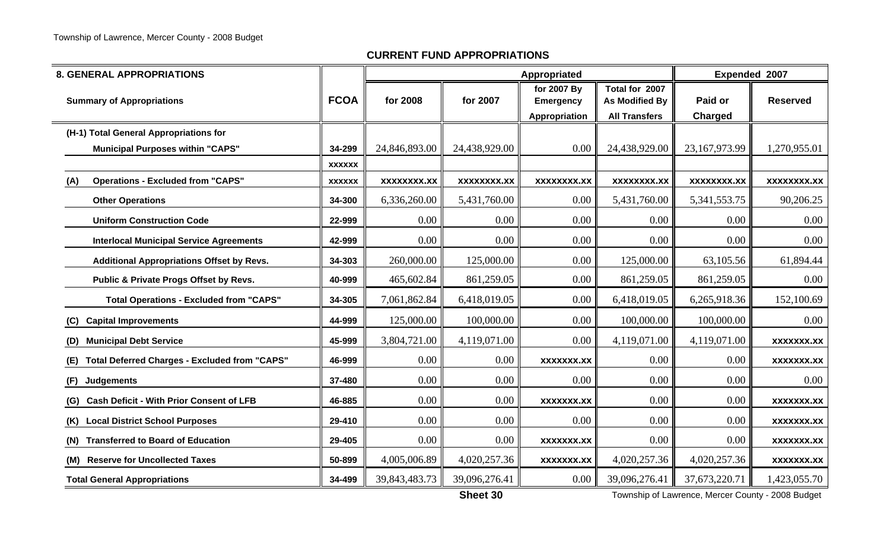| <b>8. GENERAL APPROPRIATIONS</b>                            |               |                    |                    | Appropriated                                     |                                                                 | Expended 2007      |                    |
|-------------------------------------------------------------|---------------|--------------------|--------------------|--------------------------------------------------|-----------------------------------------------------------------|--------------------|--------------------|
| <b>Summary of Appropriations</b>                            | <b>FCOA</b>   | for 2008           | for 2007           | for 2007 By<br><b>Emergency</b><br>Appropriation | Total for 2007<br><b>As Modified By</b><br><b>All Transfers</b> | Paid or<br>Charged | <b>Reserved</b>    |
| (H-1) Total General Appropriations for                      |               |                    |                    |                                                  |                                                                 |                    |                    |
| <b>Municipal Purposes within "CAPS"</b>                     | 34-299        | 24,846,893.00      | 24,438,929.00      | 0.00                                             | 24,438,929.00                                                   | 23,167,973.99      | 1,270,955.01       |
|                                                             | <b>XXXXXX</b> |                    |                    |                                                  |                                                                 |                    |                    |
| <b>Operations - Excluded from "CAPS"</b><br>(A)             | <b>XXXXXX</b> | <b>XXXXXXXX.XX</b> | <b>XXXXXXXX.XX</b> | <b>XXXXXXXX.XX</b>                               | <b>XXXXXXXX.XX</b>                                              | <b>XXXXXXXX.XX</b> | <b>XXXXXXXX.XX</b> |
| <b>Other Operations</b>                                     | 34-300        | 6,336,260.00       | 5,431,760.00       | 0.00                                             | 5,431,760.00                                                    | 5,341,553.75       | 90,206.25          |
| <b>Uniform Construction Code</b>                            | 22-999        | 0.00               | 0.00               | 0.00                                             | $0.00\,$                                                        | 0.00               | 0.00               |
| <b>Interlocal Municipal Service Agreements</b>              | 42-999        | 0.00               | 0.00               | 0.00                                             | 0.00                                                            | 0.00               | 0.00               |
| <b>Additional Appropriations Offset by Revs.</b>            | 34-303        | 260,000.00         | 125,000.00         | 0.00                                             | 125,000.00                                                      | 63,105.56          | 61,894.44          |
| Public & Private Progs Offset by Revs.                      | 40-999        | 465,602.84         | 861,259.05         | 0.00                                             | 861,259.05                                                      | 861,259.05         | 0.00               |
| <b>Total Operations - Excluded from "CAPS"</b>              | 34-305        | 7,061,862.84       | 6,418,019.05       | 0.00                                             | 6,418,019.05                                                    | 6,265,918.36       | 152,100.69         |
| (C) Capital Improvements                                    | 44-999        | 125,000.00         | 100,000.00         | 0.00                                             | 100,000.00                                                      | 100,000.00         | 0.00               |
| <b>Municipal Debt Service</b><br>(D)                        | 45-999        | 3,804,721.00       | 4,119,071.00       | 0.00                                             | 4,119,071.00                                                    | 4,119,071.00       | <b>XXXXXXX.XX</b>  |
| <b>Total Deferred Charges - Excluded from "CAPS"</b><br>(E) | 46-999        | 0.00               | 0.00               | <b>XXXXXXX.XX</b>                                | $0.00\,$                                                        | 0.00               | <b>XXXXXXX.XX</b>  |
| (F)<br><b>Judgements</b>                                    | 37-480        | 0.00               | 0.00               | 0.00                                             | 0.00                                                            | 0.00               | 0.00               |
| <b>Cash Deficit - With Prior Consent of LFB</b><br>(G)      | 46-885        | 0.00               | 0.00               | <b>XXXXXXX.XX</b>                                | 0.00                                                            | 0.00               | <b>XXXXXXX.XX</b>  |
| <b>Local District School Purposes</b><br>(K)                | 29-410        | 0.00               | 0.00               | 0.00                                             | 0.00                                                            | 0.00               | <b>XXXXXXX.XX</b>  |
| <b>Transferred to Board of Education</b><br>(N)             | 29-405        | 0.00               | 0.00               | <b>XXXXXXX.XX</b>                                | $0.00\,$                                                        | 0.00               | <b>XXXXXXX.XX</b>  |
| (M) Reserve for Uncollected Taxes                           | 50-899        | 4,005,006.89       | 4,020,257.36       | <b>XXXXXXX.XX</b>                                | 4,020,257.36                                                    | 4,020,257.36       | <b>XXXXXXX.XX</b>  |
| <b>Total General Appropriations</b>                         | 34-499        | 39, 843, 483. 73   | 39,096,276.41      | 0.00                                             | 39,096,276.41                                                   | 37,673,220.71      | 1,423,055.70       |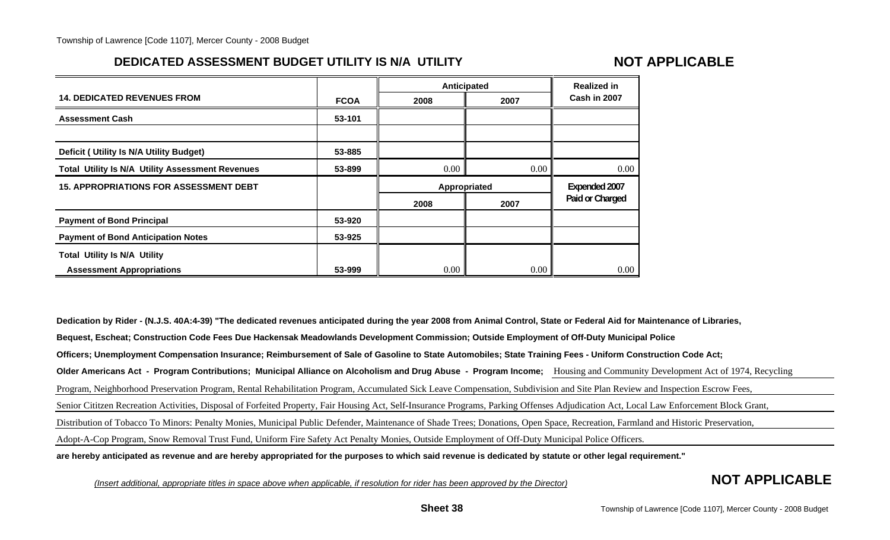## **DEDICATED ASSESSMENT BUDGET UTILITY IS N/A UTILITY**

## **NOT APPLICABLE**

|                                                         |             | Anticipated  | <b>Realized in</b> |                 |
|---------------------------------------------------------|-------------|--------------|--------------------|-----------------|
| <b>14. DEDICATED REVENUES FROM</b>                      | <b>FCOA</b> | 2008         | 2007               | Cash in 2007    |
| <b>Assessment Cash</b>                                  | 53-101      |              |                    |                 |
| Deficit ( Utility Is N/A Utility Budget)                | 53-885      |              |                    |                 |
| <b>Total Utility Is N/A Utility Assessment Revenues</b> | 53-899      | 0.00         | 0.00               | $0.00\,$        |
| <b>15. APPROPRIATIONS FOR ASSESSMENT DEBT</b>           |             | Appropriated |                    | Expended 2007   |
|                                                         |             | 2008         | 2007               | Paid or Charged |
| <b>Payment of Bond Principal</b>                        | 53-920      |              |                    |                 |
| <b>Payment of Bond Anticipation Notes</b>               | 53-925      |              |                    |                 |
| <b>Total Utility Is N/A Utility</b>                     |             |              |                    |                 |
| <b>Assessment Appropriations</b>                        | 53-999      | 0.00         | 0.00               | $0.00\,$        |

**Dedication by Rider - (N.J.S. 40A:4-39) "The dedicated revenues anticipated during the year 2008 from Animal Control, State or Federal Aid for Maintenance of Libraries, Bequest, Escheat; Construction Code Fees Due Hackensak Meadowlands Development Commission; Outside Employment of Off-Duty Municipal Police Officers; Unemployment Compensation Insurance; Reimbursement of Sale of Gasoline to State Automobiles; State Training Fees - Uniform Construction Code Act; Older Americans Act - Program Contributions; Municipal Alliance on Alcoholism and Drug Abuse - Program Income;** Housing and Community Development Act of 1974, Recycling Program, Neighborhood Preservation Program, Rental Rehabilitation Program, Accumulated Sick Leave Compensation, Subdivision and Site Plan Review and Inspection Escrow Fees, Senior Cititzen Recreation Activities, Disposal of Forfeited Property, Fair Housing Act, Self-Insurance Programs, Parking Offenses Adjudication Act, Local Law Enforcement Block Grant, Distribution of Tobacco To Minors: Penalty Monies, Municipal Public Defender, Maintenance of Shade Trees; Donations, Open Space, Recreation, Farmland and Historic Preservation, Adopt-A-Cop Program, Snow Removal Trust Fund, Uniform Fire Safety Act Penalty Monies, Outside Employment of Off-Duty Municipal Police Officers. **are hereby anticipated as revenue and are hereby appropriated for the purposes to which said revenue is dedicated by statute or other legal requirement."**

*(Insert additional, appropriate titles in space above when applicable, if resolution for rider has been approved by the Director)* **NOT APPLICABLE**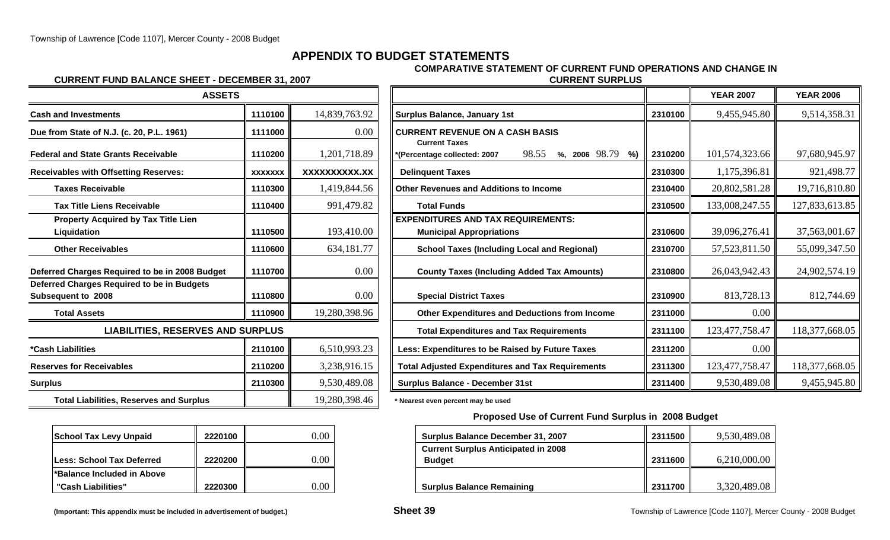## **APPENDIX TO BUDGET STATEMENTS**

**COMPARATIVE STATEMENT OF CURRENT FUND OPERATIONS AND CHANGE IN**

#### **CURRENT FUND BALANCE SHEET - DECEMBER 31, 2007 CURRENT SURPLUS**

| 14,839,763.92 | <b>Surplus Balance, January 1st</b>                                                                                                                                                                       | 2310100              |
|---------------|-----------------------------------------------------------------------------------------------------------------------------------------------------------------------------------------------------------|----------------------|
| 0.00          | <b>CURRENT REVENUE ON A CASH BASIS</b>                                                                                                                                                                    |                      |
| 1,201,718.89  | 98.55<br>%, 2006 98.79<br>%)<br>*(Percentage collected: 2007                                                                                                                                              | 2310200              |
| XXXXXXXXXX.XX | <b>Delinquent Taxes</b>                                                                                                                                                                                   | 2310300              |
| 1,419,844.56  | <b>Other Revenues and Additions to Income</b>                                                                                                                                                             | 2310400              |
| 991,479.82    | <b>Total Funds</b>                                                                                                                                                                                        | 2310500              |
| 193,410.00    | <b>EXPENDITURES AND TAX REQUIREMENTS:</b><br><b>Municipal Appropriations</b>                                                                                                                              | 2310600              |
| 634,181.77    | <b>School Taxes (Including Local and Regional)</b>                                                                                                                                                        | 2310700              |
| 0.00          | <b>County Taxes (Including Added Tax Amounts)</b>                                                                                                                                                         | 2310800              |
| 0.00          | <b>Special District Taxes</b>                                                                                                                                                                             | 2310900              |
| 19,280,398.96 | <b>Other Expenditures and Deductions from Income</b>                                                                                                                                                      | 2311000              |
|               | <b>Total Expenditures and Tax Requirements</b>                                                                                                                                                            | 2311100              |
| 6,510,993.23  | Less: Expenditures to be Raised by Future Taxes                                                                                                                                                           | 2311200              |
| 3,238,916.15  | <b>Total Adjusted Expenditures and Tax Requirements</b>                                                                                                                                                   | 2311300              |
| 9,530,489.08  | <b>Surplus Balance - December 31st</b>                                                                                                                                                                    | 2311400              |
| 19,280,398.46 | * Nearest even percent may be used                                                                                                                                                                        |                      |
|               | 1110100<br>1111000<br>1110200<br><b>XXXXXXX</b><br>1110300<br>1110400<br>1110500<br>1110600<br>1110700<br>1110800<br>1110900<br><b>LIABILITIES, RESERVES AND SURPLUS</b><br>2110100<br>2110200<br>2110300 | <b>Current Taxes</b> |

| <b>School Tax Levy Unpaid</b>    | 2220100 |  |
|----------------------------------|---------|--|
| <b>Less: School Tax Deferred</b> | 2220200 |  |
| *Balance Included in Above       |         |  |
| "Cash Liabilities"               | 2220300 |  |

|                                          |                      | UUINNLINI UUINI LUU                                                          |                      |                  |                  |
|------------------------------------------|----------------------|------------------------------------------------------------------------------|----------------------|------------------|------------------|
|                                          |                      |                                                                              |                      | <b>YEAR 2007</b> | <b>YEAR 2006</b> |
| 1110100                                  | 14,839,763.92        | <b>Surplus Balance, January 1st</b>                                          | 2310100              | 9,455,945.80     | 9,514,358.31     |
| 1111000                                  | 0.00                 | <b>CURRENT REVENUE ON A CASH BASIS</b>                                       |                      |                  |                  |
| 1110200                                  | 1,201,718.89         | %, 2006 98.79<br>98.55<br>%)<br>*(Percentage collected: 2007                 | 2310200              | 101,574,323.66   | 97,680,945.97    |
| <b>XXXXXXX</b>                           | <b>XXXXXXXXXX.XX</b> | <b>Delinquent Taxes</b>                                                      | 2310300              | 1,175,396.81     | 921,498.77       |
| 1110300                                  | 1,419,844.56         | <b>Other Revenues and Additions to Income</b>                                | 2310400              | 20,802,581.28    | 19,716,810.80    |
| 1110400                                  | 991,479.82           | <b>Total Funds</b>                                                           | 2310500              | 133,008,247.55   | 127,833,613.85   |
| 1110500                                  | 193,410.00           | <b>EXPENDITURES AND TAX REQUIREMENTS:</b><br><b>Municipal Appropriations</b> | 2310600              | 39,096,276.41    | 37,563,001.67    |
| 1110600                                  | 634,181.77           | <b>School Taxes (Including Local and Regional)</b>                           | 2310700              | 57,523,811.50    | 55,099,347.50    |
| 1110700                                  | 0.00                 | <b>County Taxes (Including Added Tax Amounts)</b>                            | 2310800              | 26,043,942.43    | 24,902,574.19    |
| 1110800                                  | 0.00                 | <b>Special District Taxes</b>                                                | 2310900              | 813,728.13       | 812,744.69       |
| 1110900                                  | 19,280,398.96        | Other Expenditures and Deductions from Income                                | 2311000              | 0.00             |                  |
| <b>LIABILITIES, RESERVES AND SURPLUS</b> |                      | <b>Total Expenditures and Tax Requirements</b>                               | 2311100              | 123,477,758.47   | 118,377,668.05   |
| 2110100                                  | 6,510,993.23         | Less: Expenditures to be Raised by Future Taxes                              | 2311200              | $0.00\,$         |                  |
| 2110200                                  | 3,238,916.15         | <b>Total Adjusted Expenditures and Tax Requirements</b>                      | 2311300              | 123,477,758.47   | 118,377,668.05   |
| 2110300                                  | 9,530,489.08         | <b>Surplus Balance - December 31st</b>                                       | 2311400              | 9,530,489.08     | 9,455,945.80     |
|                                          |                      | OONNENT T OND DAEANOE ONEET - DEOEMDER JT. ZUUT                              | <b>Current Taxes</b> |                  |                  |

#### **Proposed Use of Current Fund Surplus in 2008 Budget**

| <b>School Tax Levy Unpaid</b> | 2220100 | $0.00\,$ | <b>Surplus Balance December 31, 2007</b>                    | 2311500    | 9,530,489.08 |
|-------------------------------|---------|----------|-------------------------------------------------------------|------------|--------------|
| Less: School Tax Deferred     | 2220200 | $0.00\,$ | <b>Current Surplus Anticipated in 2008</b><br><b>Budget</b> | 2311600 ll | 6,210,000.00 |
| *Balance Included in Above    |         |          |                                                             |            |              |
| "Cash Liabilities"            | 2220300 | $0.00\,$ | <b>Surplus Balance Remaining</b>                            | 2311700 ll | 3,320,489.08 |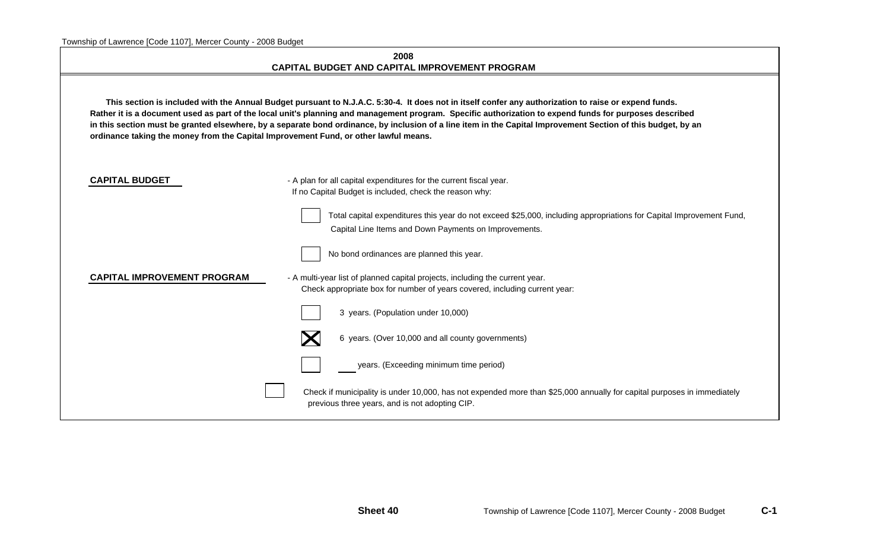| wiship or Lawrence [Code TTO/], Mercer County - 2000 Dudget                                                                                                                                                                                                                                                                                                                                                                                                                                                                                                               | 2008<br><b>CAPITAL BUDGET AND CAPITAL IMPROVEMENT PROGRAM</b>                                                                                                                |  |  |  |  |  |  |
|---------------------------------------------------------------------------------------------------------------------------------------------------------------------------------------------------------------------------------------------------------------------------------------------------------------------------------------------------------------------------------------------------------------------------------------------------------------------------------------------------------------------------------------------------------------------------|------------------------------------------------------------------------------------------------------------------------------------------------------------------------------|--|--|--|--|--|--|
| This section is included with the Annual Budget pursuant to N.J.A.C. 5:30-4. It does not in itself confer any authorization to raise or expend funds.<br>Rather it is a document used as part of the local unit's planning and management program. Specific authorization to expend funds for purposes described<br>in this section must be granted elsewhere, by a separate bond ordinance, by inclusion of a line item in the Capital Improvement Section of this budget, by an<br>ordinance taking the money from the Capital Improvement Fund, or other lawful means. |                                                                                                                                                                              |  |  |  |  |  |  |
| <b>CAPITAL BUDGET</b>                                                                                                                                                                                                                                                                                                                                                                                                                                                                                                                                                     | - A plan for all capital expenditures for the current fiscal year.<br>If no Capital Budget is included, check the reason why:                                                |  |  |  |  |  |  |
|                                                                                                                                                                                                                                                                                                                                                                                                                                                                                                                                                                           | Total capital expenditures this year do not exceed \$25,000, including appropriations for Capital Improvement Fund,<br>Capital Line Items and Down Payments on Improvements. |  |  |  |  |  |  |
|                                                                                                                                                                                                                                                                                                                                                                                                                                                                                                                                                                           | No bond ordinances are planned this year.                                                                                                                                    |  |  |  |  |  |  |
| <b>CAPITAL IMPROVEMENT PROGRAM</b>                                                                                                                                                                                                                                                                                                                                                                                                                                                                                                                                        | - A multi-year list of planned capital projects, including the current year.<br>Check appropriate box for number of years covered, including current year:                   |  |  |  |  |  |  |
|                                                                                                                                                                                                                                                                                                                                                                                                                                                                                                                                                                           | 3 years. (Population under 10,000)                                                                                                                                           |  |  |  |  |  |  |
|                                                                                                                                                                                                                                                                                                                                                                                                                                                                                                                                                                           | 6 years. (Over 10,000 and all county governments)                                                                                                                            |  |  |  |  |  |  |
|                                                                                                                                                                                                                                                                                                                                                                                                                                                                                                                                                                           | years. (Exceeding minimum time period)                                                                                                                                       |  |  |  |  |  |  |
|                                                                                                                                                                                                                                                                                                                                                                                                                                                                                                                                                                           | Check if municipality is under 10,000, has not expended more than \$25,000 annually for capital purposes in immediately<br>previous three years, and is not adopting CIP.    |  |  |  |  |  |  |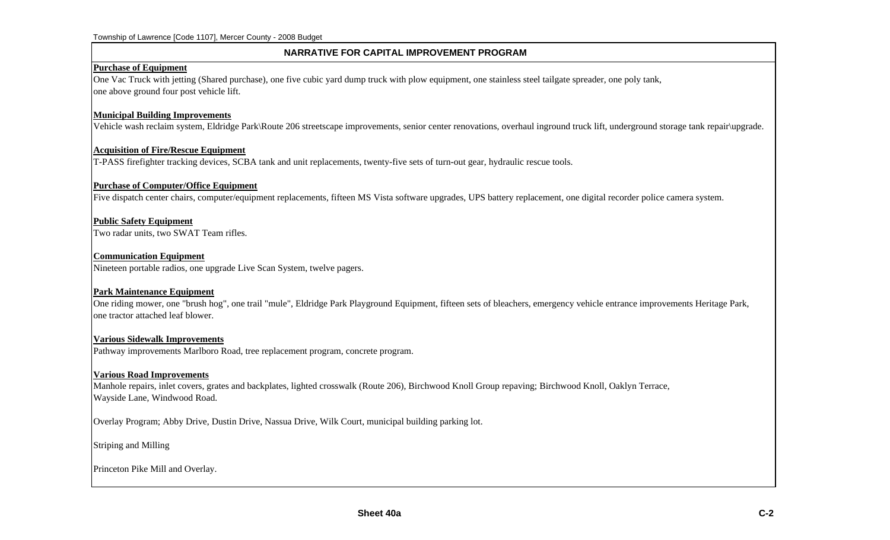#### **NARRATIVE FOR CAPITAL IMPROVEMENT PROGRAM**

#### **Purchase of Equipment**

One Vac Truck with jetting (Shared purchase), one five cubic yard dump truck with plow equipment, one stainless steel tailgate spreader, one poly tank, one above ground four post vehicle lift.

#### **Municipal Building Improvements**

Vehicle wash reclaim system, Eldridge Park\Route 206 streetscape improvements, senior center renovations, overhaul inground truck lift, underground storage tank repair\upgrade.

#### **Acquisition of Fire/Rescue Equipment**

T-PASS firefighter tracking devices, SCBA tank and unit replacements, twenty-five sets of turn-out gear, hydraulic rescue tools.

#### **Purchase of Computer/Office Equipment**

Five dispatch center chairs, computer/equipment replacements, fifteen MS Vista software upgrades, UPS battery replacement, one digital recorder police camera system.

#### **Public Safety Equipment**

Two radar units, two SWAT Team rifles.

#### **Communication Equipment**

Nineteen portable radios, one upgrade Live Scan System, twelve pagers.

#### **Park Maintenance Equipment**

One riding mower, one "brush hog", one trail "mule", Eldridge Park Playground Equipment, fifteen sets of bleachers, emergency vehicle entrance improvements Heritage Park, one tractor attached leaf blower.

#### **Various Sidewalk Improvements**

Pathway improvements Marlboro Road, tree replacement program, concrete program.

#### **Various Road Improvements**

Manhole repairs, inlet covers, grates and backplates, lighted crosswalk (Route 206), Birchwood Knoll Group repaving; Birchwood Knoll, Oaklyn Terrace, Wayside Lane, Windwood Road.

Overlay Program; Abby Drive, Dustin Drive, Nassua Drive, Wilk Court, municipal building parking lot.

Striping and Milling

Princeton Pike Mill and Overlay.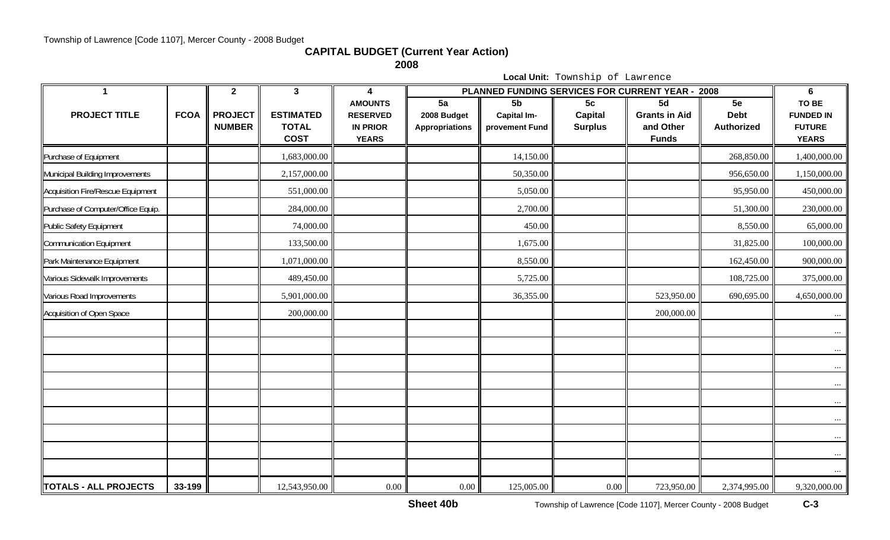**CAPITAL BUDGET (Current Year Action)**

**2008**

**Local Unit:** Township of Lawrence

| $\mathbf 1$                        |             | $\mathbf{2}$                    | $\mathbf{3}$                                    | 4                                                                    |                                            |                                                        |                                        | PLANNED FUNDING SERVICES FOR CURRENT YEAR - 2008        | 6                                      |                                                            |
|------------------------------------|-------------|---------------------------------|-------------------------------------------------|----------------------------------------------------------------------|--------------------------------------------|--------------------------------------------------------|----------------------------------------|---------------------------------------------------------|----------------------------------------|------------------------------------------------------------|
| <b>PROJECT TITLE</b>               | <b>FCOA</b> | <b>PROJECT</b><br><b>NUMBER</b> | <b>ESTIMATED</b><br><b>TOTAL</b><br><b>COST</b> | <b>AMOUNTS</b><br><b>RESERVED</b><br><b>IN PRIOR</b><br><b>YEARS</b> | 5a<br>2008 Budget<br><b>Appropriations</b> | 5 <sub>b</sub><br><b>Capital Im-</b><br>provement Fund | 5c<br><b>Capital</b><br><b>Surplus</b> | 5d<br><b>Grants in Aid</b><br>and Other<br><b>Funds</b> | 5e<br><b>Debt</b><br><b>Authorized</b> | TO BE<br><b>FUNDED IN</b><br><b>FUTURE</b><br><b>YEARS</b> |
| Purchase of Equipment              |             |                                 | 1,683,000.00                                    |                                                                      |                                            | 14,150.00                                              |                                        |                                                         | 268,850.00                             | 1,400,000.00                                               |
| Municipal Building Improvements    |             |                                 | 2,157,000.00                                    |                                                                      |                                            | 50,350.00                                              |                                        |                                                         | 956,650.00                             | 1,150,000.00                                               |
| Acquisition Fire/Rescue Equipment  |             |                                 | 551,000.00                                      |                                                                      |                                            | 5,050.00                                               |                                        |                                                         | 95,950.00                              | 450,000.00                                                 |
| Purchase of Computer/Office Equip. |             |                                 | 284,000.00                                      |                                                                      |                                            | 2,700.00                                               |                                        |                                                         | 51,300.00                              | 230,000.00                                                 |
| Public Safety Equipment            |             |                                 | 74,000.00                                       |                                                                      |                                            | 450.00                                                 |                                        |                                                         | 8,550.00                               | 65,000.00                                                  |
| Communication Equipment            |             |                                 | 133,500.00                                      |                                                                      |                                            | 1,675.00                                               |                                        |                                                         | 31,825.00                              | 100,000.00                                                 |
| Park Maintenance Equipment         |             |                                 | 1,071,000.00                                    |                                                                      |                                            | 8,550.00                                               |                                        |                                                         | 162,450.00                             | 900,000.00                                                 |
| Various Sidewalk Improvements      |             |                                 | 489,450.00                                      |                                                                      |                                            | 5,725.00                                               |                                        |                                                         | 108,725.00                             | 375,000.00                                                 |
| Various Road Improvements          |             |                                 | 5,901,000.00                                    |                                                                      |                                            | 36,355.00                                              |                                        | 523,950.00                                              | 690,695.00                             | 4,650,000.00                                               |
| Acquisition of Open Space          |             |                                 | 200,000.00                                      |                                                                      |                                            |                                                        |                                        | 200,000.00                                              |                                        | $\cdots$                                                   |
|                                    |             |                                 |                                                 |                                                                      |                                            |                                                        |                                        |                                                         |                                        | $\cdots$                                                   |
|                                    |             |                                 |                                                 |                                                                      |                                            |                                                        |                                        |                                                         |                                        | $\cdots$<br>$\cdots$                                       |
|                                    |             |                                 |                                                 |                                                                      |                                            |                                                        |                                        |                                                         |                                        | $\cdots$                                                   |
|                                    |             |                                 |                                                 |                                                                      |                                            |                                                        |                                        |                                                         |                                        | $\cdots$                                                   |
|                                    |             |                                 |                                                 |                                                                      |                                            |                                                        |                                        |                                                         |                                        | $\cdots$<br>$\cdots$                                       |
|                                    |             |                                 |                                                 |                                                                      |                                            |                                                        |                                        |                                                         |                                        | $\cdots$                                                   |
|                                    |             |                                 |                                                 |                                                                      |                                            |                                                        |                                        |                                                         |                                        |                                                            |
| <b>TOTALS - ALL PROJECTS</b>       | 33-199      |                                 | 12,543,950.00                                   | 0.00                                                                 | 0.00                                       | 125,005.00                                             | $0.00\,$                               | 723,950.00                                              | 2,374,995.00                           | 9,320,000.00                                               |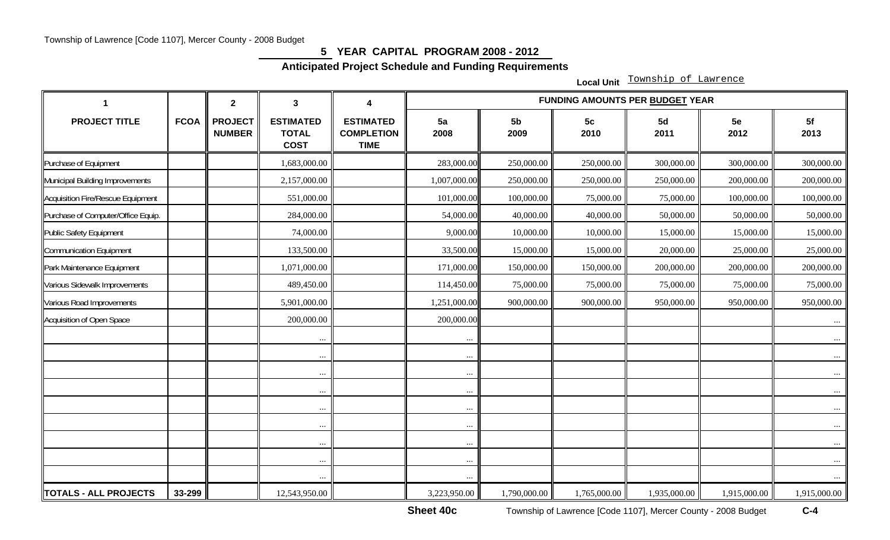### **5 YEAR CAPITAL PROGRAM 2008 - 2012**

**Anticipated Project Schedule and Funding Requirements** 

**Local Unit** Township of Lawrence

|                                    |             | $\overline{2}$                  | $\mathbf{3}$                                    | 4                                                    | <b>FUNDING AMOUNTS PER BUDGET YEAR</b> |                        |                        |              |              |              |  |  |
|------------------------------------|-------------|---------------------------------|-------------------------------------------------|------------------------------------------------------|----------------------------------------|------------------------|------------------------|--------------|--------------|--------------|--|--|
| <b>PROJECT TITLE</b>               | <b>FCOA</b> | <b>PROJECT</b><br><b>NUMBER</b> | <b>ESTIMATED</b><br><b>TOTAL</b><br><b>COST</b> | <b>ESTIMATED</b><br><b>COMPLETION</b><br><b>TIME</b> | 5a<br>2008                             | 5 <sub>b</sub><br>2009 | 5 <sub>c</sub><br>2010 | 5d<br>2011   | 5e<br>2012   | 5f<br>2013   |  |  |
| Purchase of Equipment              |             |                                 | 1,683,000.00                                    |                                                      | 283,000.00                             | 250,000.00             | 250,000.00             | 300,000.00   | 300,000.00   | 300,000.00   |  |  |
| Municipal Building Improvements    |             |                                 | 2,157,000.00                                    |                                                      | 1,007,000.00                           | 250,000.00             | 250,000.00             | 250,000.00   | 200,000.00   | 200,000.00   |  |  |
| Acquisition Fire/Rescue Equipment  |             |                                 | 551,000.00                                      |                                                      | 101,000.00                             | 100,000.00             | 75,000.00              | 75,000.00    | 100,000.00   | 100,000.00   |  |  |
| Purchase of Computer/Office Equip. |             |                                 | 284,000.00                                      |                                                      | 54,000.00                              | 40,000.00              | 40,000.00              | 50,000.00    | 50,000.00    | 50,000.00    |  |  |
| <b>Public Safety Equipment</b>     |             |                                 | 74,000.00                                       |                                                      | 9,000.00                               | 10,000.00              | 10,000.00              | 15,000.00    | 15,000.00    | 15,000.00    |  |  |
| Communication Equipment            |             |                                 | 133,500.00                                      |                                                      | 33,500.00                              | 15,000.00              | 15,000.00              | 20,000.00    | 25,000.00    | 25,000.00    |  |  |
| Park Maintenance Equipment         |             |                                 | 1,071,000.00                                    |                                                      | 171,000.00                             | 150,000.00             | 150,000.00             | 200,000.00   | 200,000.00   | 200,000.00   |  |  |
| Various Sidewalk Improvements      |             |                                 | 489,450.00                                      |                                                      | 114,450.00                             | 75,000.00              | 75,000.00              | 75,000.00    | 75,000.00    | 75,000.00    |  |  |
| Various Road Improvements          |             |                                 | 5,901,000.00                                    |                                                      | 1,251,000.00                           | 900,000.00             | 900,000.00             | 950,000.00   | 950,000.00   | 950,000.00   |  |  |
| Acquisition of Open Space          |             |                                 | 200,000.00                                      |                                                      | 200,000.00                             |                        |                        |              |              | $\cdots$     |  |  |
|                                    |             |                                 | $\ldots$                                        |                                                      | $\cdots$                               |                        |                        |              |              | $\cdots$     |  |  |
|                                    |             |                                 | $\cdots$                                        |                                                      | $\cdots$                               |                        |                        |              |              | $\cdots$     |  |  |
|                                    |             |                                 | $\cdots$                                        |                                                      | $\cdots$                               |                        |                        |              |              | $\ldots$     |  |  |
|                                    |             |                                 | $\cdots$                                        |                                                      | $\cdots$                               |                        |                        |              |              | $\cdots$     |  |  |
|                                    |             |                                 | $\cdots$                                        |                                                      | $\ddotsc$                              |                        |                        |              |              | $\cdots$     |  |  |
|                                    |             |                                 | $\cdots$                                        |                                                      | $\cdots$                               |                        |                        |              |              | $\cdots$     |  |  |
|                                    |             |                                 | $\ldots$                                        |                                                      | $\ldots$                               |                        |                        |              |              | $\cdots$     |  |  |
|                                    |             |                                 | $\cdots$                                        |                                                      | $\cdots$                               |                        |                        |              |              | $\ldots$     |  |  |
|                                    |             |                                 | $\cdots$                                        |                                                      | $\cdots$                               |                        |                        |              |              | $\cdots$     |  |  |
| <b>TOTALS - ALL PROJECTS</b>       | 33-299      |                                 | 12,543,950.00                                   |                                                      | 3,223,950.00                           | 1,790,000.00           | 1,765,000.00           | 1,935,000.00 | 1,915,000.00 | 1,915,000.00 |  |  |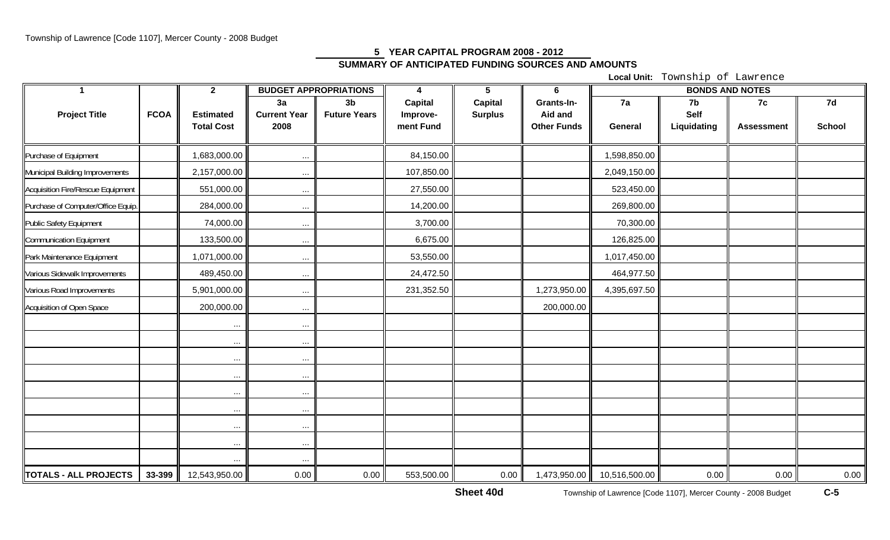# **5 YEAR CAPITAL PROGRAM 2008 - 2012 SUMMARY OF ANTICIPATED FUNDING SOURCES AND AMOUNTS**

**Local Unit:** Township of Lawrence

| -1                                 |             | $2^{\circ}$       | <b>BUDGET APPROPRIATIONS</b> |                     | 4              | $5\phantom{.0}$ | 6                  | <b>BONDS AND NOTES</b> |             |                   |        |
|------------------------------------|-------------|-------------------|------------------------------|---------------------|----------------|-----------------|--------------------|------------------------|-------------|-------------------|--------|
|                                    |             |                   | 3a                           | 3 <sub>b</sub>      | <b>Capital</b> | <b>Capital</b>  | Grants-In-         | 7a                     | 7b          | 7c                | 7d     |
| <b>Project Title</b>               | <b>FCOA</b> | <b>Estimated</b>  | <b>Current Year</b>          | <b>Future Years</b> | Improve-       | <b>Surplus</b>  | Aid and            |                        | Self        |                   |        |
|                                    |             | <b>Total Cost</b> | 2008                         |                     | ment Fund      |                 | <b>Other Funds</b> | General                | Liquidating | <b>Assessment</b> | School |
|                                    |             |                   |                              |                     |                |                 |                    |                        |             |                   |        |
| Purchase of Equipment              |             | 1,683,000.00      | $\cdots$                     |                     | 84,150.00      |                 |                    | 1,598,850.00           |             |                   |        |
| Municipal Building Improvements    |             | 2,157,000.00      | $\cdots$                     |                     | 107,850.00     |                 |                    | 2,049,150.00           |             |                   |        |
| Acquisition Fire/Rescue Equipment  |             | 551,000.00        | $\cdots$                     |                     | 27,550.00      |                 |                    | 523,450.00             |             |                   |        |
| Purchase of Computer/Office Equip. |             | 284,000.00        | $\cdots$                     |                     | 14,200.00      |                 |                    | 269,800.00             |             |                   |        |
| Public Safety Equipment            |             | 74,000.00         | $\cdots$                     |                     | 3,700.00       |                 |                    | 70,300.00              |             |                   |        |
| Communication Equipment            |             | 133,500.00        | $\cdots$                     |                     | 6,675.00       |                 |                    | 126,825.00             |             |                   |        |
| Park Maintenance Equipment         |             | 1,071,000.00      | $\cdots$                     |                     | 53,550.00      |                 |                    | 1,017,450.00           |             |                   |        |
| Various Sidewalk Improvements      |             | 489,450.00        | $\cdots$                     |                     | 24,472.50      |                 |                    | 464,977.50             |             |                   |        |
| Various Road Improvements          |             | 5,901,000.00      | $\cdots$                     |                     | 231,352.50     |                 | 1,273,950.00       | 4,395,697.50           |             |                   |        |
| Acquisition of Open Space          |             | 200,000.00        | $\cdots$                     |                     |                |                 | 200,000.00         |                        |             |                   |        |
|                                    |             | $\ldots$          | $\cdots$                     |                     |                |                 |                    |                        |             |                   |        |
|                                    |             | $\cdots$          | $\cdots$                     |                     |                |                 |                    |                        |             |                   |        |
|                                    |             | $\cdots$          | $\cdots$                     |                     |                |                 |                    |                        |             |                   |        |
|                                    |             | $\cdots$          | $\cdots$                     |                     |                |                 |                    |                        |             |                   |        |
|                                    |             | $\ldots$          | $\cdots$                     |                     |                |                 |                    |                        |             |                   |        |
|                                    |             | $\cdots$          | $\cdots$                     |                     |                |                 |                    |                        |             |                   |        |
|                                    |             | $\cdots$          | $\cdots$                     |                     |                |                 |                    |                        |             |                   |        |
|                                    |             | $\cdots$          | $\cdots$                     |                     |                |                 |                    |                        |             |                   |        |
|                                    |             | $\cdots$          | $\cdots$                     |                     |                |                 |                    |                        |             |                   |        |
| TOTALS - ALL PROJECTS              | 33-399      | 12,543,950.00     | 0.00                         | 0.00                | 553,500.00     | 0.00            | 1,473,950.00       | 10,516,500.00          | 0.00        | 0.00              | 0.00   |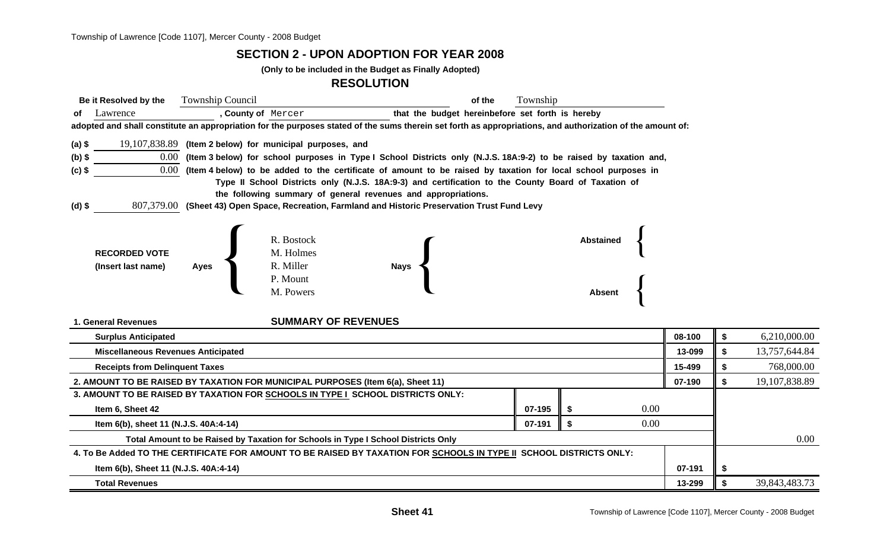#### **SECTION 2 - UPON ADOPTION FOR YEAR 2008**

**(Only to be included in the Budget as Finally Adopted)**

#### **RESOLUTION**

| Be it Resolved by the                 |          | <b>Township Council</b>                   |                                                                                                               |                                                                                                                                                            | of the<br>Township |           |      |        |    |               |  |  |  |
|---------------------------------------|----------|-------------------------------------------|---------------------------------------------------------------------------------------------------------------|------------------------------------------------------------------------------------------------------------------------------------------------------------|--------------------|-----------|------|--------|----|---------------|--|--|--|
| of Lawrence                           |          |                                           | , County of Mercer                                                                                            | that the budget hereinbefore set forth is hereby                                                                                                           |                    |           |      |        |    |               |  |  |  |
|                                       |          |                                           |                                                                                                               | adopted and shall constitute an appropriation for the purposes stated of the sums therein set forth as appropriations, and authorization of the amount of: |                    |           |      |        |    |               |  |  |  |
| (a) \$                                |          |                                           | 19,107,838.89 (Item 2 below) for municipal purposes, and                                                      |                                                                                                                                                            |                    |           |      |        |    |               |  |  |  |
| $(b)$ \$                              |          |                                           |                                                                                                               | 0.00 (Item 3 below) for school purposes in Type I School Districts only (N.J.S. 18A:9-2) to be raised by taxation and,                                     |                    |           |      |        |    |               |  |  |  |
| (c) \$                                | $0.00\,$ |                                           | (Item 4 below) to be added to the certificate of amount to be raised by taxation for local school purposes in |                                                                                                                                                            |                    |           |      |        |    |               |  |  |  |
|                                       |          |                                           |                                                                                                               | Type II School Districts only (N.J.S. 18A:9-3) and certification to the County Board of Taxation of                                                        |                    |           |      |        |    |               |  |  |  |
|                                       |          |                                           |                                                                                                               | the following summary of general revenues and appropriations.                                                                                              |                    |           |      |        |    |               |  |  |  |
| (d) \$                                |          |                                           |                                                                                                               | 807,379.00 (Sheet 43) Open Space, Recreation, Farmland and Historic Preservation Trust Fund Levy                                                           |                    |           |      |        |    |               |  |  |  |
|                                       |          |                                           |                                                                                                               |                                                                                                                                                            |                    |           |      |        |    |               |  |  |  |
|                                       |          |                                           | R. Bostock                                                                                                    |                                                                                                                                                            |                    | Abstained |      |        |    |               |  |  |  |
| <b>RECORDED VOTE</b>                  |          |                                           | M. Holmes                                                                                                     |                                                                                                                                                            |                    |           |      |        |    |               |  |  |  |
| (Insert last name)                    |          | Ayes                                      | R. Miller                                                                                                     | <b>Nays</b>                                                                                                                                                |                    |           |      |        |    |               |  |  |  |
|                                       |          |                                           | P. Mount                                                                                                      |                                                                                                                                                            |                    |           |      |        |    |               |  |  |  |
|                                       |          |                                           | M. Powers                                                                                                     |                                                                                                                                                            |                    | Absent    |      |        |    |               |  |  |  |
|                                       |          |                                           |                                                                                                               |                                                                                                                                                            |                    |           |      |        |    |               |  |  |  |
| 1. General Revenues                   |          |                                           | <b>SUMMARY OF REVENUES</b>                                                                                    |                                                                                                                                                            |                    |           |      |        |    |               |  |  |  |
| <b>Surplus Anticipated</b>            |          |                                           |                                                                                                               |                                                                                                                                                            |                    |           |      | 08-100 | \$ | 6,210,000.00  |  |  |  |
|                                       |          | <b>Miscellaneous Revenues Anticipated</b> |                                                                                                               |                                                                                                                                                            |                    |           |      | 13-099 | \$ | 13,757,644.84 |  |  |  |
| <b>Receipts from Delinquent Taxes</b> |          |                                           |                                                                                                               |                                                                                                                                                            |                    |           |      | 15-499 |    | 768,000.00    |  |  |  |
|                                       |          |                                           | 2. AMOUNT TO BE RAISED BY TAXATION FOR MUNICIPAL PURPOSES (Item 6(a), Sheet 11)                               |                                                                                                                                                            |                    |           |      | 07-190 | \$ | 19,107,838.89 |  |  |  |
|                                       |          |                                           | 3. AMOUNT TO BE RAISED BY TAXATION FOR SCHOOLS IN TYPE I_SCHOOL DISTRICTS ONLY:                               |                                                                                                                                                            |                    |           |      |        |    |               |  |  |  |
| Item 6, Sheet 42                      |          |                                           |                                                                                                               |                                                                                                                                                            | 07-195             |           | 0.00 |        |    |               |  |  |  |
|                                       |          | Item 6(b), sheet 11 (N.J.S. 40A:4-14)     |                                                                                                               |                                                                                                                                                            | 07-191             | \$        | 0.00 |        |    |               |  |  |  |
|                                       |          |                                           | Total Amount to be Raised by Taxation for Schools in Type I School Districts Only                             |                                                                                                                                                            |                    |           |      |        |    | 0.00          |  |  |  |
|                                       |          |                                           |                                                                                                               | 4. To Be Added TO THE CERTIFICATE FOR AMOUNT TO BE RAISED BY TAXATION FOR SCHOOLS IN TYPE II SCHOOL DISTRICTS ONLY:                                        |                    |           |      |        |    |               |  |  |  |
|                                       |          | Item 6(b), Sheet 11 (N.J.S. 40A:4-14)     |                                                                                                               |                                                                                                                                                            |                    |           |      | 07-191 |    |               |  |  |  |
|                                       |          |                                           |                                                                                                               |                                                                                                                                                            |                    |           |      |        |    |               |  |  |  |

**Total Revenues13-299 \$** 39,843,483.73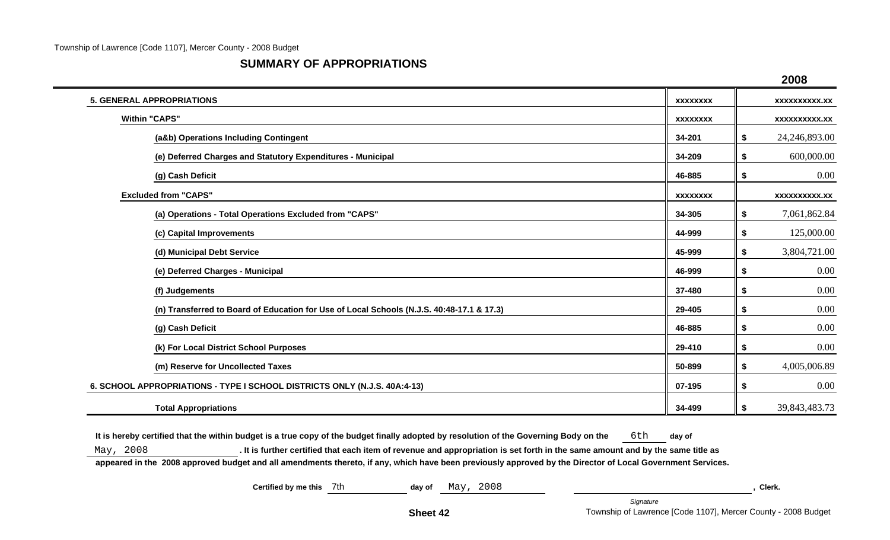#### **SUMMARY OF APPROPRIATIONS**

|                                                                                           |                 | 2008                 |
|-------------------------------------------------------------------------------------------|-----------------|----------------------|
| <b>5. GENERAL APPROPRIATIONS</b>                                                          | <b>XXXXXXXX</b> | <b>XXXXXXXXXX.XX</b> |
| <b>Within "CAPS"</b>                                                                      | <b>XXXXXXXX</b> | <b>XXXXXXXXXX.XX</b> |
| (a&b) Operations Including Contingent                                                     | 34-201          | 24,246,893.00<br>\$  |
| (e) Deferred Charges and Statutory Expenditures - Municipal                               | 34-209          | 600,000.00<br>\$     |
| (g) Cash Deficit                                                                          | 46-885          | 0.00<br>\$           |
| <b>Excluded from "CAPS"</b>                                                               | <b>XXXXXXXX</b> | <b>XXXXXXXXXX.XX</b> |
| (a) Operations - Total Operations Excluded from "CAPS"                                    | 34-305          | 7,061,862.84<br>\$   |
| (c) Capital Improvements                                                                  | 44-999          | 125,000.00<br>\$     |
| (d) Municipal Debt Service                                                                | 45-999          | 3,804,721.00<br>\$   |
| (e) Deferred Charges - Municipal                                                          | 46-999          | 0.00<br>\$           |
| (f) Judgements                                                                            | 37-480          | 0.00<br>\$           |
| (n) Transferred to Board of Education for Use of Local Schools (N.J.S. 40:48-17.1 & 17.3) | 29-405          | 0.00<br>\$           |
| (g) Cash Deficit                                                                          | 46-885          | 0.00<br>\$           |
| (k) For Local District School Purposes                                                    | 29-410          | 0.00<br>\$           |
| (m) Reserve for Uncollected Taxes                                                         | 50-899          | 4,005,006.89<br>\$   |
| 6. SCHOOL APPROPRIATIONS - TYPE I SCHOOL DISTRICTS ONLY (N.J.S. 40A:4-13)                 | 07-195          | 0.00<br>\$           |
| <b>Total Appropriations</b>                                                               | 34-499          | 39,843,483.73<br>\$  |

It is hereby certified that the within budget is a true copy of the budget finally adopted by resolution of the Governing Body on the 6th day of

May, 2008 **. It is further certified that each item of revenue and appropriation is set forth in the same amount and by the same title as** 

**appeared in the 2008 approved budget and all amendments thereto, if any, which have been previously approved by the Director of Local Government Services.**

**Certified by me this**  7th **day of** May, 2008 *Certified by me this* 7th **. Clerk.** 

*Signature* Township of Lawrence [Code 1107], Mercer County - 2008 Budget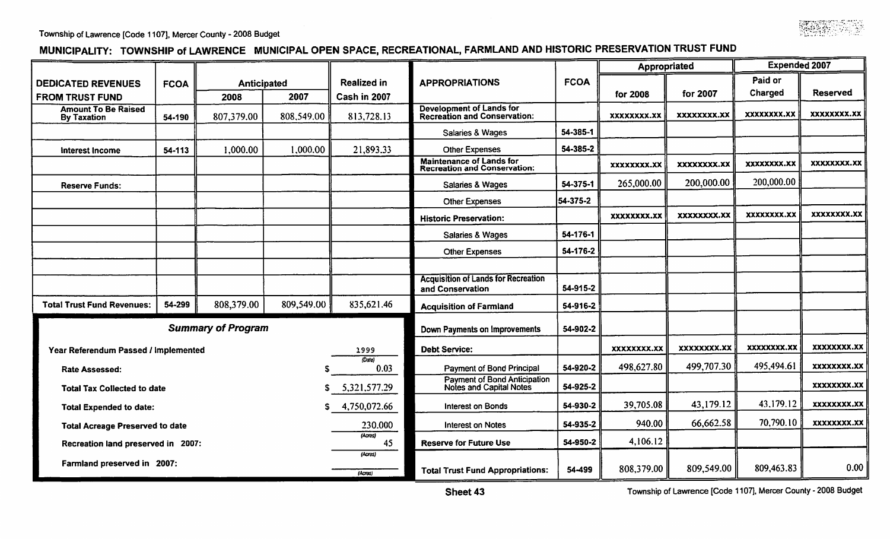

## MUNICIPALITY: TOWNSHIP of LAWRENCE MUNICIPAL OPEN SPACE, RECREATIONAL, FARMLAND AND HISTORIC PRESERVATION TRUST FUND

|                                                  |             |                           |              |                          |                                                                        |             | Appropriated       |                    | <b>Expended 2007</b> |             |
|--------------------------------------------------|-------------|---------------------------|--------------|--------------------------|------------------------------------------------------------------------|-------------|--------------------|--------------------|----------------------|-------------|
| <b>DEDICATED REVENUES</b>                        | <b>FCOA</b> | Anticipated               |              | <b>Realized in</b>       | <b>APPROPRIATIONS</b>                                                  | <b>FCOA</b> |                    |                    | Paid or              |             |
| <b>FROM TRUST FUND</b>                           |             | 2008                      | 2007         | Cash in 2007             |                                                                        |             | for 2008           | for 2007           | Charged              | Reserved    |
| <b>Amount To Be Raised</b><br><b>By Taxation</b> | 54-190      | 807,379.00                | 808,549.00   | 813,728.13               | <b>Development of Lands for</b><br><b>Recreation and Conservation:</b> |             | XXXXXXXX.XX        | XXXXXXXX.XX        | xxxxxxxx.xx          | xxxxxxxx.xx |
|                                                  |             |                           |              |                          | Salaries & Wages                                                       | 54-385-1    |                    |                    |                      |             |
| Interest Income                                  | 54-113      | 1,000.00                  | 1,000.00     | 21,893.33                | <b>Other Expenses</b>                                                  | 54-385-2    |                    |                    |                      |             |
|                                                  |             |                           |              |                          | <b>Maintenance of Lands for</b><br><b>Recreation and Conservation:</b> |             | XXXXXXXX.XX        | <b>XXXXXXXX.XX</b> | xxxxxxxx.xx          | XXXXXXXX.XX |
| <b>Reserve Funds:</b>                            |             |                           |              |                          | Salaries & Wages                                                       | 54-375-1    | 265,000.00         | 200,000.00         | 200,000.00           |             |
|                                                  |             |                           |              |                          | <b>Other Expenses</b>                                                  | 54-375-2    |                    |                    |                      |             |
|                                                  |             |                           |              |                          | <b>Historic Preservation:</b>                                          |             | <b>XXXXXXXX.XX</b> | <b>XXXXXXXX.XX</b> | <b>XXXXXXXX.XX</b>   | xxxxxxxx.xx |
|                                                  |             |                           |              |                          | Salaries & Wages                                                       | 54-176-1    |                    |                    |                      |             |
|                                                  |             |                           |              |                          | <b>Other Expenses</b>                                                  | 54-176-2    |                    |                    |                      |             |
|                                                  |             |                           |              |                          |                                                                        |             |                    |                    |                      |             |
|                                                  |             |                           |              |                          | <b>Acquisition of Lands for Recreation</b><br>and Conservation         | 54-915-2    |                    |                    |                      |             |
| <b>Total Trust Fund Revenues:</b>                | 54-299      | 808,379.00                | 809,549.00   | 835,621.46               | <b>Acquisition of Farmland</b>                                         | 54-916-2    |                    |                    |                      |             |
|                                                  |             | <b>Summary of Program</b> |              |                          | Down Payments on Improvements                                          | 54-902-2    |                    |                    |                      |             |
| Year Referendum Passed / Implemented             |             |                           |              | 1999                     | <b>Debt Service:</b>                                                   |             | <b>XXXXXXXX.XX</b> | XXXXXXXX.XX        | XXXXXXXX.XX          | XXXXXXXX.XX |
| <b>Rate Assessed:</b>                            |             |                           |              | (Date)<br>0.03           | Payment of Bond Principal                                              | 54-920-2    | 498,627.80         | 499,707.30         | 495,494.61           | xxxxxxxx.xx |
| <b>Total Tax Collected to date</b>               |             |                           | S            | 5,321,577.29             | Payment of Bond Anticipation<br><b>Notes and Capital Notes</b>         | 54-925-2    |                    |                    |                      | XXXXXXXX.XX |
| s<br><b>Total Expended to date:</b>              |             |                           | 4,750,072.66 | <b>Interest on Bonds</b> | 54-930-2                                                               | 39,705.08   | 43,179.12          | 43,179.12          | xxxxxxxx.xx          |             |
| <b>Total Acreage Preserved to date</b>           |             |                           | 230.000      | <b>Interest on Notes</b> | 54-935-2                                                               | 940.00      | 66,662.58          | 70,790.10          | XXXXXXXX.XX          |             |
| (Acres)<br>Recreation land preserved in 2007:    |             |                           |              | 45                       | <b>Reserve for Future Use</b>                                          | 54-950-2    | 4,106.12           |                    |                      |             |
| Farmland preserved in 2007:                      |             |                           |              | (Acres)                  |                                                                        |             | 808,379.00         | 809,549.00         | 809,463.83           | 0.00        |
|                                                  |             |                           |              | (Acres)                  | <b>Total Trust Fund Appropriations:</b>                                | 54-499      |                    |                    |                      |             |

Township of Lawrence [Code 1107], Mercer County - 2008 Budget